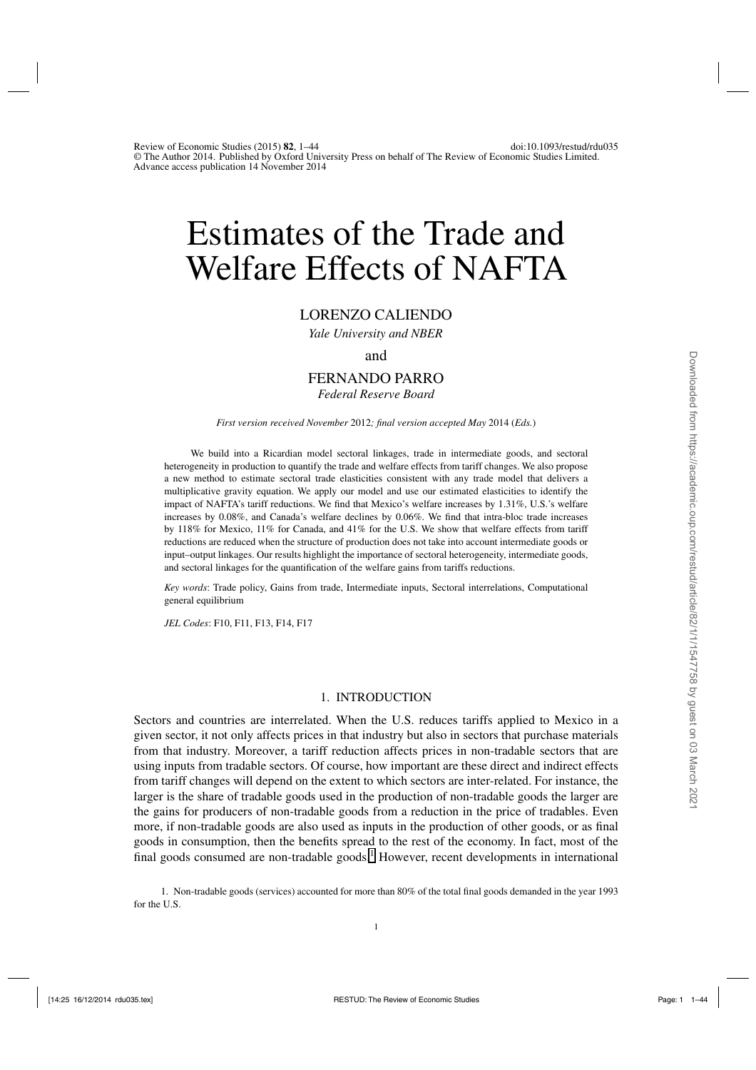# Estimates of the Trade and Welfare Effects of NAFTA

# LORENZO CALIENDO

*Yale University and NBER*

#### and

# FERNANDO PARRO

*Federal Reserve Board*

*First version received November* 2012*; final version accepted May* 2014 (*Eds.*)

We build into a Ricardian model sectoral linkages, trade in intermediate goods, and sectoral heterogeneity in production to quantify the trade and welfare effects from tariff changes. We also propose a new method to estimate sectoral trade elasticities consistent with any trade model that delivers a multiplicative gravity equation. We apply our model and use our estimated elasticities to identify the impact of NAFTA's tariff reductions. We find that Mexico's welfare increases by 1.31%, U.S.'s welfare increases by 0.08%, and Canada's welfare declines by 0.06%. We find that intra-bloc trade increases by 118% for Mexico, 11% for Canada, and 41% for the U.S. We show that welfare effects from tariff reductions are reduced when the structure of production does not take into account intermediate goods or input–output linkages. Our results highlight the importance of sectoral heterogeneity, intermediate goods, and sectoral linkages for the quantification of the welfare gains from tariffs reductions.

*Key words*: Trade policy, Gains from trade, Intermediate inputs, Sectoral interrelations, Computational general equilibrium

*JEL Codes*: F10, F11, F13, F14, F17

#### 1. INTRODUCTION

Sectors and countries are interrelated. When the U.S. reduces tariffs applied to Mexico in a given sector, it not only affects prices in that industry but also in sectors that purchase materials from that industry. Moreover, a tariff reduction affects prices in non-tradable sectors that are using inputs from tradable sectors. Of course, how important are these direct and indirect effects from tariff changes will depend on the extent to which sectors are inter-related. For instance, the larger is the share of tradable goods used in the production of non-tradable goods the larger are the gains for producers of non-tradable goods from a reduction in the price of tradables. Even more, if non-tradable goods are also used as inputs in the production of other goods, or as final goods in consumption, then the benefits spread to the rest of the economy. In fact, most of the final goods consumed are non-tradable goods.<sup>1</sup> However, recent developments in international

1. Non-tradable goods (services) accounted for more than 80% of the total final goods demanded in the year 1993 for the U.S.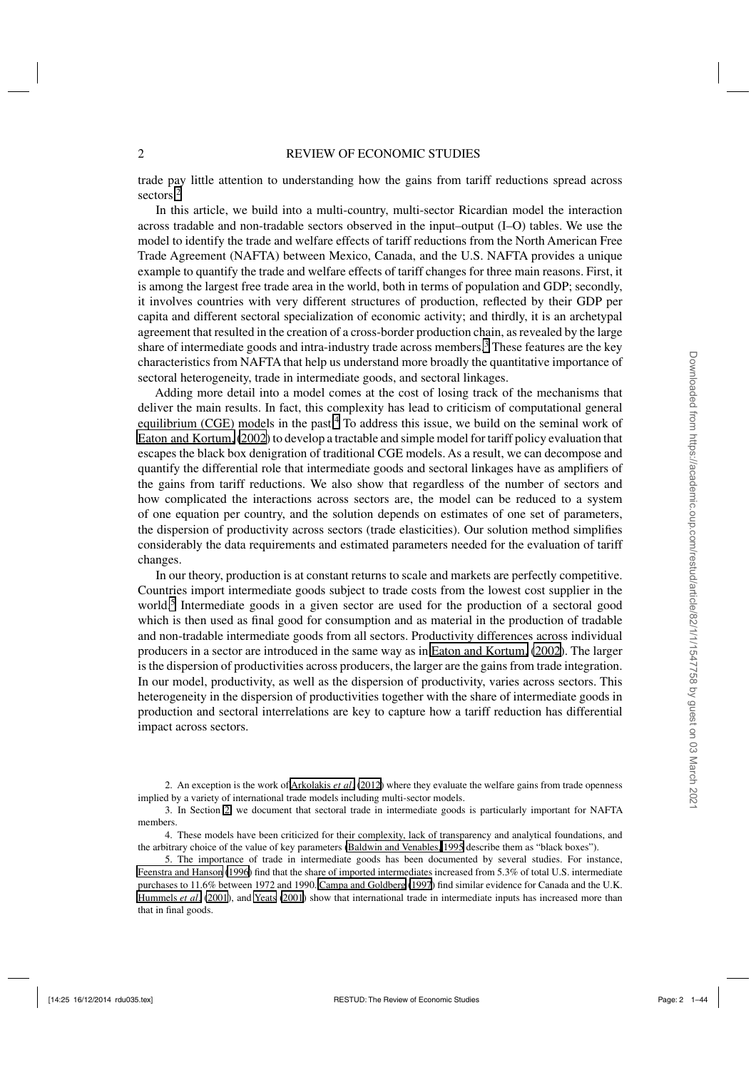trade pay little attention to understanding how the gains from tariff reductions spread across sectors.<sup>2</sup>

In this article, we build into a multi-country, multi-sector Ricardian model the interaction across tradable and non-tradable sectors observed in the input–output (I–O) tables. We use the model to identify the trade and welfare effects of tariff reductions from the North American Free Trade Agreement (NAFTA) between Mexico, Canada, and the U.S. NAFTA provides a unique example to quantify the trade and welfare effects of tariff changes for three main reasons. First, it is among the largest free trade area in the world, both in terms of population and GDP; secondly, it involves countries with very different structures of production, reflected by their GDP per capita and different sectoral specialization of economic activity; and thirdly, it is an archetypal agreement that resulted in the creation of a cross-border production chain, as revealed by the large share of intermediate goods and intra-industry trade across members.<sup>3</sup> These features are the key characteristics from NAFTA that help us understand more broadly the quantitative importance of sectoral heterogeneity, trade in intermediate goods, and sectoral linkages.

Adding more detail into a model comes at the cost of losing track of the mechanisms that deliver the main results. In fact, this complexity has lead to criticism of computational general equilibrium (CGE) models in the past. $4$  To address this issue, we build on the seminal work of [Eaton and Kortum,](#page-42-0) [\(2002\)](#page-42-0) to develop a tractable and simple model for tariff policy evaluation that escapes the black box denigration of traditional CGE models. As a result, we can decompose and quantify the differential role that intermediate goods and sectoral linkages have as amplifiers of the gains from tariff reductions. We also show that regardless of the number of sectors and how complicated the interactions across sectors are, the model can be reduced to a system of one equation per country, and the solution depends on estimates of one set of parameters, the dispersion of productivity across sectors (trade elasticities). Our solution method simplifies considerably the data requirements and estimated parameters needed for the evaluation of tariff changes.

In our theory, production is at constant returns to scale and markets are perfectly competitive. Countries import intermediate goods subject to trade costs from the lowest cost supplier in the world.<sup>5</sup> Intermediate goods in a given sector are used for the production of a sectoral good which is then used as final good for consumption and as material in the production of tradable and non-tradable intermediate goods from all sectors. Productivity differences across individual producers in a sector are introduced in the same way as in [Eaton and Kortum,](#page-42-0) [\(2002](#page-42-0)). The larger is the dispersion of productivities across producers, the larger are the gains from trade integration. In our model, productivity, as well as the dispersion of productivity, varies across sectors. This heterogeneity in the dispersion of productivities together with the share of intermediate goods in production and sectoral interrelations are key to capture how a tariff reduction has differential impact across sectors.

2. An exception is the work of [Arkolakis](#page-41-0) *et al*. [\(2012\)](#page-41-0) where they evaluate the welfare gains from trade openness implied by a variety of international trade models including multi-sector models.

<sup>3.</sup> In Section [2,](#page-4-0) we document that sectoral trade in intermediate goods is particularly important for NAFTA members.

<sup>4.</sup> These models have been criticized for their complexity, lack of transparency and analytical foundations, and the arbitrary choice of the value of key parameters [\(Baldwin and Venables, 1995](#page-41-0) describe them as "black boxes").

<sup>5.</sup> The importance of trade in intermediate goods has been documented by several studies. For instance, [Feenstra and Hanson](#page-42-0) [\(1996](#page-42-0)) find that the share of imported intermediates increased from 5.3% of total U.S. intermediate purchases to 11.6% between 1972 and 1990. [Campa and Goldberg](#page-41-0) [\(1997](#page-41-0)) find similar evidence for Canada and the U.K. [Hummels](#page-42-0) *et al*. [\(2001\)](#page-42-0), and [Yeats](#page-43-0) [\(2001\)](#page-43-0) show that international trade in intermediate inputs has increased more than that in final goods.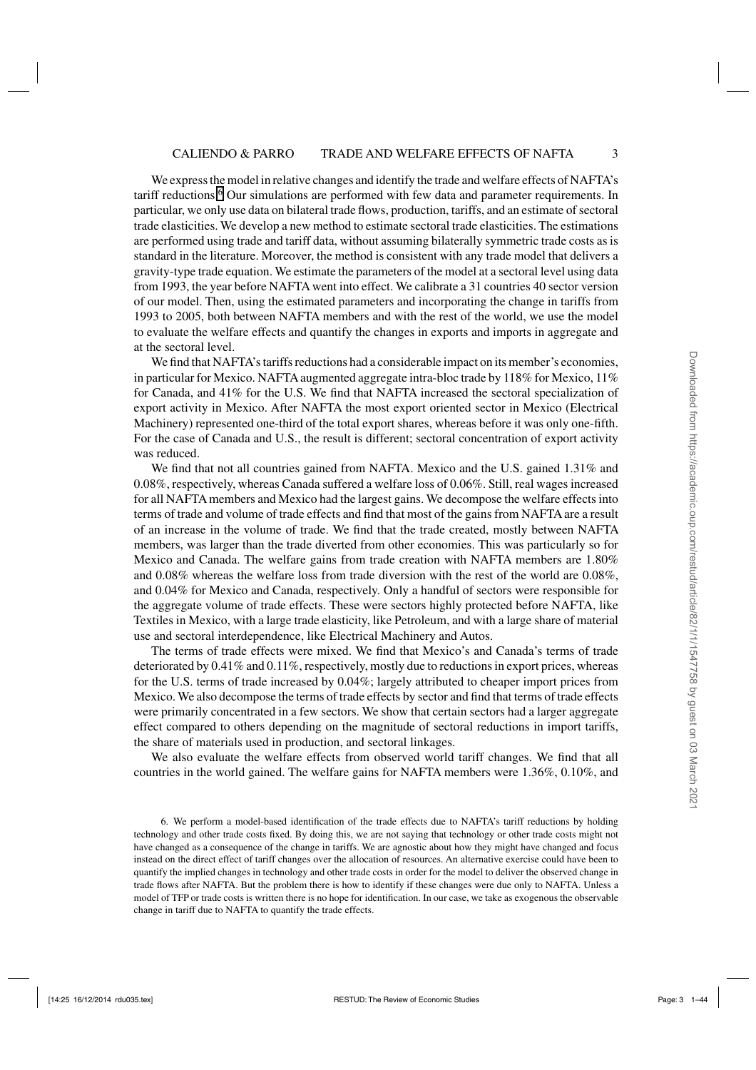We express the model in relative changes and identify the trade and welfare effects of NAFTA's tariff reductions.<sup>6</sup> Our simulations are performed with few data and parameter requirements. In particular, we only use data on bilateral trade flows, production, tariffs, and an estimate of sectoral trade elasticities. We develop a new method to estimate sectoral trade elasticities. The estimations are performed using trade and tariff data, without assuming bilaterally symmetric trade costs as is standard in the literature. Moreover, the method is consistent with any trade model that delivers a gravity-type trade equation. We estimate the parameters of the model at a sectoral level using data from 1993, the year before NAFTA went into effect. We calibrate a 31 countries 40 sector version of our model. Then, using the estimated parameters and incorporating the change in tariffs from 1993 to 2005, both between NAFTA members and with the rest of the world, we use the model to evaluate the welfare effects and quantify the changes in exports and imports in aggregate and at the sectoral level.

We find that NAFTA's tariffs reductions had a considerable impact on its member's economies, in particular for Mexico. NAFTA augmented aggregate intra-bloc trade by 118% for Mexico, 11% for Canada, and 41% for the U.S. We find that NAFTA increased the sectoral specialization of export activity in Mexico. After NAFTA the most export oriented sector in Mexico (Electrical Machinery) represented one-third of the total export shares, whereas before it was only one-fifth. For the case of Canada and U.S., the result is different; sectoral concentration of export activity was reduced.

We find that not all countries gained from NAFTA. Mexico and the U.S. gained 1.31% and 0.08%, respectively, whereas Canada suffered a welfare loss of 0.06%. Still, real wages increased for all NAFTA members and Mexico had the largest gains. We decompose the welfare effects into terms of trade and volume of trade effects and find that most of the gains from NAFTA are a result of an increase in the volume of trade. We find that the trade created, mostly between NAFTA members, was larger than the trade diverted from other economies. This was particularly so for Mexico and Canada. The welfare gains from trade creation with NAFTA members are 1.80% and 0.08% whereas the welfare loss from trade diversion with the rest of the world are 0.08%, and 0.04% for Mexico and Canada, respectively. Only a handful of sectors were responsible for the aggregate volume of trade effects. These were sectors highly protected before NAFTA, like Textiles in Mexico, with a large trade elasticity, like Petroleum, and with a large share of material use and sectoral interdependence, like Electrical Machinery and Autos.

The terms of trade effects were mixed. We find that Mexico's and Canada's terms of trade deteriorated by 0.41% and 0.11%, respectively, mostly due to reductions in export prices, whereas for the U.S. terms of trade increased by 0.04%; largely attributed to cheaper import prices from Mexico. We also decompose the terms of trade effects by sector and find that terms of trade effects were primarily concentrated in a few sectors. We show that certain sectors had a larger aggregate effect compared to others depending on the magnitude of sectoral reductions in import tariffs, the share of materials used in production, and sectoral linkages.

We also evaluate the welfare effects from observed world tariff changes. We find that all countries in the world gained. The welfare gains for NAFTA members were 1.36%, 0.10%, and

<sup>6.</sup> We perform a model-based identification of the trade effects due to NAFTA's tariff reductions by holding technology and other trade costs fixed. By doing this, we are not saying that technology or other trade costs might not have changed as a consequence of the change in tariffs. We are agnostic about how they might have changed and focus instead on the direct effect of tariff changes over the allocation of resources. An alternative exercise could have been to quantify the implied changes in technology and other trade costs in order for the model to deliver the observed change in trade flows after NAFTA. But the problem there is how to identify if these changes were due only to NAFTA. Unless a model of TFP or trade costs is written there is no hope for identification. In our case, we take as exogenous the observable change in tariff due to NAFTA to quantify the trade effects.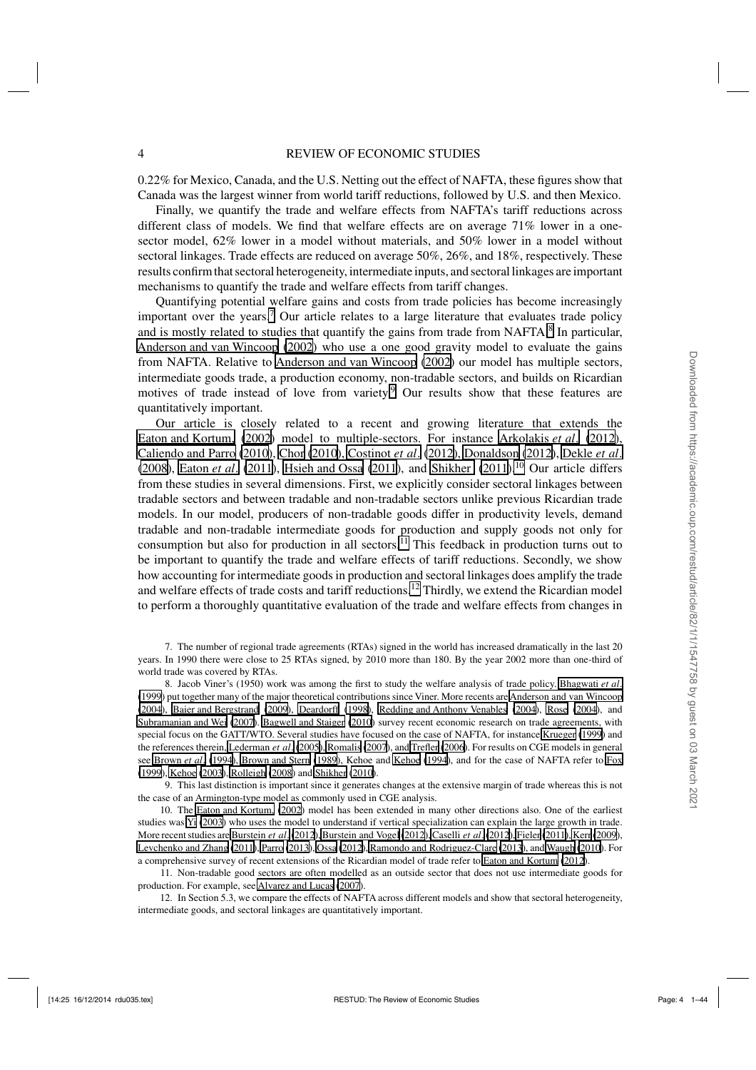0.22% for Mexico, Canada, and the U.S. Netting out the effect of NAFTA, these figures show that Canada was the largest winner from world tariff reductions, followed by U.S. and then Mexico.

Finally, we quantify the trade and welfare effects from NAFTA's tariff reductions across different class of models. We find that welfare effects are on average 71% lower in a onesector model, 62% lower in a model without materials, and 50% lower in a model without sectoral linkages. Trade effects are reduced on average 50%, 26%, and 18%, respectively. These results confirm that sectoral heterogeneity, intermediate inputs, and sectoral linkages are important mechanisms to quantify the trade and welfare effects from tariff changes.

Quantifying potential welfare gains and costs from trade policies has become increasingly important over the years.<sup>7</sup> Our article relates to a large literature that evaluates trade policy and is mostly related to studies that quantify the gains from trade from NAFTA. $\frac{8}{3}$  In particular, [Anderson and van Wincoop](#page-41-0) [\(2002](#page-41-0)) who use a one good gravity model to evaluate the gains from NAFTA. Relative to [Anderson and van Wincoop](#page-41-0) [\(2002\)](#page-41-0) our model has multiple sectors, intermediate goods trade, a production economy, non-tradable sectors, and builds on Ricardian motives of trade instead of love from variety.<sup>9</sup> Our results show that these features are quantitatively important.

Our article is closely related to a recent and growing literature that extends the [Eaton and Kortum,](#page-42-0) [\(2002](#page-42-0)) model to multiple-sectors. For instance [Arkolakis](#page-41-0) *et al*. [\(2012](#page-41-0)), [Caliendo and Parro](#page-41-0) [\(2010\)](#page-41-0), [Chor](#page-41-0) [\(2010\)](#page-41-0), [Costinot](#page-41-0) *et al*. [\(2012](#page-41-0)), [Donaldson](#page-42-0) [\(2012\)](#page-42-0), [Dekle](#page-41-0) *et al*. [\(2008](#page-41-0)), [Eaton](#page-42-0) *et al.* [\(2011\)](#page-43-0), [Hsieh and Ossa](#page-42-0) [\(2011](#page-42-0)), and [Shikher](#page-43-0) (2011).<sup>10</sup> Our article differs from these studies in several dimensions. First, we explicitly consider sectoral linkages between tradable sectors and between tradable and non-tradable sectors unlike previous Ricardian trade models. In our model, producers of non-tradable goods differ in productivity levels, demand tradable and non-tradable intermediate goods for production and supply goods not only for consumption but also for production in all sectors.<sup>11</sup> This feedback in production turns out to be important to quantify the trade and welfare effects of tariff reductions. Secondly, we show how accounting for intermediate goods in production and sectoral linkages does amplify the trade and welfare effects of trade costs and tariff reductions.<sup>12</sup> Thirdly, we extend the Ricardian model to perform a thoroughly quantitative evaluation of the trade and welfare effects from changes in

7. The number of regional trade agreements (RTAs) signed in the world has increased dramatically in the last 20 years. In 1990 there were close to 25 RTAs signed, by 2010 more than 180. By the year 2002 more than one-third of world trade was covered by RTAs.

8. Jacob Viner's (1950) work was among the first to study the welfare analysis of trade policy. [Bhagwati](#page-41-0) *et al*. [\(1999](#page-41-0)) put together many of the major theoretical contributions since Viner. More recents are [Anderson and van Wincoop](#page-41-0) [\(2004](#page-41-0)), [Baier and Bergstrand](#page-41-0) [\(2009\)](#page-41-0), [Deardorff](#page-41-0) [\(1998\)](#page-41-0), [Redding and Anthony Venables](#page-42-0) [\(2004](#page-42-0)), [Rose](#page-42-0) [\(2004\)](#page-42-0), and [Subramanian and Wei](#page-43-0) [\(2007\)](#page-43-0). [Bagwell and Staiger](#page-41-0) [\(2010\)](#page-41-0) survey recent economic research on trade agreements, with special focus on the GATT/WTO. Several studies have focused on the case of NAFTA, for instance [Krueger](#page-42-0) [\(1999](#page-42-0)) and the references therein, [Lederman](#page-42-0) *et al*. [\(2005\)](#page-42-0), [Romalis](#page-42-0) [\(2007\)](#page-42-0), and [Trefler](#page-43-0) [\(2006\)](#page-43-0). For results on CGE models in general see [Brown](#page-41-0) *et al*. [\(1994](#page-41-0)), [Brown and Stern](#page-41-0) [\(1989](#page-41-0)), Kehoe and [Kehoe](#page-42-0) [\(1994](#page-42-0)), and for the case of NAFTA refer to [Fox](#page-42-0) [\(1999](#page-42-0)), [Kehoe](#page-42-0) [\(2003](#page-42-0)), [Rolleigh](#page-42-0) [\(2008](#page-42-0)) and [Shikher](#page-43-0) [\(2010\)](#page-43-0).

9. This last distinction is important since it generates changes at the extensive margin of trade whereas this is not the case of an Armington-type model as commonly used in CGE analysis.

10. The [Eaton and Kortum,](#page-42-0) [\(2002](#page-42-0)) model has been extended in many other directions also. One of the earliest studies was [Yi](#page-43-0) [\(2003\)](#page-43-0) who uses the model to understand if vertical specialization can explain the large growth in trade. More recent studies ar[e Burstein](#page-41-0) *et al*.[\(2012\)](#page-41-0), [Burstein and Vogel](#page-41-0) [\(2012\), Caselli](#page-41-0) *et al*.[\(2012](#page-41-0)), [Fieler](#page-42-0) [\(2011](#page-42-0)), [Kerr](#page-42-0) [\(2009\)](#page-42-0), [Levchenko and Zhang](#page-42-0) [\(2011\)](#page-42-0), [Parro](#page-42-0) [\(2013\)](#page-42-0), [Ossa](#page-42-0) [\(2012](#page-42-0)), [Ramondo and Rodriguez-Clare](#page-42-0) [\(2013](#page-42-0)), and [Waugh](#page-43-0) [\(2010\)](#page-43-0). For a comprehensive survey of recent extensions of the Ricardian model of trade refer to [Eaton and Kortum](#page-42-0) [\(2012](#page-42-0)).

11. Non-tradable good sectors are often modelled as an outside sector that does not use intermediate goods for production. For example, see [Alvarez and Lucas](#page-40-0) [\(2007](#page-40-0)).

12. In Section 5.3, we compare the effects of NAFTA across different models and show that sectoral heterogeneity, intermediate goods, and sectoral linkages are quantitatively important.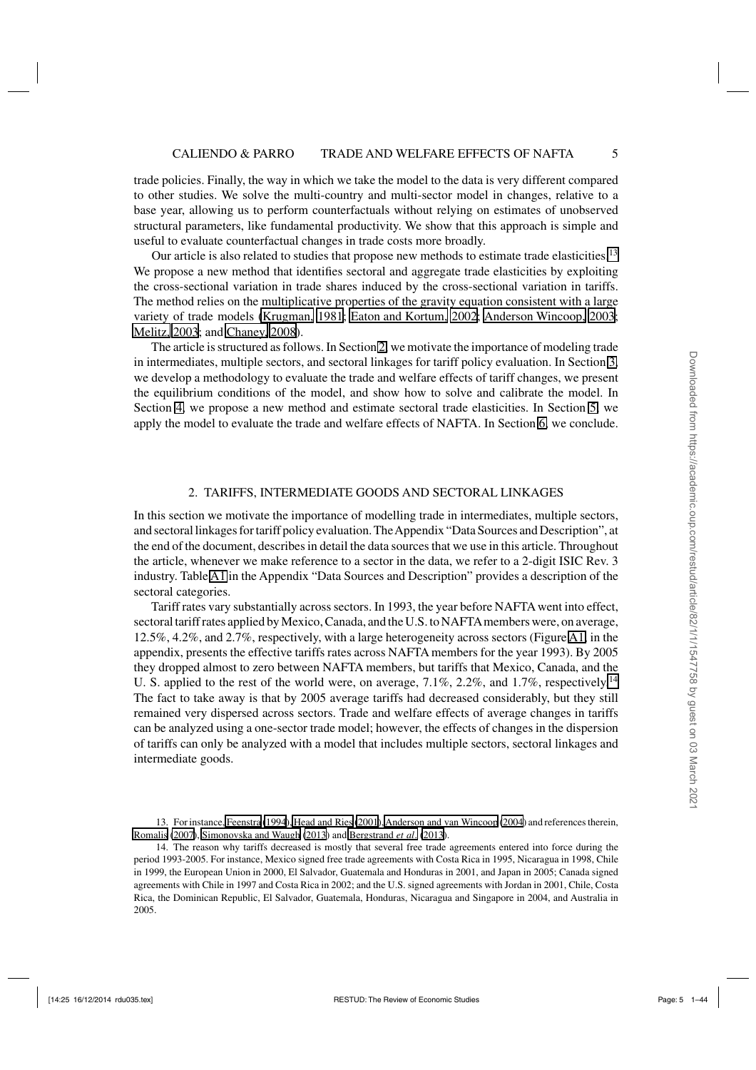<span id="page-4-0"></span>trade policies. Finally, the way in which we take the model to the data is very different compared to other studies. We solve the multi-country and multi-sector model in changes, relative to a base year, allowing us to perform counterfactuals without relying on estimates of unobserved structural parameters, like fundamental productivity. We show that this approach is simple and useful to evaluate counterfactual changes in trade costs more broadly.

Our article is also related to studies that propose new methods to estimate trade elasticities.<sup>13</sup> We propose a new method that identifies sectoral and aggregate trade elasticities by exploiting the cross-sectional variation in trade shares induced by the cross-sectional variation in tariffs. The method relies on the multiplicative properties of the gravity equation consistent with a large variety of trade models [\(Krugman, 1981](#page-42-0); [Eaton and Kortum, 2002;](#page-42-0) [Anderson Wincoop, 2003](#page-41-0); [Melitz, 2003](#page-42-0); and [Chaney, 2008](#page-41-0)).

The article is structured as follows. In Section 2, we motivate the importance of modeling trade in intermediates, multiple sectors, and sectoral linkages for tariff policy evaluation. In Section [3,](#page-5-0) we develop a methodology to evaluate the trade and welfare effects of tariff changes, we present the equilibrium conditions of the model, and show how to solve and calibrate the model. In Section [4,](#page-14-0) we propose a new method and estimate sectoral trade elasticities. In Section [5,](#page-18-0) we apply the model to evaluate the trade and welfare effects of NAFTA. In Section [6,](#page-27-0) we conclude.

#### 2. TARIFFS, INTERMEDIATE GOODS AND SECTORAL LINKAGES

In this section we motivate the importance of modelling trade in intermediates, multiple sectors, and sectoral linkages for tariff policy evaluation. TheAppendix "Data Sources and Description", at the end of the document, describes in detail the data sources that we use in this article. Throughout the article, whenever we make reference to a sector in the data, we refer to a 2-digit ISIC Rev. 3 industry. Table [A1](#page-17-0) in the Appendix "Data Sources and Description" provides a description of the sectoral categories.

Tariff rates vary substantially across sectors. In 1993, the year before NAFTA went into effect, sectoral tariff rates applied by Mexico, Canada, and the U.S. to NAFTAmembers were, on average, 12.5%, 4.2%, and 2.7%, respectively, with a large heterogeneity across sectors (Figure [A1,](#page-34-0) in the appendix, presents the effective tariffs rates across NAFTA members for the year 1993). By 2005 they dropped almost to zero between NAFTA members, but tariffs that Mexico, Canada, and the U. S. applied to the rest of the world were, on average,  $7.1\%$ ,  $2.2\%$ , and  $1.7\%$ , respectively.<sup>14</sup> The fact to take away is that by 2005 average tariffs had decreased considerably, but they still remained very dispersed across sectors. Trade and welfare effects of average changes in tariffs can be analyzed using a one-sector trade model; however, the effects of changes in the dispersion of tariffs can only be analyzed with a model that includes multiple sectors, sectoral linkages and intermediate goods.

<sup>13.</sup> For instance, [Feenstra](#page-42-0) [\(1994\), Head and Ries](#page-42-0) [\(2001\)](#page-42-0),[Anderson and van Wincoop](#page-41-0) [\(2004](#page-41-0)) and references therein, [Romalis](#page-42-0) [\(2007\)](#page-42-0), [Simonovska and Waugh](#page-43-0) [\(2013](#page-43-0)) and [Bergstrand](#page-41-0) *et al*. [\(2013](#page-41-0)).

<sup>14.</sup> The reason why tariffs decreased is mostly that several free trade agreements entered into force during the period 1993-2005. For instance, Mexico signed free trade agreements with Costa Rica in 1995, Nicaragua in 1998, Chile in 1999, the European Union in 2000, El Salvador, Guatemala and Honduras in 2001, and Japan in 2005; Canada signed agreements with Chile in 1997 and Costa Rica in 2002; and the U.S. signed agreements with Jordan in 2001, Chile, Costa Rica, the Dominican Republic, El Salvador, Guatemala, Honduras, Nicaragua and Singapore in 2004, and Australia in 2005.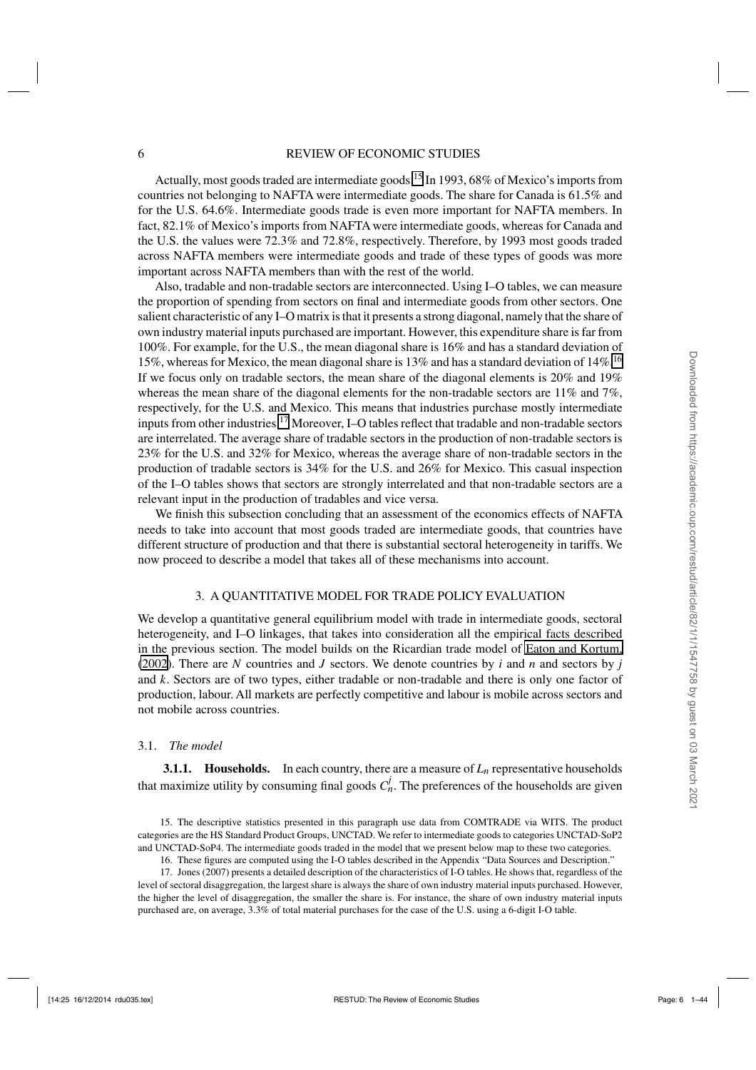<span id="page-5-0"></span>Actually, most goods traded are intermediate goods.<sup>15</sup> In 1993, 68% of Mexico's imports from countries not belonging to NAFTA were intermediate goods. The share for Canada is 61.5% and for the U.S. 64.6%. Intermediate goods trade is even more important for NAFTA members. In fact, 82.1% of Mexico's imports from NAFTA were intermediate goods, whereas for Canada and the U.S. the values were 72.3% and 72.8%, respectively. Therefore, by 1993 most goods traded across NAFTA members were intermediate goods and trade of these types of goods was more important across NAFTA members than with the rest of the world.

Also, tradable and non-tradable sectors are interconnected. Using I–O tables, we can measure the proportion of spending from sectors on final and intermediate goods from other sectors. One salient characteristic of any I–O matrix is that it presents a strong diagonal, namely that the share of own industry material inputs purchased are important. However, this expenditure share is far from 100%. For example, for the U.S., the mean diagonal share is 16% and has a standard deviation of 15%, whereas for Mexico, the mean diagonal share is 13% and has a standard deviation of 14%.<sup>16</sup> If we focus only on tradable sectors, the mean share of the diagonal elements is 20% and 19% whereas the mean share of the diagonal elements for the non-tradable sectors are  $11\%$  and  $7\%$ , respectively, for the U.S. and Mexico. This means that industries purchase mostly intermediate inputs from other industries.<sup>17</sup> Moreover, I–O tables reflect that tradable and non-tradable sectors are interrelated. The average share of tradable sectors in the production of non-tradable sectors is 23% for the U.S. and 32% for Mexico, whereas the average share of non-tradable sectors in the production of tradable sectors is 34% for the U.S. and 26% for Mexico. This casual inspection of the I–O tables shows that sectors are strongly interrelated and that non-tradable sectors are a relevant input in the production of tradables and vice versa.

We finish this subsection concluding that an assessment of the economics effects of NAFTA needs to take into account that most goods traded are intermediate goods, that countries have different structure of production and that there is substantial sectoral heterogeneity in tariffs. We now proceed to describe a model that takes all of these mechanisms into account.

#### 3. A QUANTITATIVE MODEL FOR TRADE POLICY EVALUATION

We develop a quantitative general equilibrium model with trade in intermediate goods, sectoral heterogeneity, and I–O linkages, that takes into consideration all the empirical facts described in the previous section. The model builds on the Ricardian trade model of [Eaton and Kortum,](#page-42-0) [\(2002](#page-42-0)). There are *N* countries and *J* sectors. We denote countries by *i* and *n* and sectors by *j* and *k*. Sectors are of two types, either tradable or non-tradable and there is only one factor of production, labour. All markets are perfectly competitive and labour is mobile across sectors and not mobile across countries.

#### 3.1. *The model*

**3.1.1. Households.** In each country, there are a measure of  $L_n$  representative households that maximize utility by consuming final goods  $C_n^j$ . The preferences of the households are given

16. These figures are computed using the I-O tables described in the Appendix "Data Sources and Description."

<sup>15.</sup> The descriptive statistics presented in this paragraph use data from COMTRADE via WITS. The product categories are the HS Standard Product Groups, UNCTAD. We refer to intermediate goods to categories UNCTAD-SoP2 and UNCTAD-SoP4. The intermediate goods traded in the model that we present below map to these two categories.

<sup>17.</sup> Jones (2007) presents a detailed description of the characteristics of I-O tables. He shows that, regardless of the level of sectoral disaggregation, the largest share is always the share of own industry material inputs purchased. However, the higher the level of disaggregation, the smaller the share is. For instance, the share of own industry material inputs purchased are, on average, 3.3% of total material purchases for the case of the U.S. using a 6-digit I-O table.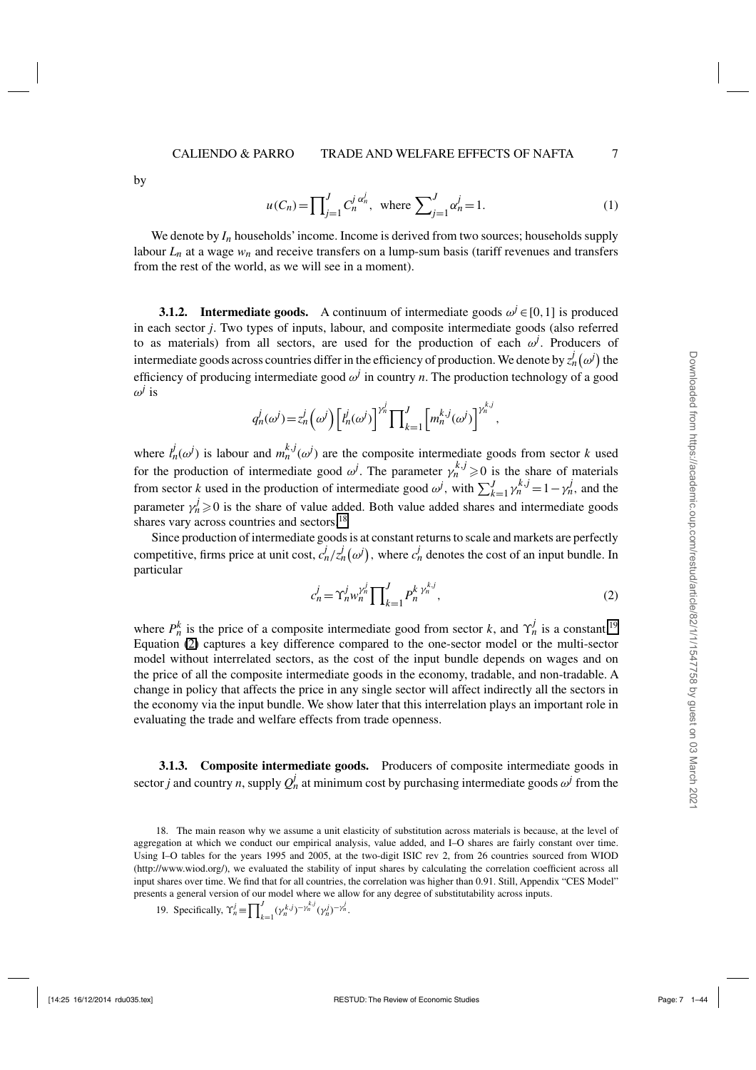<span id="page-6-0"></span>by

$$
u(C_n) = \prod_{j=1}^{J} C_n^{j \alpha_n^j}, \text{ where } \sum_{j=1}^{J} \alpha_n^j = 1.
$$
 (1)

We denote by  $I_n$  households' income. Income is derived from two sources; households supply labour  $L_n$  at a wage  $w_n$  and receive transfers on a lump-sum basis (tariff revenues and transfers from the rest of the world, as we will see in a moment).

**3.1.2. Intermediate goods.** A continuum of intermediate goods  $\omega^j \in [0,1]$  is produced in each sector *j*. Two types of inputs, labour, and composite intermediate goods (also referred to as materials) from all sectors, are used for the production of each  $\omega^j$ . Producers of intermediate goods across countries differ in the efficiency of production. We denote by  $z_n^j(\omega^j)$  the efficiency of producing intermediate good  $\omega^j$  in country *n*. The production technology of a good  $\omega$ <sup>*j*</sup> is

$$
q_n^j(\omega^j) = z_n^j(\omega^j) \left[ t_n^j(\omega^j) \right]^{\gamma_n^j} \prod_{k=1}^J \left[ m_n^{k,j}(\omega^j) \right]^{\gamma_n^{k,j}},
$$

where  $l_n^j(\omega^j)$  is labour and  $m_n^{k,j}(\omega^j)$  are the composite intermediate goods from sector *k* used for the production of intermediate good  $\omega^j$ . The parameter  $\gamma_n^{k,j} \geq 0$  is the share of materials from sector *k* used in the production of intermediate good  $\omega^j$ , with  $\sum_{k=1}^J \gamma_n^{k,j} = 1 - \gamma_n^j$ , and the parameter  $\gamma_n^j \geq 0$  is the share of value added. Both value added shares and intermediate goods shares vary across countries and sectors.<sup>18</sup>

Since production of intermediate goods is at constant returns to scale and markets are perfectly competitive, firms price at unit cost,  $c_n^j/z_n^j(\omega^j)$ , where  $c_n^j$  denotes the cost of an input bundle. In particular

$$
c_n^j = \Upsilon_n^j w_n^{\gamma_n^j} \prod_{k=1}^J P_n^{k \gamma_n^{k,j}}, \tag{2}
$$

where  $P_h^k$  is the price of a composite intermediate good from sector *k*, and  $\Upsilon_n^j$  is a constant.<sup>19</sup> Equation (2) captures a key difference compared to the one-sector model or the multi-sector model without interrelated sectors, as the cost of the input bundle depends on wages and on the price of all the composite intermediate goods in the economy, tradable, and non-tradable. A change in policy that affects the price in any single sector will affect indirectly all the sectors in the economy via the input bundle. We show later that this interrelation plays an important role in evaluating the trade and welfare effects from trade openness.

**3.1.3. Composite intermediate goods.** Producers of composite intermediate goods in sector *j* and country *n*, supply  $Q_n^j$  at minimum cost by purchasing intermediate goods  $\omega^j$  from the

<sup>18.</sup> The main reason why we assume a unit elasticity of substitution across materials is because, at the level of aggregation at which we conduct our empirical analysis, value added, and I–O shares are fairly constant over time. Using I–O tables for the years 1995 and 2005, at the two-digit ISIC rev 2, from 26 countries sourced from WIOD (http://www.wiod.org/), we evaluated the stability of input shares by calculating the correlation coefficient across all input shares over time. We find that for all countries, the correlation was higher than 0.91. Still, Appendix "CES Model" presents a general version of our model where we allow for any degree of substitutability across inputs.

<sup>19.</sup> Specifically,  $\Upsilon_n^j \equiv \prod_k^j$  $\int_{k=1}^{J} (\gamma_n^{k,j})^{-\gamma_n^{k,j}} (\gamma_n^{j})^{-\gamma_n^{j}}.$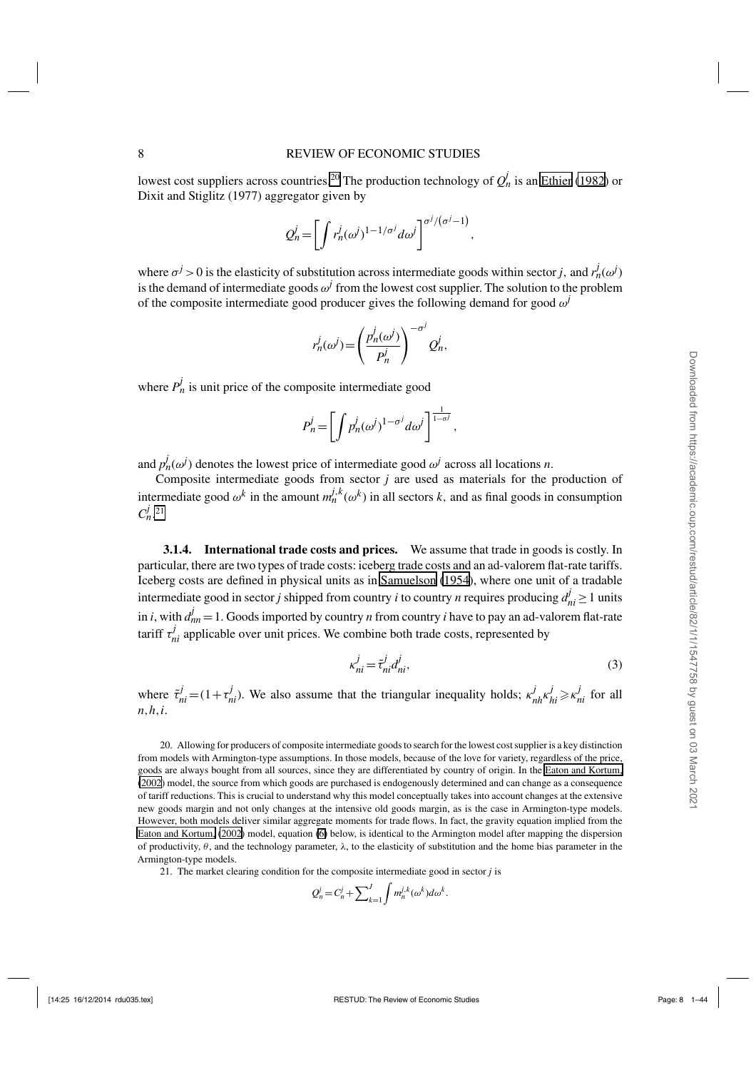<span id="page-7-0"></span>lowest cost suppliers across countries.<sup>20</sup> The production technology of  $Q_n^j$  is an [Ethier](#page-42-0) [\(1982](#page-42-0)) or Dixit and Stiglitz (1977) aggregator given by

$$
Q_n^j = \left[ \int r_n^j (\omega^j)^{1-1/\sigma^j} d\omega^j \right]^{\sigma^j/(\sigma^j-1)},
$$

where  $\sigma^j > 0$  is the elasticity of substitution across intermediate goods within sector *j*, and  $r_n^j(\omega^j)$ is the demand of intermediate goods  $\omega^j$  from the lowest cost supplier. The solution to the problem of the composite intermediate good producer gives the following demand for good  $\omega$ <sup>*j*</sup>

$$
r_n^j(\omega^j) = \left(\frac{p_n^j(\omega^j)}{p_n^j}\right)^{-\sigma^j} Q_n^j,
$$

where  $P_h^j$  is unit price of the composite intermediate good

$$
P_n^j = \left[ \int p_n^j (\omega^j)^{1-\sigma^j} d\omega^j \right]^{\frac{1}{1-\sigma^j}},
$$

and  $p_n^j(\omega^j)$  denotes the lowest price of intermediate good  $\omega^j$  across all locations *n*.

Composite intermediate goods from sector *j* are used as materials for the production of intermediate good  $\omega^k$  in the amount  $m_n^{j,k}(\omega^k)$  in all sectors *k*, and as final goods in consumption  $C_n^{j}$ <sup>21</sup>

**3.1.4. International trade costs and prices.** We assume that trade in goods is costly. In particular, there are two types of trade costs: iceberg trade costs and an ad-valorem flat-rate tariffs. Iceberg costs are defined in physical units as in [Samuelson](#page-42-0) [\(1954\)](#page-42-0), where one unit of a tradable intermediate good in sector *j* shipped from country *i* to country *n* requires producing  $d_{ni}^j \ge 1$  units in *i*, with  $d_{nn}^{j} = 1$ . Goods imported by country *n* from country *i* have to pay an ad-valorem flat-rate tariff  $\tau_{ni}^j$  applicable over unit prices. We combine both trade costs, represented by

$$
\kappa_{ni}^j = \tilde{\tau}_{ni}^j d_{ni}^j,\tag{3}
$$

where  $\tilde{\tau}_{ni}^j = (1 + \tau_{ni}^j)$ . We also assume that the triangular inequality holds;  $\kappa_{nh}^j \kappa_{hi}^j \ge \kappa_{ni}^j$  for all *n*,*h*,*i*.

20. Allowing for producers of composite intermediate goods to search for the lowest cost supplier is a key distinction from models with Armington-type assumptions. In those models, because of the love for variety, regardless of the price, goods are always bought from all sources, since they are differentiated by country of origin. In the [Eaton and Kortum,](#page-42-0) [\(2002](#page-42-0)) model, the source from which goods are purchased is endogenously determined and can change as a consequence of tariff reductions. This is crucial to understand why this model conceptually takes into account changes at the extensive new goods margin and not only changes at the intensive old goods margin, as is the case in Armington-type models. However, both models deliver similar aggregate moments for trade flows. In fact, the gravity equation implied from the [Eaton and Kortum,](#page-42-0) [\(2002](#page-42-0)) model, equation [\(6\)](#page-9-0) below, is identical to the Armington model after mapping the dispersion of productivity,  $\theta$ , and the technology parameter,  $\lambda$ , to the elasticity of substitution and the home bias parameter in the Armington-type models.

21. The market clearing condition for the composite intermediate good in sector *j* is

$$
Q_n^j = C_n^j + \sum_{k=1}^J \int m_n^{j,k} (\omega^k) d\omega^k.
$$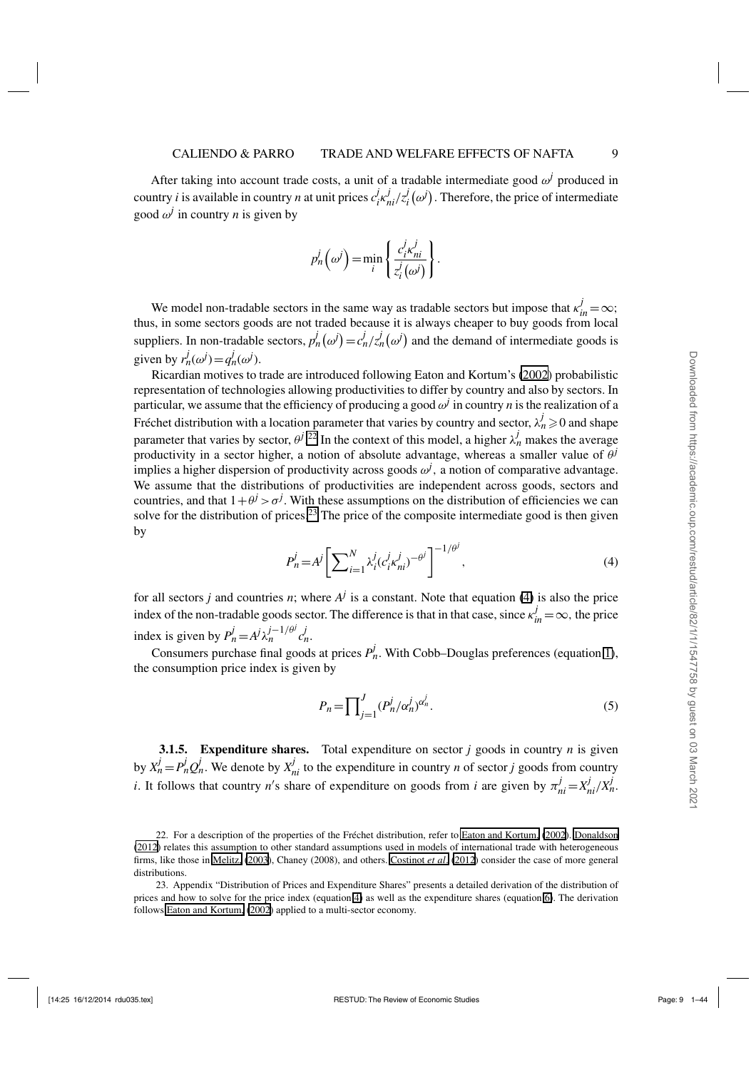<span id="page-8-0"></span>After taking into account trade costs, a unit of a tradable intermediate good  $\omega^j$  produced in country *i* is available in country *n* at unit prices  $c_j^j$ *i* κ*j ni*/*z j*  $\mathcal{L}_i^J(\omega^j)$ . Therefore, the price of intermediate good  $\omega^j$  in country *n* is given by

$$
p_n^j(\omega^j) = \min_i \left\{ \frac{c_i^j \kappa_{ni}^j}{z_i^j(\omega^j)} \right\}.
$$

We model non-tradable sectors in the same way as tradable sectors but impose that  $\kappa_{in}^{j} = \infty$ ; thus, in some sectors goods are not traded because it is always cheaper to buy goods from local suppliers. In non-tradable sectors,  $p_n^j(\omega^j) = c_n^j / z_n^j(\omega^j)$  and the demand of intermediate goods is given by  $r_n^j(\omega^j) = q_n^j(\omega^j)$ .

Ricardian motives to trade are introduced following Eaton and Kortum's [\(2002\)](#page-42-0) probabilistic representation of technologies allowing productivities to differ by country and also by sectors. In particular, we assume that the efficiency of producing a good  $\omega^j$  in country *n* is the realization of a Fréchet distribution with a location parameter that varies by country and sector,  $\lambda_n^j \geqslant 0$  and shape parameter that varies by sector,  $\theta^{j}$ .<sup>22</sup> In the context of this model, a higher  $\lambda_n^j$  makes the average productivity in a sector higher, a notion of absolute advantage, whereas a smaller value of  $\theta$ <sup>*j*</sup> implies a higher dispersion of productivity across goods  $\omega^j$ , a notion of comparative advantage. We assume that the distributions of productivities are independent across goods, sectors and countries, and that  $1+\theta^j > \sigma^j$ . With these assumptions on the distribution of efficiencies we can solve for the distribution of prices.<sup>23</sup> The price of the composite intermediate good is then given by

$$
P_n^j = A^j \left[ \sum_{i=1}^N \lambda_i^j (c_i^j \kappa_{ni}^j)^{-\theta^j} \right]^{-1/\theta^j},\tag{4}
$$

for all sectors *j* and countries *n*; where  $A^j$  is a constant. Note that equation (4) is also the price index of the non-tradable goods sector. The difference is that in that case, since  $\kappa_{in}^j = \infty$ , the price index is given by  $P_n^j = A^j \lambda_n^{j-1/\theta^j} c_n^j$ .

Consumers purchase final goods at prices  $P_h^j$ . With Cobb–Douglas preferences (equation [1\)](#page-6-0), the consumption price index is given by

$$
P_n = \prod_{j=1}^J (P_n^j / \alpha_n^j)^{\alpha_n^j}.
$$
\n<sup>(5)</sup>

**3.1.5. Expenditure shares.** Total expenditure on sector *j* goods in country *n* is given by  $X_n^j = P_n^j Q_n^j$ . We denote by  $X_{ni}^j$  to the expenditure in country *n* of sector *j* goods from country *i*. It follows that country *n*'s share of expenditure on goods from *i* are given by  $\pi_{ni}^{j} = X_{ni}^{j}/X_{n}^{j}$ .

<sup>22.</sup> For a description of the properties of the Fréchet distribution, refer to [Eaton and Kortum,](#page-42-0) [\(2002](#page-42-0)). [Donaldson](#page-42-0) [\(2012](#page-42-0)) relates this assumption to other standard assumptions used in models of international trade with heterogeneous firms, like those in [Melitz,](#page-42-0) [\(2003](#page-42-0)), Chaney (2008), and others. [Costinot](#page-41-0) *et al*. [\(2012](#page-41-0)) consider the case of more general distributions.

<sup>23.</sup> Appendix "Distribution of Prices and Expenditure Shares" presents a detailed derivation of the distribution of prices and how to solve for the price index (equation 4) as well as the expenditure shares (equation [6\)](#page-9-0). The derivation follows [Eaton and Kortum,](#page-42-0) [\(2002\)](#page-42-0) applied to a multi-sector economy.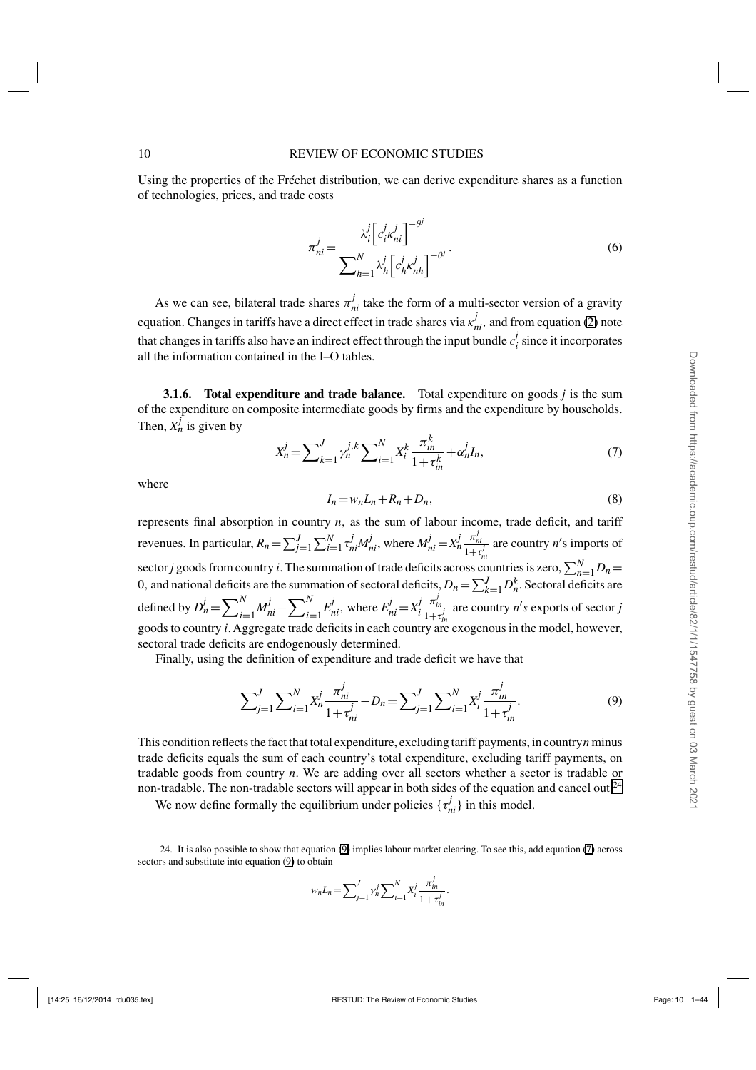<span id="page-9-0"></span>Using the properties of the Fréchet distribution, we can derive expenditure shares as a function of technologies, prices, and trade costs

$$
\pi_{ni}^j = \frac{\lambda_i^j \left[c_i^j \kappa_{ni}^j\right]^{-\theta^j}}{\sum_{h=1}^N \lambda_h^j \left[c_h^j \kappa_{nh}^j\right]^{-\theta^j}}.
$$
\n(6)

As we can see, bilateral trade shares  $\pi_{ni}^j$  take the form of a multi-sector version of a gravity equation. Changes in tariffs have a direct effect in trade shares via  $\kappa_{ni}^j$ , and from equation [\(2\)](#page-6-0) note that changes in tariffs also have an indirect effect through the input bundle  $c_i^j$  since it incorporates all the information contained in the I–O tables.

**3.1.6. Total expenditure and trade balance.** Total expenditure on goods *j* is the sum of the expenditure on composite intermediate goods by firms and the expenditure by households. Then,  $X_n^j$  is given by

$$
X_n^j = \sum_{k=1}^J \gamma_n^{j,k} \sum_{i=1}^N X_i^k \frac{\pi_{in}^k}{1 + \tau_{in}^k} + \alpha_n^j I_n,\tag{7}
$$

where

$$
I_n = w_n L_n + R_n + D_n,\tag{8}
$$

represents final absorption in country *n*, as the sum of labour income, trade deficit, and tariff revenues. In particular,  $R_n = \sum_{j=1}^{J} \sum_{i=1}^{N} \tau_{ni}^j M_{ni}^j$ , where  $M_{ni}^j = X_n^j \frac{\pi_{ni}^j}{1 + \tau_{ni}^j}$  are country n's imports of sector *j* goods from country *i*. The summation of trade deficits across countries is zero,  $\sum_{n=1}^{N} D_n =$ 0, and national deficits are the summation of sectoral deficits,  $D_n = \sum_{k=1}^{J} D_n^k$ . Sectoral deficits are defined by  $D_n^j = \sum_{i=1}^N$ *N*<sub>*ni*</sub> −  $\sum_{i=1}^{N}$  $\sum_{i=1}^{N} E_{ni}^{j}$ , where  $E_{ni}^{j} = X_{i}^{j}$  $\frac{\pi_{in}^j}{1+\tau_{in}^j}$  are country *n's* exports of sector *j* goods to country *i*. Aggregate trade deficits in each country are exogenous in the model, however, sectoral trade deficits are endogenously determined.

Finally, using the definition of expenditure and trade deficit we have that

$$
\sum_{j=1}^{J} \sum_{i=1}^{N} X_n^j \frac{\pi_{ni}^j}{1 + \tau_{ni}^j} - D_n = \sum_{j=1}^{J} \sum_{i=1}^{N} X_i^j \frac{\pi_{in}^j}{1 + \tau_{in}^j}.
$$
\n(9)

This condition reflects the fact that total expenditure, excluding tariff payments, in country*n* minus trade deficits equals the sum of each country's total expenditure, excluding tariff payments, on tradable goods from country *n*. We are adding over all sectors whether a sector is tradable or non-tradable. The non-tradable sectors will appear in both sides of the equation and cancel out.<sup>24</sup>

We now define formally the equilibrium under policies  $\{\tau_{ni}^j\}$  in this model.

24. It is also possible to show that equation (9) implies labour market clearing. To see this, add equation (7) across sectors and substitute into equation (9) to obtain

$$
w_n L_n = \sum_{j=1}^J \gamma_n^j \sum_{i=1}^N X_i^j \frac{\pi_m^j}{1 + \tau_m^j}.
$$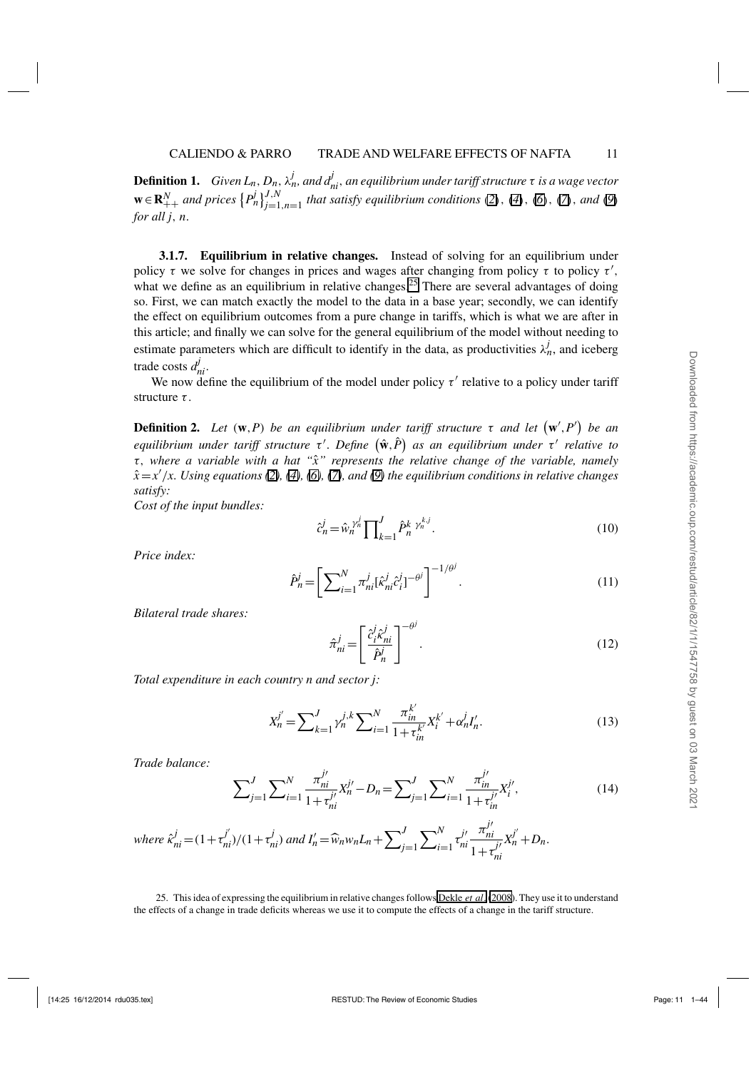<span id="page-10-0"></span>**Definition 1.** *Given L<sub>n</sub>*,  $D_n$ ,  $\lambda_n^j$ , and  $d_{ni}^j$ , an equilibrium under tariff structure  $\tau$  is a wage vector  $\mathbf{w} \in \mathbb{R}_{++}^N$  and prices  $\{P_n^j\}_{j=1,n=1}^{J,N}$  that satisfy equilibrium conditions ([2](#page-6-0)), ([4](#page-8-0)), ([6](#page-9-0)), ([7](#page-9-0)), and ([9](#page-9-0)) *for all j*, *n*.

**3.1.7. Equilibrium in relative changes.** Instead of solving for an equilibrium under policy  $\tau$  we solve for changes in prices and wages after changing from policy  $\tau$  to policy  $\tau'$ , what we define as an equilibrium in relative changes.<sup>25</sup> There are several advantages of doing so. First, we can match exactly the model to the data in a base year; secondly, we can identify the effect on equilibrium outcomes from a pure change in tariffs, which is what we are after in this article; and finally we can solve for the general equilibrium of the model without needing to estimate parameters which are difficult to identify in the data, as productivities  $\lambda_n^j$ , and iceberg trade costs  $d_{ni}^j$ .

We now define the equilibrium of the model under policy  $\tau'$  relative to a policy under tariff structure  $\tau$ .

**Definition 2.** Let  $(w, P)$  be an equilibrium under tariff structure  $\tau$  and let  $(w', P')$  be an *equilibrium under tariff structure* τ'. Define  $(\hat{\bf{w}}, P)$  as an equilibrium under τ' relative to τ, *where a variable with a hat "x" represents the relative change of the variable, namely* ˆ *x*ˆ =*x* /*x. Using equations [\(2\)](#page-6-0), [\(4\)](#page-8-0), [\(6\)](#page-9-0), [\(7\)](#page-9-0), and [\(9\)](#page-9-0) the equilibrium conditions in relative changes satisfy:*

*Cost of the input bundles:*

$$
\hat{c}_n^j = \hat{w}_n^{\gamma_n^j} \prod_{k=1}^J \hat{P}_n^k^{\gamma_n^{k,j}}.
$$
\n(10)

*Price index:*

$$
\hat{P}_n^j = \left[ \sum_{i=1}^N \pi_{ni}^j [\hat{\kappa}_{ni}^j \hat{c}_i^j]^{-\theta^j} \right]^{-1/\theta^j}.
$$
\n(11)

*Bilateral trade shares:*

$$
\hat{\pi}_{ni}^j = \left[ \frac{\hat{c}_i^j \hat{\kappa}_{ni}^j}{\hat{P}_n^j} \right]^{-\theta^j} . \tag{12}
$$

*Total expenditure in each country n and sector j:*

$$
X_n^{j'} = \sum_{k=1}^J \gamma_n^{j,k} \sum_{i=1}^N \frac{\pi_{in}^{k'}}{1 + \tau_m^{k'}} X_i^{k'} + \alpha_n^j I_n'.
$$
 (13)

*Trade balance:*

$$
\sum_{j=1}^{J} \sum_{i=1}^{N} \frac{\pi_{ni}^{j'}}{1 + \tau_{ni}^{j'}} X_n^{j'} - D_n = \sum_{j=1}^{J} \sum_{i=1}^{N} \frac{\pi_{in}^{j'}}{1 + \tau_{in}^{j'}} X_i^{j'},
$$
(14)

where 
$$
\hat{\kappa}_{ni}^j = (1 + \tau_{ni}^{j'})/(1 + \tau_{ni}^{j})
$$
 and  $I'_n = \hat{w}_n w_n L_n + \sum_{j=1}^J \sum_{i=1}^N \tau_{ni}^{j'} \frac{\pi_{ni}^{j'}}{1 + \tau_{ni}^{j'}} X_n^{j'} + D_n$ .

25. This idea of expressing the equilibrium in relative changes follows [Dekle](#page-41-0) *et al*. [\(2008\)](#page-41-0). They use it to understand the effects of a change in trade deficits whereas we use it to compute the effects of a change in the tariff structure.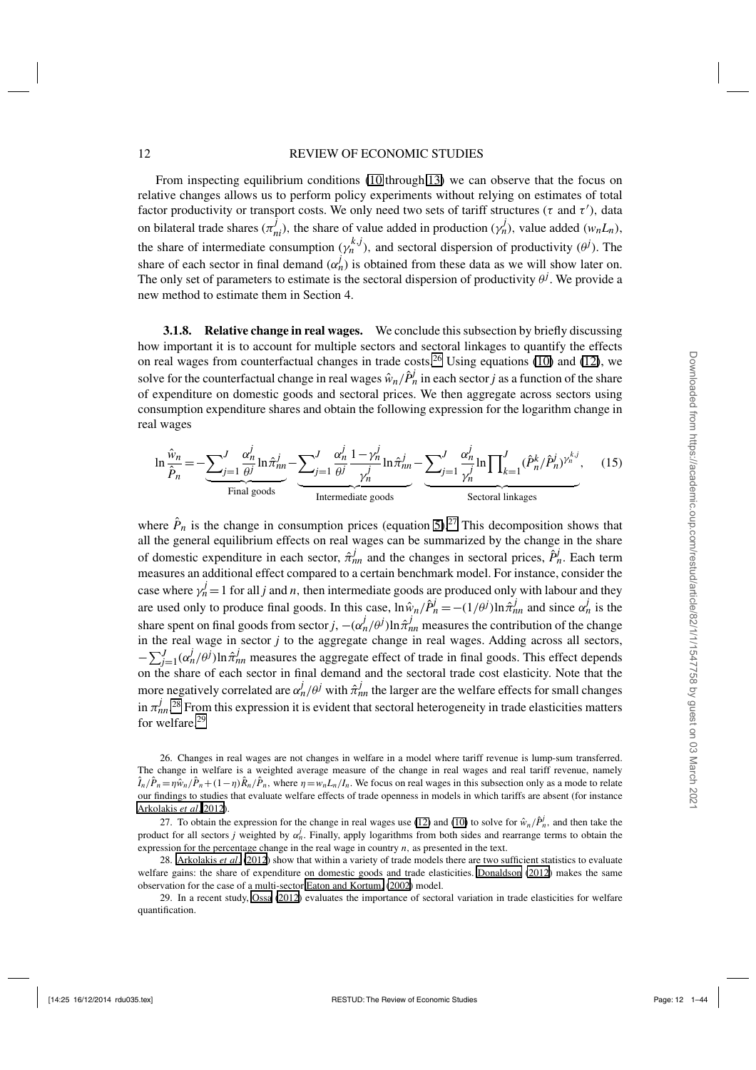#### <span id="page-11-0"></span>12 REVIEW OF ECONOMIC STUDIES

From inspecting equilibrium conditions ([10](#page-10-0) through [13](#page-10-0)) we can observe that the focus on relative changes allows us to perform policy experiments without relying on estimates of total factor productivity or transport costs. We only need two sets of tariff structures ( $\tau$  and  $\tau'$ ), data on bilateral trade shares  $(\pi_{ni}^j)$ , the share of value added in production  $(\gamma_n^j)$ , value added  $(w_nL_n)$ , the share of intermediate consumption  $(\gamma_n^{k,j})$ , and sectoral dispersion of productivity  $(\theta^j)$ . The share of each sector in final demand  $(\alpha_n^j)$  is obtained from these data as we will show later on. The only set of parameters to estimate is the sectoral dispersion of productivity  $\theta^j$ . We provide a new method to estimate them in Section 4.

**3.1.8. Relative change in real wages.** We conclude this subsection by briefly discussing how important it is to account for multiple sectors and sectoral linkages to quantify the effects on real wages from counterfactual changes in trade costs.<sup>26</sup> Using equations [\(10\)](#page-10-0) and [\(12\)](#page-10-0), we solve for the counterfactual change in real wages  $\hat{w}_n / \hat{P}_n^j$  in each sector *j* as a function of the share of expenditure on domestic goods and sectoral prices. We then aggregate across sectors using consumption expenditure shares and obtain the following expression for the logarithm change in real wages

$$
\ln \frac{\hat{w}_n}{\hat{P}_n} = -\underbrace{\sum_{j=1}^J \frac{\alpha_n^j}{\theta^j} \ln \hat{\pi}_{nn}^j}_{\text{Final goods}} - \underbrace{\sum_{j=1}^J \frac{\alpha_n^j}{\theta^j} \frac{1 - \gamma_n^j}{\gamma_n^j} \ln \hat{\pi}_{nn}^j}_{\text{Intermediate goods}} - \underbrace{\sum_{j=1}^J \frac{\alpha_n^j}{\gamma_n^j} \ln \prod_{k=1}^J (\hat{P}_n^k / \hat{P}_n^j)^{\gamma_n^{k,j}}}_{\text{Section linkages}}, \quad (15)
$$

where  $\hat{P}_n$  is the change in consumption prices (equation [5\)](#page-8-0).<sup>27</sup> This decomposition shows that all the general equilibrium effects on real wages can be summarized by the change in the share of domestic expenditure in each sector,  $\hat{\pi}_{nn}^j$  and the changes in sectoral prices,  $\hat{P}_n^j$ . Each term measures an additional effect compared to a certain benchmark model. For instance, consider the case where  $\gamma_n^j = 1$  for all *j* and *n*, then intermediate goods are produced only with labour and they are used only to produce final goods. In this case,  $\ln \hat{w}_n / \hat{P}_n^j = -(1/\theta^j) \ln \hat{\pi}_{nn}^j$  and since  $\alpha_n^j$  is the share spent on final goods from sector *j*,  $-(\alpha_n^j/\theta^j) \ln \hat{\pi}_{nn}^j$  measures the contribution of the change in the real wage in sector *j* to the aggregate change in real wages. Adding across all sectors,  $-\sum_{j=1}^{J} (\alpha_n^j/\theta^j) \ln \hat{\pi}_{nn}^j$  measures the aggregate effect of trade in final goods. This effect depends on the share of each sector in final demand and the sectoral trade cost elasticity. Note that the more negatively correlated are  $\alpha_n^j/\theta^j$  with  $\hat{\pi}_{nn}^j$  the larger are the welfare effects for small changes in  $\pi_{nn}^j$ <sup>28</sup> From this expression it is evident that sectoral heterogeneity in trade elasticities matters for welfare.<sup>29</sup>

26. Changes in real wages are not changes in welfare in a model where tariff revenue is lump-sum transferred. The change in welfare is a weighted average measure of the change in real wages and real tariff revenue, namely  $\hat{I}_n/\hat{P}_n = \eta \hat{w}_n/\hat{P}_n + (1-\eta)\hat{R}_n/\hat{P}_n$ , where  $\eta = w_n L_n/I_n$ . We focus on real wages in this subsection only as a mode to relate our findings to studies that evaluate welfare effects of trade openness in models in which tariffs are absent (for instance [Arkolakis](#page-41-0) *et al*. [2012](#page-41-0)).

27. To obtain the expression for the change in real wages use [\(12\)](#page-10-0) and [\(10\)](#page-10-0) to solve for  $\hat{w}_n/\hat{P}_n^j$ , and then take the product for all sectors *j* weighted by  $\alpha_n^j$ . Finally, apply logarithms from both sides and rearrange terms to obtain the expression for the percentage change in the real wage in country *n*, as presented in the text.

28. [Arkolakis](#page-41-0) *et al*. [\(2012](#page-41-0)) show that within a variety of trade models there are two sufficient statistics to evaluate welfare gains: the share of expenditure on domestic goods and trade elasticities. [Donaldson](#page-42-0) [\(2012](#page-42-0)) makes the same observation for the case of a multi-sector [Eaton and Kortum,](#page-42-0) [\(2002\)](#page-42-0) model.

29. In a recent study, [Ossa](#page-42-0) [\(2012](#page-42-0)) evaluates the importance of sectoral variation in trade elasticities for welfare quantification.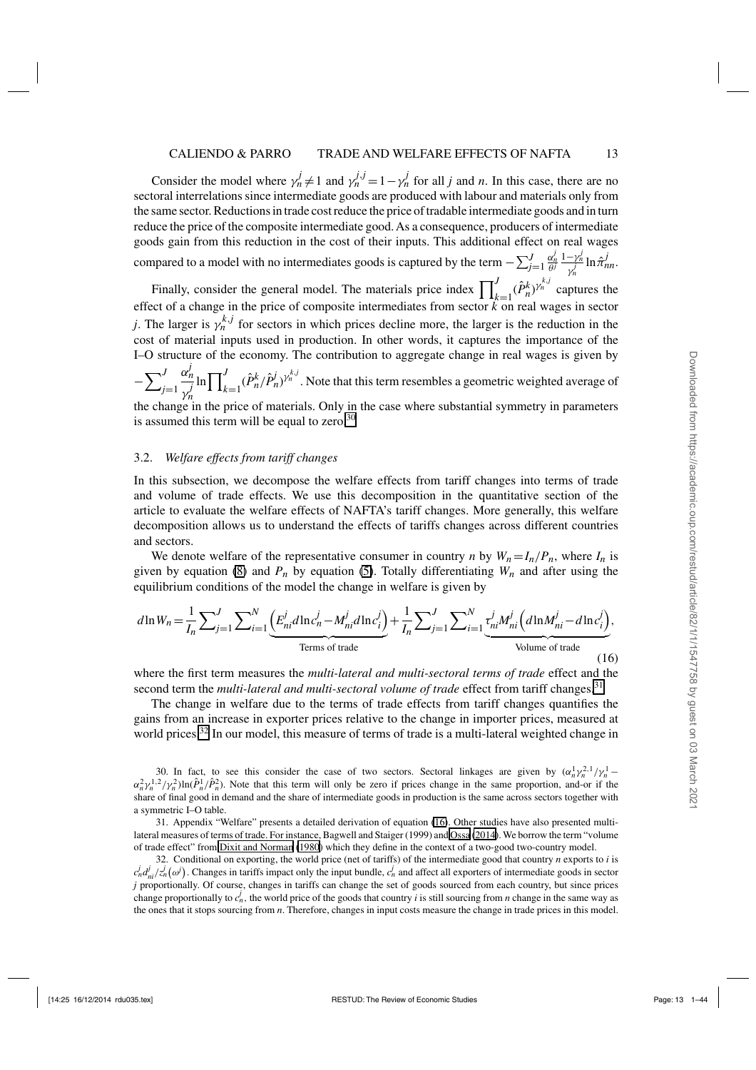<span id="page-12-0"></span>Consider the model where  $\gamma_n^j \neq 1$  and  $\gamma_n^{j,j} = 1 - \gamma_n^j$  for all *j* and *n*. In this case, there are no sectoral interrelations since intermediate goods are produced with labour and materials only from the same sector. Reductions in trade cost reduce the price of tradable intermediate goods and in turn reduce the price of the composite intermediate good. As a consequence, producers of intermediate goods gain from this reduction in the cost of their inputs. This additional effect on real wages compared to a model with no intermediates goods is captured by the term  $-\sum_{j=1}^{J}$  $\frac{\alpha_n^j}{\theta^j} \frac{1-\gamma_n^j}{\gamma_n^j} \ln \hat{\pi}_{nn}^j$ .

Finally, consider the general model. The materials price index  $\prod_{k=1}^{J} (\hat{P}_{n}^{k})^{\gamma_{n}^{k,j}}$  captures the effect of a change in the price of composite intermediates from sector *k* on real wages in sector *j*. The larger is  $\gamma_n^{k,j}$  for sectors in which prices decline more, the larger is the reduction in the cost of material inputs used in production. In other words, it captures the importance of the I–O structure of the economy. The contribution to aggregate change in real wages is given by

 $-\sum_{i}^{J}$ *j*=1 α*j n* γ *j n*  $\ln \prod_{i=1}^{J}$  $\int_{k=1}^{J} (\hat{P}_n^k / \hat{P}_n^j)^{\gamma_n^{k,j}}$ . Note that this term resembles a geometric weighted average of the change in the price of materials. Only in the case where substantial symmetry in parameters

is assumed this term will be equal to zero. $30$ 

#### 3.2. *Welfare effects from tariff changes*

In this subsection, we decompose the welfare effects from tariff changes into terms of trade and volume of trade effects. We use this decomposition in the quantitative section of the article to evaluate the welfare effects of NAFTA's tariff changes. More generally, this welfare decomposition allows us to understand the effects of tariffs changes across different countries and sectors.

We denote welfare of the representative consumer in country *n* by  $W_n = I_n/P_n$ , where  $I_n$  is given by equation [\(8\)](#page-9-0) and  $P_n$  by equation [\(5\)](#page-8-0). Totally differentiating  $W_n$  and after using the equilibrium conditions of the model the change in welfare is given by

$$
d\ln W_n = \frac{1}{I_n} \sum_{j=1}^{J} \sum_{i=1}^{N} \underbrace{\left(E_{ni}^j d \ln c_n^j - M_{ni}^j d \ln c_i^j\right)}_{\text{Terms of trade}} + \frac{1}{I_n} \sum_{j=1}^{J} \sum_{i=1}^{N} \underbrace{r_{ni}^j M_{ni}^j \left(d \ln M_{ni}^j - d \ln c_i^j\right)}_{\text{Volume of trade}},
$$
\n(16)

where the first term measures the *multi-lateral and multi-sectoral terms of trade* effect and the second term the *multi-lateral and multi-sectoral volume of trade* effect from tariff changes.<sup>31</sup>

The change in welfare due to the terms of trade effects from tariff changes quantifies the gains from an increase in exporter prices relative to the change in importer prices, measured at world prices.<sup>32</sup> In our model, this measure of terms of trade is a multi-lateral weighted change in

30. In fact, to see this consider the case of two sectors. Sectoral linkages are given by  $(\alpha_n^1 \gamma_n^2 \gamma_n^1 - \gamma_n^2 \gamma_n^2 \gamma_n^2)$  $\alpha_n^2 \gamma_n^{1.2} / \gamma_n^2$ )ln( $\hat{P}_n^1 / \hat{P}_n^2$ ). Note that this term will only be zero if prices change in the same proportion, and-or if the share of final good in demand and the share of intermediate goods in production is the same across sectors together with a symmetric I–O table.

31. Appendix "Welfare" presents a detailed derivation of equation (16). Other studies have also presented multilateral measures of terms of trade. For instance, Bagwell and Staiger (1999) and [Ossa](#page-42-0) [\(2014](#page-42-0)). We borrow the term "volume of trade effect" from [Dixit and Norman](#page-41-0) [\(1980\)](#page-41-0) which they define in the context of a two-good two-country model.

32. Conditional on exporting, the world price (net of tariffs) of the intermediate good that country *n* exports to *i* is  $c_n^j d_{ni}^j / z_n^j (\omega^j)$ . Changes in tariffs impact only the input bundle,  $c_n^j$  and affect all exporters of intermediate goods in sector *j* proportionally. Of course, changes in tariffs can change the set of goods sourced from each country, but since prices change proportionally to  $c_n^j$ , the world price of the goods that country *i* is still sourcing from *n* change in the same way as the ones that it stops sourcing from *n*. Therefore, changes in input costs measure the change in trade prices in this model.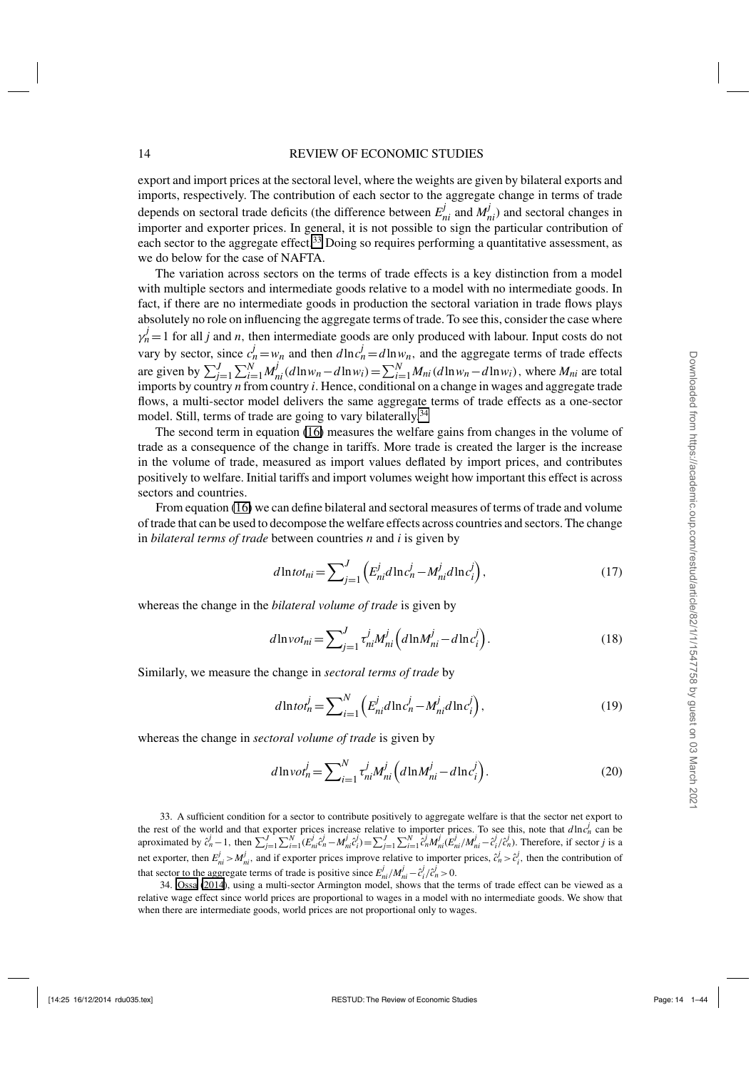<span id="page-13-0"></span>export and import prices at the sectoral level, where the weights are given by bilateral exports and imports, respectively. The contribution of each sector to the aggregate change in terms of trade depends on sectoral trade deficits (the difference between  $E_{ni}^{j}$  and  $M_{ni}^{j}$ ) and sectoral changes in importer and exporter prices. In general, it is not possible to sign the particular contribution of each sector to the aggregate effect.<sup>33</sup> Doing so requires performing a quantitative assessment, as we do below for the case of NAFTA.

The variation across sectors on the terms of trade effects is a key distinction from a model with multiple sectors and intermediate goods relative to a model with no intermediate goods. In fact, if there are no intermediate goods in production the sectoral variation in trade flows plays absolutely no role on influencing the aggregate terms of trade. To see this, consider the case where  $\gamma_n^j = 1$  for all *j* and *n*, then intermediate goods are only produced with labour. Input costs do not vary by sector, since  $c_n^j = w_n$  and then  $d\ln c_n^j = d\ln w_n$ , and the aggregate terms of trade effects are given by  $\sum_{j=1}^{J} \sum_{i=1}^{N} M_{ni}^j (d \ln w_n - d \ln w_i) = \sum_{i=1}^{N} M_{ni} (d \ln w_n - d \ln w_i)$ , where  $M_{ni}$  are total imports by country *n* from country *i*. Hence, conditional on a change in wages and aggregate trade flows, a multi-sector model delivers the same aggregate terms of trade effects as a one-sector model. Still, terms of trade are going to vary bilaterally.<sup>34</sup>

The second term in equation [\(16\)](#page-12-0) measures the welfare gains from changes in the volume of trade as a consequence of the change in tariffs. More trade is created the larger is the increase in the volume of trade, measured as import values deflated by import prices, and contributes positively to welfare. Initial tariffs and import volumes weight how important this effect is across sectors and countries.

From equation [\(16\)](#page-12-0) we can define bilateral and sectoral measures of terms of trade and volume of trade that can be used to decompose the welfare effects across countries and sectors. The change in *bilateral terms of trade* between countries *n* and *i* is given by

$$
d\ln tot_{ni} = \sum_{j=1}^{J} \left( E_{ni}^{j} d\ln c_{n}^{j} - M_{ni}^{j} d\ln c_{i}^{j} \right), \qquad (17)
$$

whereas the change in the *bilateral volume of trade* is given by

$$
d\ln v \sigma_{ni} = \sum_{j=1}^{J} \tau_{ni}^{j} M_{ni}^{j} \left( d\ln M_{ni}^{j} - d\ln c_{i}^{j} \right). \tag{18}
$$

Similarly, we measure the change in *sectoral terms of trade* by

$$
d\ln tot_n^j = \sum_{i=1}^N \left( E_{ni}^j d\ln c_n^j - M_{ni}^j d\ln c_i^j \right),\tag{19}
$$

whereas the change in *sectoral volume of trade* is given by

$$
d\ln v \sigma_n^j = \sum_{i=1}^N \tau_{ni}^j M_{ni}^j \left( d\ln M_{ni}^j - d\ln c_i^j \right). \tag{20}
$$

33. A sufficient condition for a sector to contribute positively to aggregate welfare is that the sector net export to the rest of the world and that exporter prices increase relative to importer prices. To see this, note that  $d\ln c_n^j$  can be aproximated by  $\hat{c}_n^j - 1$ , then  $\sum_{j=1}^J \sum_{i=1}^N (E_{ni}^j \hat{c}_n^j - M_{ni}^j \hat{c}_i^j) = \sum_{j=1}^J \sum_{i=1}^N \hat{c}_n^j M_{ni}^j (\hat{E}_{ni}^j / M_{ni}^j - \hat{c}_i^j / \hat{c}_n^j)$ . Therefore, if sector *j* is a net exporter, then  $E_{ni}^j > M_{ni}^j$ , and if exporter prices improve relative to importer prices,  $\hat{c}_n^j > \hat{c}_i^j$ , then the contribution of that sector to the aggregate terms of trade is positive since  $E_{ni}^{j}/M_{ni}^{j} - \hat{c}_{i}^{j}/\hat{c}_{n}^{j} > 0$ .

34. [Ossa](#page-42-0) [\(2014\)](#page-42-0), using a multi-sector Armington model, shows that the terms of trade effect can be viewed as a relative wage effect since world prices are proportional to wages in a model with no intermediate goods. We show that when there are intermediate goods, world prices are not proportional only to wages.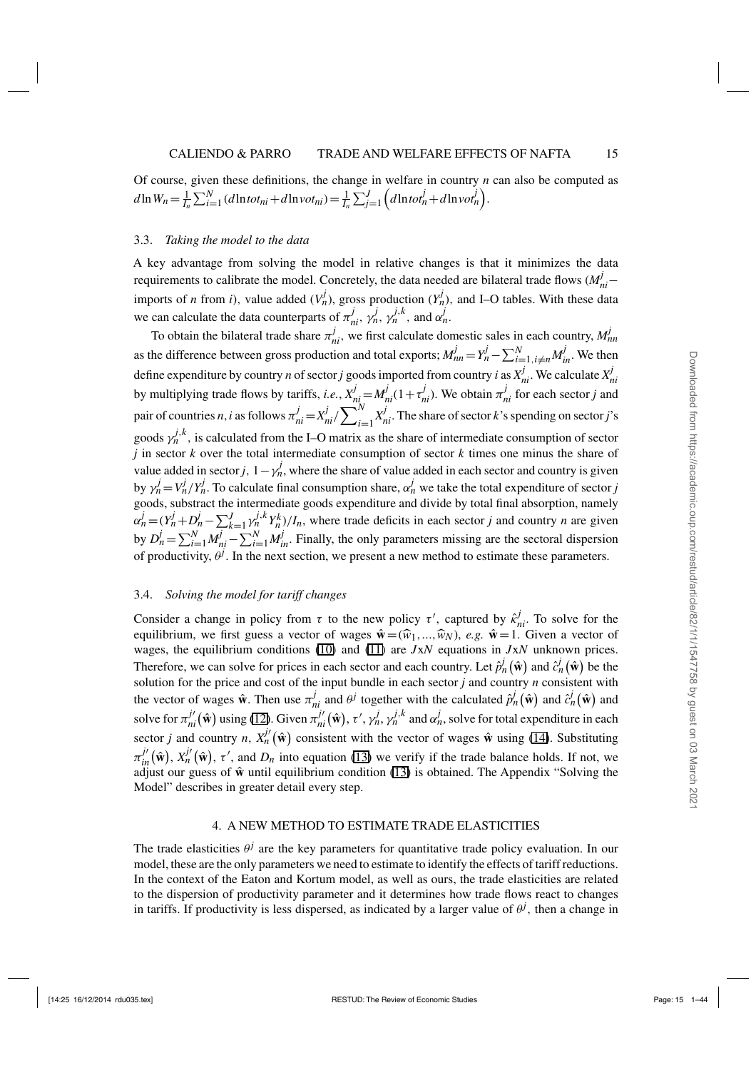Downloaded from https://academic.oup.com/restud/article/82/1/1/1547758 by guest on 03 March 202 Downloaded from https://academic.oup.com/restud/article/82/1/1/1547758 by guest on 03 March 2021

<span id="page-14-0"></span>Of course, given these definitions, the change in welfare in country *n* can also be computed as  $d\ln W_n = \frac{1}{I_n} \sum_{i=1}^{N} (d\ln tot_{ni} + d\ln vot_{ni}) = \frac{1}{I_n} \sum_{j=1}^{J} \left( d\ln tot_n^j + d\ln vot_n^j \right).$ 

## 3.3. *Taking the model to the data*

A key advantage from solving the model in relative changes is that it minimizes the data requirements to calibrate the model. Concretely, the data needed are bilateral trade flows  $(M_{ni}^j$ imports of *n* from *i*), value added  $(V_n^j)$ , gross production  $(Y_n^j)$ , and I–O tables. With these data we can calculate the data counterparts of  $\pi_{ni}^{j}$ ,  $\gamma_{n}^{j}$ ,  $\gamma_{n}^{j,k}$ , and  $\alpha_{n}^{j}$ .

To obtain the bilateral trade share  $\pi_{ni}^j$ , we first calculate domestic sales in each country,  $M_{nn}^j$ as the difference between gross production and total exports;  $M_{nn}^j = Y_n^j - \sum_{i=1, i \neq n}^N M_{in}^j$ . We then define expenditure by country *n* of sector *j* goods imported from country *i* as  $X_{ni}^j$ . We calculate  $X_{ni}^j$ by multiplying trade flows by tariffs, *i.e.*,  $X_{ni}^j = M_{ni}^j(1 + \tau_{ni}^j)$ . We obtain  $\pi_{ni}^j$  for each sector *j* and pair of countries *n*, *i* as follows  $\pi_{ni}^j = X_{ni}^j / \sum_{i=1}^N$  $\sum_{i=1}^{N} X_{ni}^{j}$ . The share of sector *k*'s spending on sector *j*'s goods  $\gamma_n^{j,k}$ , is calculated from the I–O matrix as the share of intermediate consumption of sector *j* in sector *k* over the total intermediate consumption of sector *k* times one minus the share of value added in sector *j*,  $1 - \gamma_n^j$ , where the share of value added in each sector and country is given by  $\gamma_n^j = V_n^j / Y_n^j$ . To calculate final consumption share,  $\alpha_n^j$  we take the total expenditure of sector *j* goods, substract the intermediate goods expenditure and divide by total final absorption, namely  $\alpha_n^j = (Y_n^j + D_n^j - \sum_{k=1}^J \gamma_n^{j,k} Y_n^k)/I_n$ , where trade deficits in each sector j and country *n* are given by  $D_n^j = \sum_{i=1}^N M_{ni}^j - \sum_{i=1}^N M_{in}^j$ . Finally, the only parameters missing are the sectoral dispersion of productivity,  $\theta^j$ . In the next section, we present a new method to estimate these parameters.

## 3.4. *Solving the model for tariff changes*

Consider a change in policy from  $\tau$  to the new policy  $\tau'$ , captured by  $\hat{\kappa}_{ni}^j$ . To solve for the equilibrium, we first guess a vector of wages  $\hat{\mathbf{w}} = (\hat{w}_1, ..., \hat{w}_N)$ , *e.g.*  $\hat{\mathbf{w}} = 1$ . Given a vector of wages, the equilibrium conditions ([10](#page-10-0)) and ([11](#page-10-0)) are *J*x*N* equations in *J*x*N* unknown prices. Therefore, we can solve for prices in each sector and each country. Let  $\hat{p}_n^j(\hat{\mathbf{w}})$  and  $\hat{c}_n^j(\hat{\mathbf{w}})$  be the solution for the price and cost of the input bundle in each sector *j* and country *n* consistent with the vector of wages  $\hat{\mathbf{w}}$ . Then use  $\pi_{ni}^j$  and  $\theta^j$  together with the calculated  $\hat{p}_n^j(\hat{\mathbf{w}})$  and  $\hat{c}_n^j(\hat{\mathbf{w}})$  and solve for  $\pi_{ni}^{j'}(\hat{\mathbf{w}})$  using [\(12\)](#page-10-0). Given  $\pi_{ni}^{j'}(\hat{\mathbf{w}})$ ,  $\tau'$ ,  $\gamma_n^j$ ,  $\gamma_n^{j,k}$  and  $\alpha_n^j$ , solve for total expenditure in each sector *j* and country *n*,  $X_n^{j'}(\hat{\mathbf{w}})$  consistent with the vector of wages  $\hat{\mathbf{w}}$  using [\(14\)](#page-10-0). Substituting  $\pi_{in}^{j'}(\hat{\mathbf{w}})$ ,  $X_n^{j'}(\hat{\mathbf{w}})$ ,  $\tau'$ , and  $D_n$  into equation [\(13\)](#page-10-0) we verify if the trade balance holds. If not, we adjust our guess of  $\hat{w}$  until equilibrium condition [\(13\)](#page-10-0) is obtained. The Appendix "Solving the Model" describes in greater detail every step.

# 4. A NEW METHOD TO ESTIMATE TRADE ELASTICITIES

The trade elasticities  $\theta^j$  are the key parameters for quantitative trade policy evaluation. In our model, these are the only parameters we need to estimate to identify the effects of tariff reductions. In the context of the Eaton and Kortum model, as well as ours, the trade elasticities are related to the dispersion of productivity parameter and it determines how trade flows react to changes in tariffs. If productivity is less dispersed, as indicated by a larger value of  $\theta^j$ , then a change in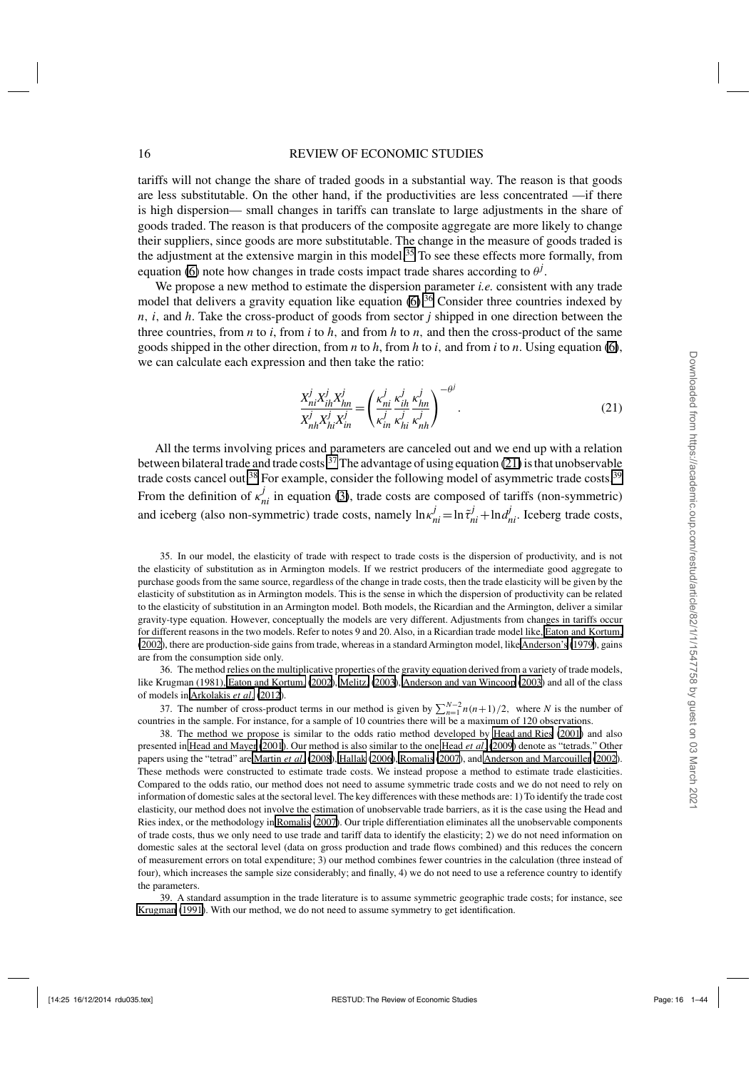<span id="page-15-0"></span>tariffs will not change the share of traded goods in a substantial way. The reason is that goods are less substitutable. On the other hand, if the productivities are less concentrated —if there is high dispersion— small changes in tariffs can translate to large adjustments in the share of goods traded. The reason is that producers of the composite aggregate are more likely to change their suppliers, since goods are more substitutable. The change in the measure of goods traded is the adjustment at the extensive margin in this model.<sup>35</sup> To see these effects more formally, from equation [\(6\)](#page-9-0) note how changes in trade costs impact trade shares according to  $\theta^j$ .

We propose a new method to estimate the dispersion parameter *i.e.* consistent with any trade model that delivers a gravity equation like equation  $(6)$ .<sup>36</sup> Consider three countries indexed by *n*, *i*, and *h*. Take the cross-product of goods from sector *j* shipped in one direction between the three countries, from  $n$  to  $i$ , from  $i$  to  $h$ , and from  $h$  to  $n$ , and then the cross-product of the same goods shipped in the other direction, from *n* to *h*, from *h* to *i*, and from *i* to *n*. Using equation [\(6\)](#page-9-0), we can calculate each expression and then take the ratio:

$$
\frac{X_{ni}^{j} X_{ih}^{j} X_{hn}^{j}}{X_{nh}^{j} X_{hi}^{j} X_{in}^{j}} = \left(\frac{\kappa_{ni}^{j}}{\kappa_{in}^{j}} \frac{\kappa_{in}^{j}}{\kappa_{hi}^{j}} \frac{\kappa_{hn}^{j}}{\kappa_{nh}^{j}}\right)^{-\theta^{j}}.
$$
\n(21)

All the terms involving prices and parameters are canceled out and we end up with a relation between bilateral trade and trade costs.<sup>37</sup> The advantage of using equation (21) is that unobservable trade costs cancel out.<sup>38</sup> For example, consider the following model of asymmetric trade costs.<sup>39</sup> From the definition of  $\kappa_{ni}^j$  in equation [\(3\)](#page-7-0), trade costs are composed of tariffs (non-symmetric) and iceberg (also non-symmetric) trade costs, namely  $\ln \kappa_{ni}^j = \ln \tilde{\tau}_{ni}^j + \ln \alpha_{ni}^j$ . Iceberg trade costs,

35. In our model, the elasticity of trade with respect to trade costs is the dispersion of productivity, and is not the elasticity of substitution as in Armington models. If we restrict producers of the intermediate good aggregate to purchase goods from the same source, regardless of the change in trade costs, then the trade elasticity will be given by the elasticity of substitution as in Armington models. This is the sense in which the dispersion of productivity can be related to the elasticity of substitution in an Armington model. Both models, the Ricardian and the Armington, deliver a similar gravity-type equation. However, conceptually the models are very different. Adjustments from changes in tariffs occur for different reasons in the two models. Refer to notes 9 and 20. Also, in a Ricardian trade model like, [Eaton and Kortum,](#page-42-0) [\(2002](#page-42-0)), there are production-side gains from trade, whereas in a standard Armington model, like [Anderson's](#page-40-0) [\(1979](#page-40-0)), gains are from the consumption side only.

36. The method relies on the multiplicative properties of the gravity equation derived from a variety of trade models, like Krugman (1981), [Eaton and Kortum,](#page-42-0) [\(2002](#page-42-0)), [Melitz,](#page-42-0) [\(2003](#page-42-0)), [Anderson and van Wincoop](#page-41-0) [\(2003\)](#page-41-0) and all of the class of models in [Arkolakis](#page-41-0) *et al*. [\(2012\)](#page-41-0).

37. The number of cross-product terms in our method is given by  $\sum_{n=1}^{N-2} n(n+1)/2$ , where *N* is the number of countries in the sample. For instance, for a sample of 10 countries there will be a maximum of 120 observations.

38. The method we propose is similar to the odds ratio method developed by [Head and Ries](#page-42-0) [\(2001\)](#page-42-0) and also presented in [Head and Mayer](#page-42-0) [\(2001\)](#page-42-0). Our method is also similar to the one [Head](#page-42-0) *et al*. [\(2009\)](#page-42-0) denote as "tetrads." Other papers using the "tetrad" are [Martin](#page-42-0) *et al*. [\(2008\)](#page-42-0), [Hallak](#page-42-0) [\(2006\)](#page-42-0), [Romalis](#page-42-0) [\(2007\)](#page-42-0), and [Anderson and Marcouiller](#page-41-0) [\(2002\)](#page-41-0). These methods were constructed to estimate trade costs. We instead propose a method to estimate trade elasticities. Compared to the odds ratio, our method does not need to assume symmetric trade costs and we do not need to rely on information of domestic sales at the sectoral level. The key differences with these methods are: 1) To identify the trade cost elasticity, our method does not involve the estimation of unobservable trade barriers, as it is the case using the Head and Ries index, or the methodology in [Romalis](#page-42-0) [\(2007](#page-42-0)). Our triple differentiation eliminates all the unobservable components of trade costs, thus we only need to use trade and tariff data to identify the elasticity; 2) we do not need information on domestic sales at the sectoral level (data on gross production and trade flows combined) and this reduces the concern of measurement errors on total expenditure; 3) our method combines fewer countries in the calculation (three instead of four), which increases the sample size considerably; and finally, 4) we do not need to use a reference country to identify the parameters.

39. A standard assumption in the trade literature is to assume symmetric geographic trade costs; for instance, see [Krugman](#page-42-0) [\(1991](#page-42-0)). With our method, we do not need to assume symmetry to get identification.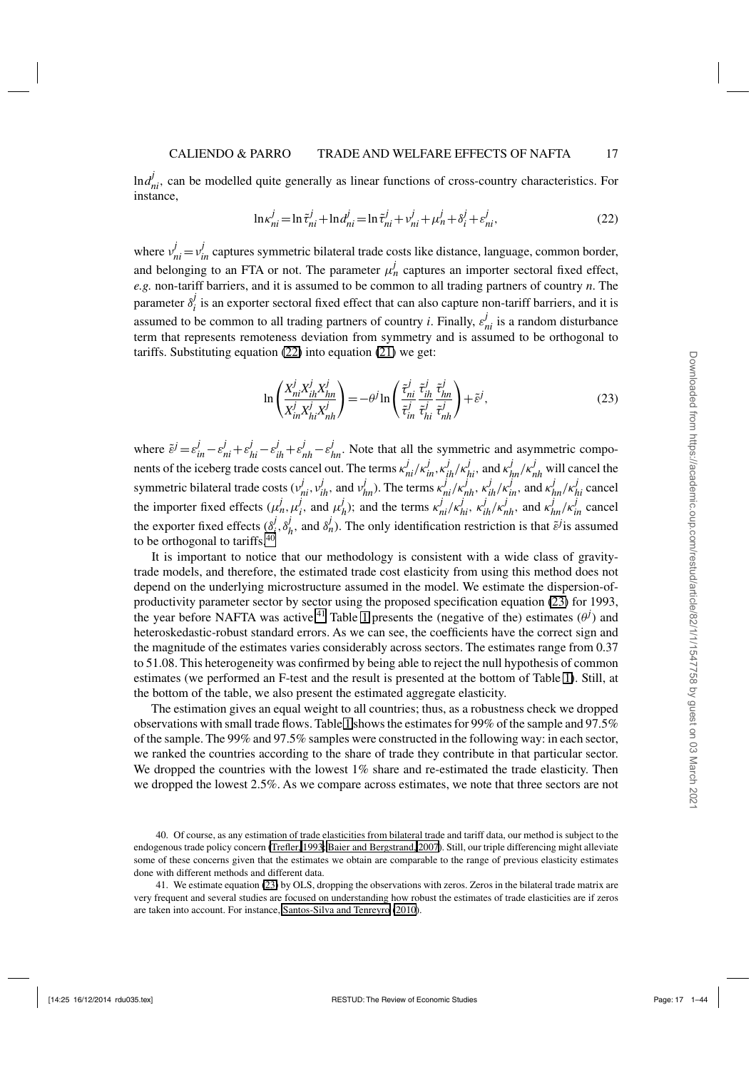<span id="page-16-0"></span> $\ln d_{ni}^j$ , can be modelled quite generally as linear functions of cross-country characteristics. For instance,

$$
\ln \kappa_{ni}^{j} = \ln \tilde{\tau}_{ni}^{j} + \ln d_{ni}^{j} = \ln \tilde{\tau}_{ni}^{j} + \nu_{ni}^{j} + \mu_{n}^{j} + \delta_{i}^{j} + \epsilon_{ni}^{j},
$$
\n(22)

where  $v_{ni}^j = v_{in}^j$  captures symmetric bilateral trade costs like distance, language, common border, and belonging to an FTA or not. The parameter  $\mu_n^j$  captures an importer sectoral fixed effect, *e.g.* non-tariff barriers, and it is assumed to be common to all trading partners of country *n*. The parameter  $\delta_i^j$  is an exporter sectoral fixed effect that can also capture non-tariff barriers, and it is assumed to be common to all trading partners of country *i*. Finally,  $\varepsilon_{ni}^{j}$  is a random disturbance term that represents remoteness deviation from symmetry and is assumed to be orthogonal to tariffs. Substituting equation (22) into equation [\(21\)](#page-15-0) we get:

$$
\ln\left(\frac{X_{ni}^j X_{ih}^j X_{hn}^j}{X_{in}^j X_{hi}^j X_{nh}^j}\right) = -\theta^j \ln\left(\frac{\tilde{\tau}_{ni}^j}{\tilde{\tau}_{in}^j} \frac{\tilde{\tau}_{ih}^j}{\tilde{\tau}_{hi}^j} \frac{\tilde{\tau}_{hn}^j}{\tilde{\tau}_{nh}^j}\right) + \tilde{\epsilon}^j,\tag{23}
$$

where  $\tilde{\varepsilon}^j = \varepsilon_{in}^j - \varepsilon_{ni}^j + \varepsilon_{hi}^j - \varepsilon_{ih}^j + \varepsilon_{nh}^j - \varepsilon_{hn}^j$ . Note that all the symmetric and asymmetric components of the iceberg trade costs cancel out. The terms  $\kappa'_{ni}/\kappa'_{in}$ ,  $\kappa'_{ih}/\kappa'_{hi}$ , and  $\kappa'_{hn}/\kappa'_{nh}$  will cancel the symmetric bilateral trade costs  $(v_{ni}^j, v_{ih}^j$ , and  $v_{hn}^j$ ). The terms  $\kappa_{ni}^j/\kappa_{nh}^j$ ,  $\kappa_{ih}^j/\kappa_{in}^j$ , and  $\kappa_{hn}^j/\kappa_{hi}^j$  cancel the importer fixed effects  $(\mu_n^j, \mu_i^j)$ , and  $\mu_n^j$ ); and the terms  $\kappa_{ni}^j/\kappa_{hi}^j$ ,  $\kappa_{ih}^j/\kappa_{nh}^j$ , and  $\kappa_{hn}^j/\kappa_{in}^j$  cancel the exporter fixed effects  $(\delta^j_i, \delta^j_h)$ , and  $\delta^j_n$ ). The only identification restriction is that  $\tilde{\epsilon}^j$  is assumed to be orthogonal to tariffs.<sup>40</sup>

It is important to notice that our methodology is consistent with a wide class of gravitytrade models, and therefore, the estimated trade cost elasticity from using this method does not depend on the underlying microstructure assumed in the model. We estimate the dispersion-ofproductivity parameter sector by sector using the proposed specification equation (23) for 1993, the year before NAFTA was active.<sup>41</sup> Table [1](#page-17-0) presents the (negative of the) estimates  $(\theta^j)$  and heteroskedastic-robust standard errors. As we can see, the coefficients have the correct sign and the magnitude of the estimates varies considerably across sectors. The estimates range from 0.37 to 51.08. This heterogeneity was confirmed by being able to reject the null hypothesis of common estimates (we performed an F-test and the result is presented at the bottom of Table [1\)](#page-17-0). Still, at the bottom of the table, we also present the estimated aggregate elasticity.

The estimation gives an equal weight to all countries; thus, as a robustness check we dropped observations with small trade flows. Table [1](#page-17-0) shows the estimates for 99% of the sample and 97.5% of the sample. The 99% and 97.5% samples were constructed in the following way: in each sector, we ranked the countries according to the share of trade they contribute in that particular sector. We dropped the countries with the lowest 1% share and re-estimated the trade elasticity. Then we dropped the lowest 2.5%. As we compare across estimates, we note that three sectors are not

<sup>40.</sup> Of course, as any estimation of trade elasticities from bilateral trade and tariff data, our method is subject to the endogenous trade policy concern [\(Trefler, 1993](#page-43-0); [Baier and Bergstrand, 2007](#page-41-0)). Still, our triple differencing might alleviate some of these concerns given that the estimates we obtain are comparable to the range of previous elasticity estimates done with different methods and different data.

<sup>41.</sup> We estimate equation (23) by OLS, dropping the observations with zeros. Zeros in the bilateral trade matrix are very frequent and several studies are focused on understanding how robust the estimates of trade elasticities are if zeros are taken into account. For instance, [Santos-Silva and Tenreyro](#page-43-0) [\(2010\)](#page-43-0).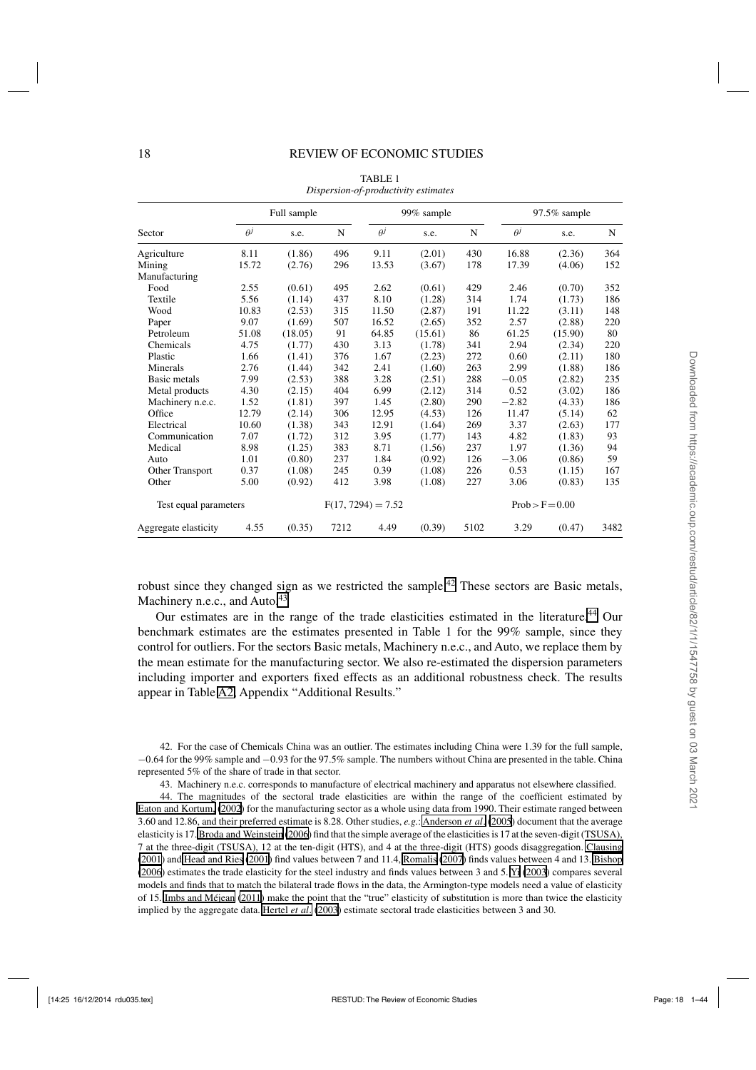<span id="page-17-0"></span>

|                       |            | Full sample |      |                      | 99% sample |      |            | 97.5% sample      |      |
|-----------------------|------------|-------------|------|----------------------|------------|------|------------|-------------------|------|
| Sector                | $\theta^j$ | s.e.        | N    | $\theta^j$           | s.e.       | N    | $\theta^j$ | s.e.              | N    |
| Agriculture           | 8.11       | (1.86)      | 496  | 9.11                 | (2.01)     | 430  | 16.88      | (2.36)            | 364  |
| Mining                | 15.72      | (2.76)      | 296  | 13.53                | (3.67)     | 178  | 17.39      | (4.06)            | 152  |
| Manufacturing         |            |             |      |                      |            |      |            |                   |      |
| Food                  | 2.55       | (0.61)      | 495  | 2.62                 | (0.61)     | 429  | 2.46       | (0.70)            | 352  |
| Textile               | 5.56       | (1.14)      | 437  | 8.10                 | (1.28)     | 314  | 1.74       | (1.73)            | 186  |
| Wood                  | 10.83      | (2.53)      | 315  | 11.50                | (2.87)     | 191  | 11.22      | (3.11)            | 148  |
| Paper                 | 9.07       | (1.69)      | 507  | 16.52                | (2.65)     | 352  | 2.57       | (2.88)            | 220  |
| Petroleum             | 51.08      | (18.05)     | 91   | 64.85                | (15.61)    | 86   | 61.25      | (15.90)           | 80   |
| Chemicals             | 4.75       | (1.77)      | 430  | 3.13                 | (1.78)     | 341  | 2.94       | (2.34)            | 220  |
| Plastic               | 1.66       | (1.41)      | 376  | 1.67                 | (2.23)     | 272  | 0.60       | (2.11)            | 180  |
| Minerals              | 2.76       | (1.44)      | 342  | 2.41                 | (1.60)     | 263  | 2.99       | (1.88)            | 186  |
| Basic metals          | 7.99       | (2.53)      | 388  | 3.28                 | (2.51)     | 288  | $-0.05$    | (2.82)            | 235  |
| Metal products        | 4.30       | (2.15)      | 404  | 6.99                 | (2.12)     | 314  | 0.52       | (3.02)            | 186  |
| Machinery n.e.c.      | 1.52       | (1.81)      | 397  | 1.45                 | (2.80)     | 290  | $-2.82$    | (4.33)            | 186  |
| Office                | 12.79      | (2.14)      | 306  | 12.95                | (4.53)     | 126  | 11.47      | (5.14)            | 62   |
| Electrical            | 10.60      | (1.38)      | 343  | 12.91                | (1.64)     | 269  | 3.37       | (2.63)            | 177  |
| Communication         | 7.07       | (1.72)      | 312  | 3.95                 | (1.77)     | 143  | 4.82       | (1.83)            | 93   |
| Medical               | 8.98       | (1.25)      | 383  | 8.71                 | (1.56)     | 237  | 1.97       | (1.36)            | 94   |
| Auto                  | 1.01       | (0.80)      | 237  | 1.84                 | (0.92)     | 126  | $-3.06$    | (0.86)            | 59   |
| Other Transport       | 0.37       | (1.08)      | 245  | 0.39                 | (1.08)     | 226  | 0.53       | (1.15)            | 167  |
| Other                 | 5.00       | (0.92)      | 412  | 3.98                 | (1.08)     | 227  | 3.06       | (0.83)            | 135  |
| Test equal parameters |            |             |      | $F(17, 7294) = 7.52$ |            |      |            | $Prob > F = 0.00$ |      |
| Aggregate elasticity  | 4.55       | (0.35)      | 7212 | 4.49                 | (0.39)     | 5102 | 3.29       | (0.47)            | 3482 |

TABLE 1 *Dispersion-of-productivity estimates*

robust since they changed sign as we restricted the sample.<sup>42</sup> These sectors are Basic metals, Machinery n.e.c., and Auto.<sup>43</sup>

Our estimates are in the range of the trade elasticities estimated in the literature.<sup>44</sup> Our benchmark estimates are the estimates presented in Table 1 for the 99% sample, since they control for outliers. For the sectors Basic metals, Machinery n.e.c., and Auto, we replace them by the mean estimate for the manufacturing sector. We also re-estimated the dispersion parameters including importer and exporters fixed effects as an additional robustness check. The results appear in Table [A2,](#page-19-0) Appendix "Additional Results."

42. For the case of Chemicals China was an outlier. The estimates including China were 1.39 for the full sample, −0.64 for the 99% sample and −0.93 for the 97.5% sample. The numbers without China are presented in the table. China represented 5% of the share of trade in that sector.

43. Machinery n.e.c. corresponds to manufacture of electrical machinery and apparatus not elsewhere classified.

44. The magnitudes of the sectoral trade elasticities are within the range of the coefficient estimated by [Eaton and Kortum,](#page-42-0) [\(2002](#page-42-0)) for the manufacturing sector as a whole using data from 1990. Their estimate ranged between 3.60 and 12.86, and their preferred estimate is 8.28. Other studies, *e.g.*: [Anderson](#page-41-0) *et al*. [\(2005\)](#page-41-0) document that the average elasticity is 17. [Broda and Weinstein](#page-41-0) [\(2006](#page-41-0)) find that the simple average of the elasticities is 17 at the seven-digit (TSUSA), 7 at the three-digit (TSUSA), 12 at the ten-digit (HTS), and 4 at the three-digit (HTS) goods disaggregation. [Clausing](#page-41-0) [\(2001](#page-41-0)) and [Head and Ries](#page-42-0) [\(2001\)](#page-42-0) find values between 7 and 11.4, [Romalis](#page-42-0) [\(2007\)](#page-42-0) finds values between 4 and 13. [Bishop](#page-41-0) [\(2006](#page-41-0)) estimates the trade elasticity for the steel industry and finds values between 3 and 5. [Yi](#page-43-0) [\(2003](#page-43-0)) compares several models and finds that to match the bilateral trade flows in the data, the Armington-type models need a value of elasticity of 15. [Imbs and Méjean](#page-42-0) [\(2011\)](#page-42-0) make the point that the "true" elasticity of substitution is more than twice the elasticity implied by the aggregate data. [Hertel](#page-42-0) *et al*. [\(2003](#page-42-0)) estimate sectoral trade elasticities between 3 and 30.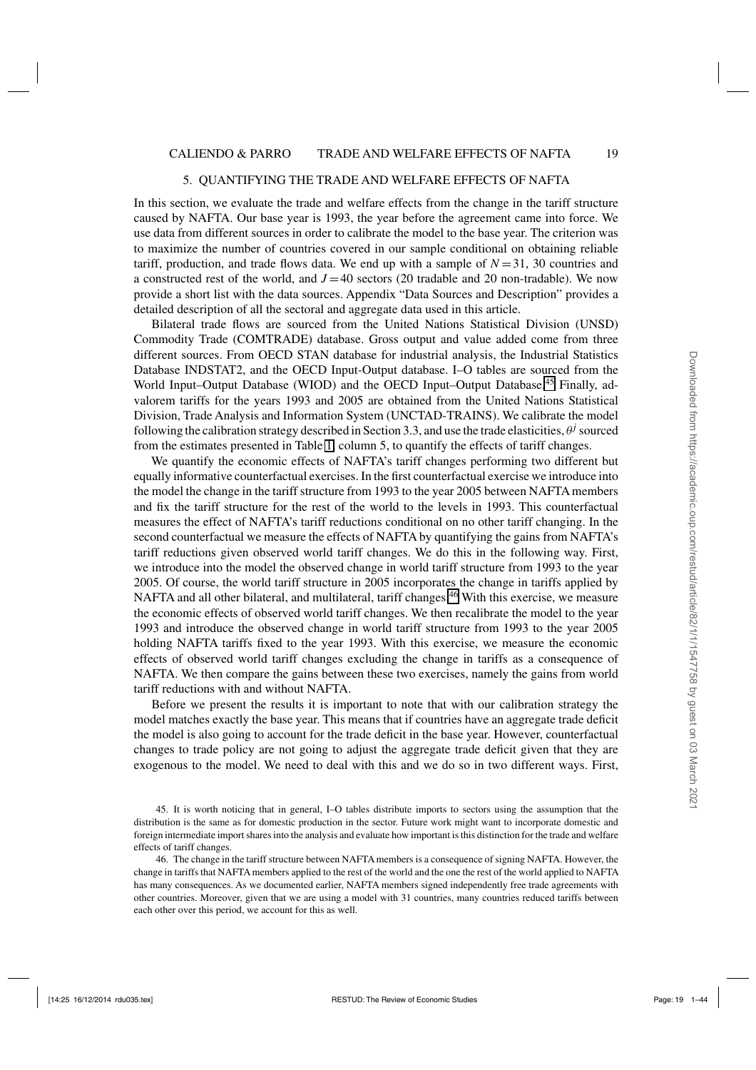#### 5. QUANTIFYING THE TRADE AND WELFARE EFFECTS OF NAFTA

<span id="page-18-0"></span>In this section, we evaluate the trade and welfare effects from the change in the tariff structure caused by NAFTA. Our base year is 1993, the year before the agreement came into force. We use data from different sources in order to calibrate the model to the base year. The criterion was to maximize the number of countries covered in our sample conditional on obtaining reliable tariff, production, and trade flows data. We end up with a sample of  $N = 31$ , 30 countries and a constructed rest of the world, and  $J = 40$  sectors (20 tradable and 20 non-tradable). We now provide a short list with the data sources. Appendix "Data Sources and Description" provides a detailed description of all the sectoral and aggregate data used in this article.

Bilateral trade flows are sourced from the United Nations Statistical Division (UNSD) Commodity Trade (COMTRADE) database. Gross output and value added come from three different sources. From OECD STAN database for industrial analysis, the Industrial Statistics Database INDSTAT2, and the OECD Input-Output database. I–O tables are sourced from the World Input–Output Database (WIOD) and the OECD Input–Output Database.<sup>45</sup> Finally, advalorem tariffs for the years 1993 and 2005 are obtained from the United Nations Statistical Division, Trade Analysis and Information System (UNCTAD-TRAINS). We calibrate the model following the calibration strategy described in Section 3.3, and use the trade elasticities,  $\theta^j$  sourced from the estimates presented in Table [1,](#page-17-0) column 5, to quantify the effects of tariff changes.

We quantify the economic effects of NAFTA's tariff changes performing two different but equally informative counterfactual exercises. In the first counterfactual exercise we introduce into the model the change in the tariff structure from 1993 to the year 2005 between NAFTA members and fix the tariff structure for the rest of the world to the levels in 1993. This counterfactual measures the effect of NAFTA's tariff reductions conditional on no other tariff changing. In the second counterfactual we measure the effects of NAFTA by quantifying the gains from NAFTA's tariff reductions given observed world tariff changes. We do this in the following way. First, we introduce into the model the observed change in world tariff structure from 1993 to the year 2005. Of course, the world tariff structure in 2005 incorporates the change in tariffs applied by NAFTA and all other bilateral, and multilateral, tariff changes.<sup>46</sup> With this exercise, we measure the economic effects of observed world tariff changes. We then recalibrate the model to the year 1993 and introduce the observed change in world tariff structure from 1993 to the year 2005 holding NAFTA tariffs fixed to the year 1993. With this exercise, we measure the economic effects of observed world tariff changes excluding the change in tariffs as a consequence of NAFTA. We then compare the gains between these two exercises, namely the gains from world tariff reductions with and without NAFTA.

Before we present the results it is important to note that with our calibration strategy the model matches exactly the base year. This means that if countries have an aggregate trade deficit the model is also going to account for the trade deficit in the base year. However, counterfactual changes to trade policy are not going to adjust the aggregate trade deficit given that they are exogenous to the model. We need to deal with this and we do so in two different ways. First,

45. It is worth noticing that in general, I–O tables distribute imports to sectors using the assumption that the distribution is the same as for domestic production in the sector. Future work might want to incorporate domestic and foreign intermediate import shares into the analysis and evaluate how important is this distinction for the trade and welfare effects of tariff changes.

46. The change in the tariff structure between NAFTA members is a consequence of signing NAFTA. However, the change in tariffs that NAFTA members applied to the rest of the world and the one the rest of the world applied to NAFTA has many consequences. As we documented earlier, NAFTA members signed independently free trade agreements with other countries. Moreover, given that we are using a model with 31 countries, many countries reduced tariffs between each other over this period, we account for this as well.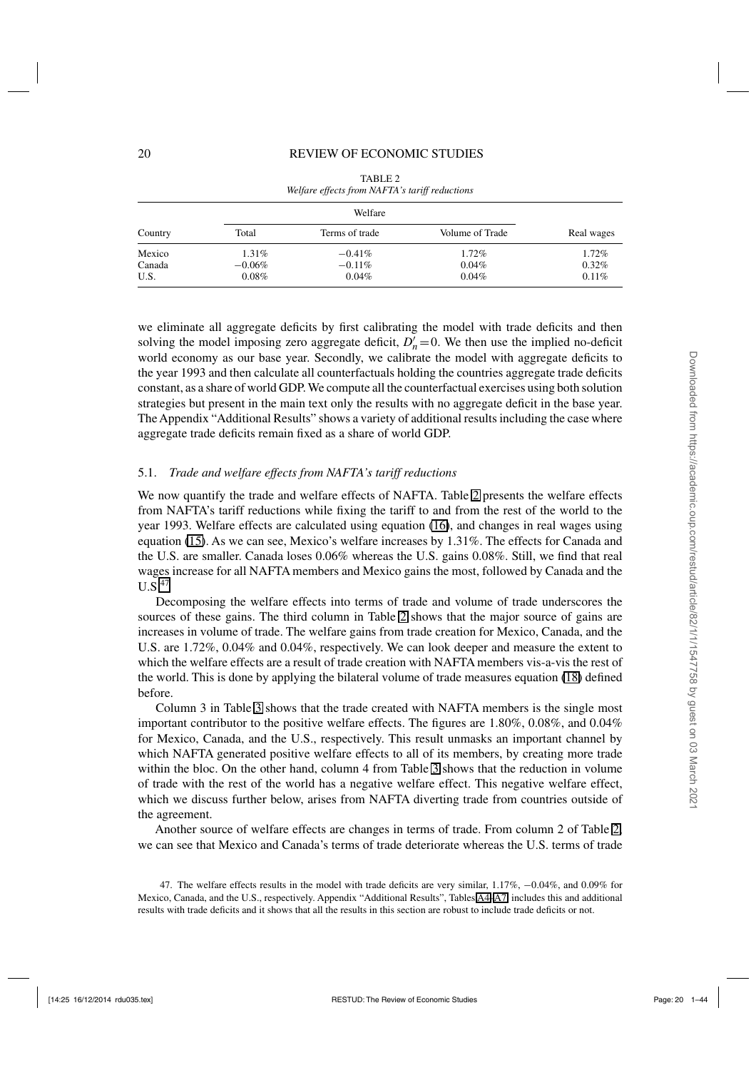<span id="page-19-0"></span>

|         |           | Welfare        |                 |            |
|---------|-----------|----------------|-----------------|------------|
| Country | Total     | Terms of trade | Volume of Trade | Real wages |
| Mexico  | 1.31%     | $-0.41\%$      | 1.72%           | 1.72%      |
| Canada  | $-0.06\%$ | $-0.11\%$      | 0.04%           | $0.32\%$   |
| U.S.    | $0.08\%$  | 0.04%          | 0.04%           | 0.11%      |

TABLE 2 *Welfare effects from NAFTA's tariff reductions*

we eliminate all aggregate deficits by first calibrating the model with trade deficits and then solving the model imposing zero aggregate deficit,  $D'_n = 0$ . We then use the implied no-deficit world economy as our base year. Secondly, we calibrate the model with aggregate deficits to the year 1993 and then calculate all counterfactuals holding the countries aggregate trade deficits constant, as a share of world GDP. We compute all the counterfactual exercises using both solution strategies but present in the main text only the results with no aggregate deficit in the base year. The Appendix "Additional Results" shows a variety of additional results including the case where aggregate trade deficits remain fixed as a share of world GDP.

#### 5.1. *Trade and welfare effects from NAFTA's tariff reductions*

We now quantify the trade and welfare effects of NAFTA. Table 2 presents the welfare effects from NAFTA's tariff reductions while fixing the tariff to and from the rest of the world to the year 1993. Welfare effects are calculated using equation [\(16\)](#page-12-0), and changes in real wages using equation [\(15\)](#page-11-0). As we can see, Mexico's welfare increases by 1.31%. The effects for Canada and the U.S. are smaller. Canada loses 0.06% whereas the U.S. gains 0.08%. Still, we find that real wages increase for all NAFTA members and Mexico gains the most, followed by Canada and the  $U.S.<sup>47</sup>$ 

Decomposing the welfare effects into terms of trade and volume of trade underscores the sources of these gains. The third column in Table 2 shows that the major source of gains are increases in volume of trade. The welfare gains from trade creation for Mexico, Canada, and the U.S. are 1.72%, 0.04% and 0.04%, respectively. We can look deeper and measure the extent to which the welfare effects are a result of trade creation with NAFTA members vis-a-vis the rest of the world. This is done by applying the bilateral volume of trade measures equation [\(18\)](#page-13-0) defined before.

Column 3 in Table [3](#page-20-0) shows that the trade created with NAFTA members is the single most important contributor to the positive welfare effects. The figures are 1.80%, 0.08%, and 0.04% for Mexico, Canada, and the U.S., respectively. This result unmasks an important channel by which NAFTA generated positive welfare effects to all of its members, by creating more trade within the bloc. On the other hand, column 4 from Table [3](#page-20-0) shows that the reduction in volume of trade with the rest of the world has a negative welfare effect. This negative welfare effect, which we discuss further below, arises from NAFTA diverting trade from countries outside of the agreement.

Another source of welfare effects are changes in terms of trade. From column 2 of Table 2, we can see that Mexico and Canada's terms of trade deteriorate whereas the U.S. terms of trade

47. The welfare effects results in the model with trade deficits are very similar, 1.17%, −0.04%, and 0.09% for Mexico, Canada, and the U.S., respectively. Appendix "Additional Results", Tables [A4–](#page-21-0)[A7,](#page-24-0) includes this and additional results with trade deficits and it shows that all the results in this section are robust to include trade deficits or not.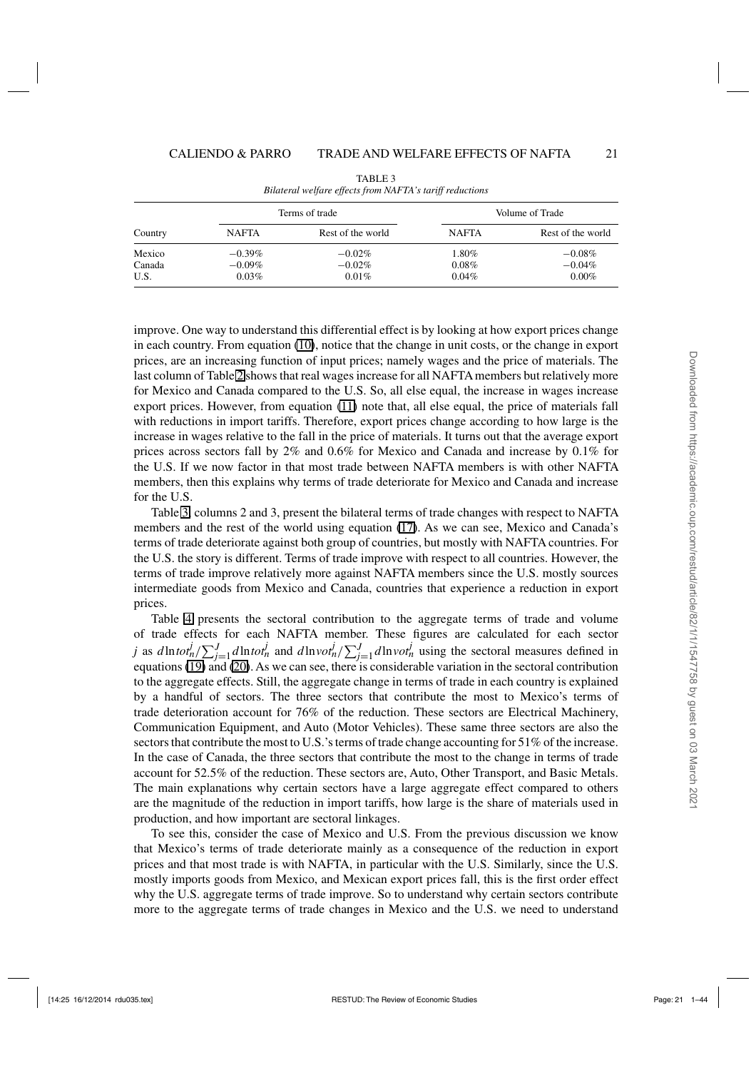<span id="page-20-0"></span>

|         |              | Terms of trade    |              | Volume of Trade   |
|---------|--------------|-------------------|--------------|-------------------|
| Country | <b>NAFTA</b> | Rest of the world | <b>NAFTA</b> | Rest of the world |
| Mexico  | $-0.39\%$    | $-0.02\%$         | 1.80%        | $-0.08%$          |
| Canada  | $-0.09\%$    | $-0.02\%$         | 0.08%        | $-0.04%$          |
| U.S.    | 0.03%        | 0.01%             | 0.04%        | $0.00\%$          |

TABLE 3 *Bilateral welfare effects from NAFTA's tariff reductions*

improve. One way to understand this differential effect is by looking at how export prices change in each country. From equation [\(10\)](#page-10-0), notice that the change in unit costs, or the change in export prices, are an increasing function of input prices; namely wages and the price of materials. The last column of Table [2](#page-19-0) shows that real wages increase for all NAFTA members but relatively more for Mexico and Canada compared to the U.S. So, all else equal, the increase in wages increase export prices. However, from equation ([11](#page-10-0)) note that, all else equal, the price of materials fall with reductions in import tariffs. Therefore, export prices change according to how large is the increase in wages relative to the fall in the price of materials. It turns out that the average export prices across sectors fall by 2% and 0.6% for Mexico and Canada and increase by 0.1% for the U.S. If we now factor in that most trade between NAFTA members is with other NAFTA members, then this explains why terms of trade deteriorate for Mexico and Canada and increase for the U.S.

Table 3, columns 2 and 3, present the bilateral terms of trade changes with respect to NAFTA members and the rest of the world using equation [\(17\)](#page-13-0). As we can see, Mexico and Canada's terms of trade deteriorate against both group of countries, but mostly with NAFTA countries. For the U.S. the story is different. Terms of trade improve with respect to all countries. However, the terms of trade improve relatively more against NAFTA members since the U.S. mostly sources intermediate goods from Mexico and Canada, countries that experience a reduction in export prices.

Table [4](#page-21-0) presents the sectoral contribution to the aggregate terms of trade and volume of trade effects for each NAFTA member. These figures are calculated for each sector j as  $d\ln tot_n^j / \sum_{j=1}^J d\ln tot_n^j$  and  $d\ln vot_n^j / \sum_{j=1}^J d\ln vot_n^j$  using the sectoral measures defined in equations [\(19\)](#page-13-0) and [\(20\)](#page-13-0). As we can see, there is considerable variation in the sectoral contribution to the aggregate effects. Still, the aggregate change in terms of trade in each country is explained by a handful of sectors. The three sectors that contribute the most to Mexico's terms of trade deterioration account for 76% of the reduction. These sectors are Electrical Machinery, Communication Equipment, and Auto (Motor Vehicles). These same three sectors are also the sectors that contribute the most to U.S.'s terms of trade change accounting for 51% of the increase. In the case of Canada, the three sectors that contribute the most to the change in terms of trade account for 52.5% of the reduction. These sectors are, Auto, Other Transport, and Basic Metals. The main explanations why certain sectors have a large aggregate effect compared to others are the magnitude of the reduction in import tariffs, how large is the share of materials used in production, and how important are sectoral linkages.

To see this, consider the case of Mexico and U.S. From the previous discussion we know that Mexico's terms of trade deteriorate mainly as a consequence of the reduction in export prices and that most trade is with NAFTA, in particular with the U.S. Similarly, since the U.S. mostly imports goods from Mexico, and Mexican export prices fall, this is the first order effect why the U.S. aggregate terms of trade improve. So to understand why certain sectors contribute more to the aggregate terms of trade changes in Mexico and the U.S. we need to understand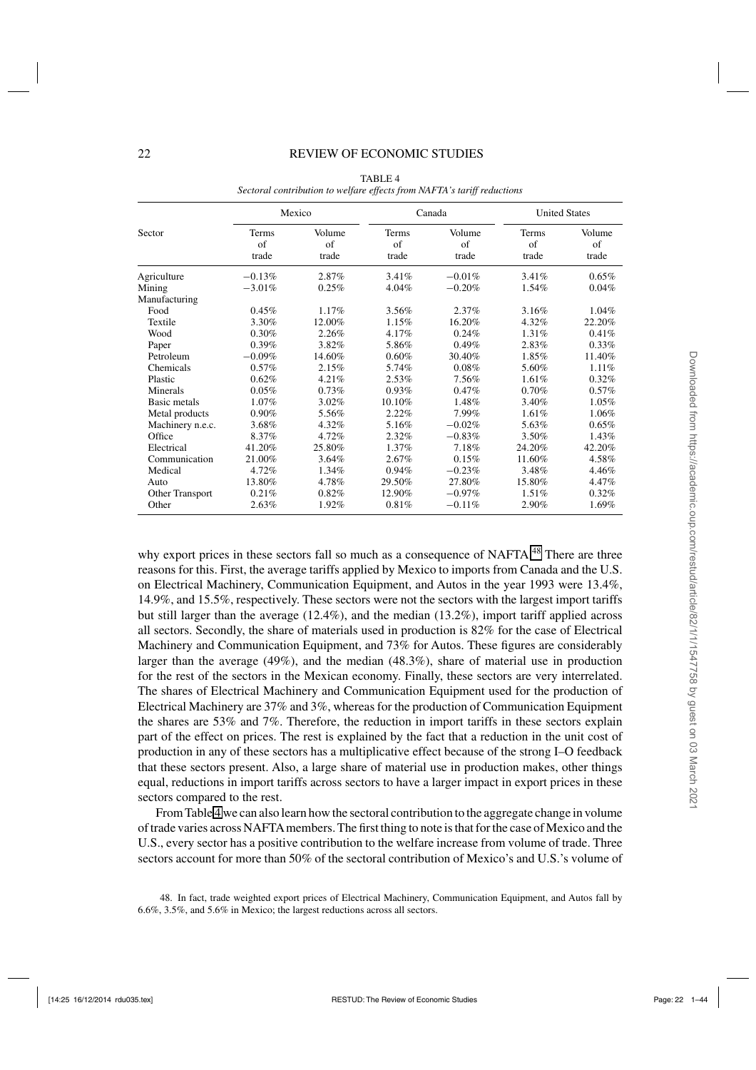#### <span id="page-21-0"></span>22 REVIEW OF ECONOMIC STUDIES

|                  |                             | Mexico                        |                              | Canada                | <b>United States</b> |                       |
|------------------|-----------------------------|-------------------------------|------------------------------|-----------------------|----------------------|-----------------------|
| Sector           | <b>Terms</b><br>of<br>trade | Volume<br>$\sigma$ f<br>trade | Terms<br>$\sigma$ f<br>trade | Volume<br>of<br>trade | Terms<br>of<br>trade | Volume<br>of<br>trade |
| Agriculture      | $-0.13%$                    | 2.87%                         | 3.41%                        | $-0.01%$              | $3.41\%$             | 0.65%                 |
| Mining           | $-3.01\%$                   | 0.25%                         | 4.04%                        | $-0.20%$              | 1.54%                | 0.04%                 |
| Manufacturing    |                             |                               |                              |                       |                      |                       |
| Food             | 0.45%                       | 1.17%                         | 3.56%                        | 2.37%                 | 3.16%                | 1.04%                 |
| Textile          | 3.30%                       | 12.00%                        | 1.15%                        | 16.20%                | 4.32%                | 22.20%                |
| Wood             | 0.30%                       | 2.26%                         | 4.17%                        | 0.24%                 | 1.31%                | 0.41%                 |
| Paper            | 0.39%                       | 3.82%                         | 5.86%                        | 0.49%                 | 2.83%                | $0.33\%$              |
| Petroleum        | $-0.09%$                    | 14.60%                        | 0.60%                        | 30.40%                | 1.85%                | 11.40%                |
| Chemicals        | 0.57%                       | 2.15%                         | 5.74%                        | 0.08%                 | 5.60%                | 1.11%                 |
| Plastic          | 0.62%                       | 4.21%                         | 2.53%                        | 7.56%                 | 1.61%                | 0.32%                 |
| Minerals         | 0.05%                       | 0.73%                         | 0.93%                        | 0.47%                 | 0.70%                | 0.57%                 |
| Basic metals     | 1.07%                       | 3.02%                         | 10.10%                       | 1.48%                 | 3.40%                | 1.05%                 |
| Metal products   | 0.90%                       | 5.56%                         | 2.22%                        | 7.99%                 | 1.61%                | 1.06%                 |
| Machinery n.e.c. | 3.68%                       | 4.32%                         | 5.16%                        | $-0.02%$              | 5.63%                | 0.65%                 |
| Office           | 8.37%                       | 4.72%                         | 2.32%                        | $-0.83%$              | 3.50%                | 1.43%                 |
| Electrical       | 41.20%                      | 25.80%                        | $1.37\%$                     | 7.18%                 | 24.20%               | 42.20%                |
| Communication    | 21.00%                      | 3.64%                         | 2.67%                        | 0.15%                 | 11.60%               | 4.58%                 |
| Medical          | 4.72%                       | 1.34%                         | 0.94%                        | $-0.23%$              | 3.48%                | 4.46%                 |
| Auto             | 13.80%                      | 4.78%                         | 29.50%                       | 27.80%                | 15.80%               | 4.47%                 |
| Other Transport  | 0.21%                       | 0.82%                         | 12.90%                       | $-0.97%$              | 1.51%                | 0.32%                 |
| Other            | 2.63%                       | 1.92%                         | 0.81%                        | $-0.11%$              | 2.90%                | 1.69%                 |

TABLE 4 *Sectoral contribution to welfare effects from NAFTA's tariff reductions*

why export prices in these sectors fall so much as a consequence of NAFTA.<sup>48</sup> There are three reasons for this. First, the average tariffs applied by Mexico to imports from Canada and the U.S. on Electrical Machinery, Communication Equipment, and Autos in the year 1993 were 13.4%, 14.9%, and 15.5%, respectively. These sectors were not the sectors with the largest import tariffs but still larger than the average  $(12.4\%)$ , and the median  $(13.2\%)$ , import tariff applied across all sectors. Secondly, the share of materials used in production is 82% for the case of Electrical Machinery and Communication Equipment, and 73% for Autos. These figures are considerably larger than the average (49%), and the median (48.3%), share of material use in production for the rest of the sectors in the Mexican economy. Finally, these sectors are very interrelated. The shares of Electrical Machinery and Communication Equipment used for the production of Electrical Machinery are 37% and 3%, whereas for the production of Communication Equipment the shares are 53% and 7%. Therefore, the reduction in import tariffs in these sectors explain part of the effect on prices. The rest is explained by the fact that a reduction in the unit cost of production in any of these sectors has a multiplicative effect because of the strong I–O feedback that these sectors present. Also, a large share of material use in production makes, other things equal, reductions in import tariffs across sectors to have a larger impact in export prices in these sectors compared to the rest.

From Table 4 we can also learn how the sectoral contribution to the aggregate change in volume of trade varies across NAFTAmembers. The first thing to note is that for the case of Mexico and the U.S., every sector has a positive contribution to the welfare increase from volume of trade. Three sectors account for more than 50% of the sectoral contribution of Mexico's and U.S.'s volume of

48. In fact, trade weighted export prices of Electrical Machinery, Communication Equipment, and Autos fall by 6.6%, 3.5%, and 5.6% in Mexico; the largest reductions across all sectors.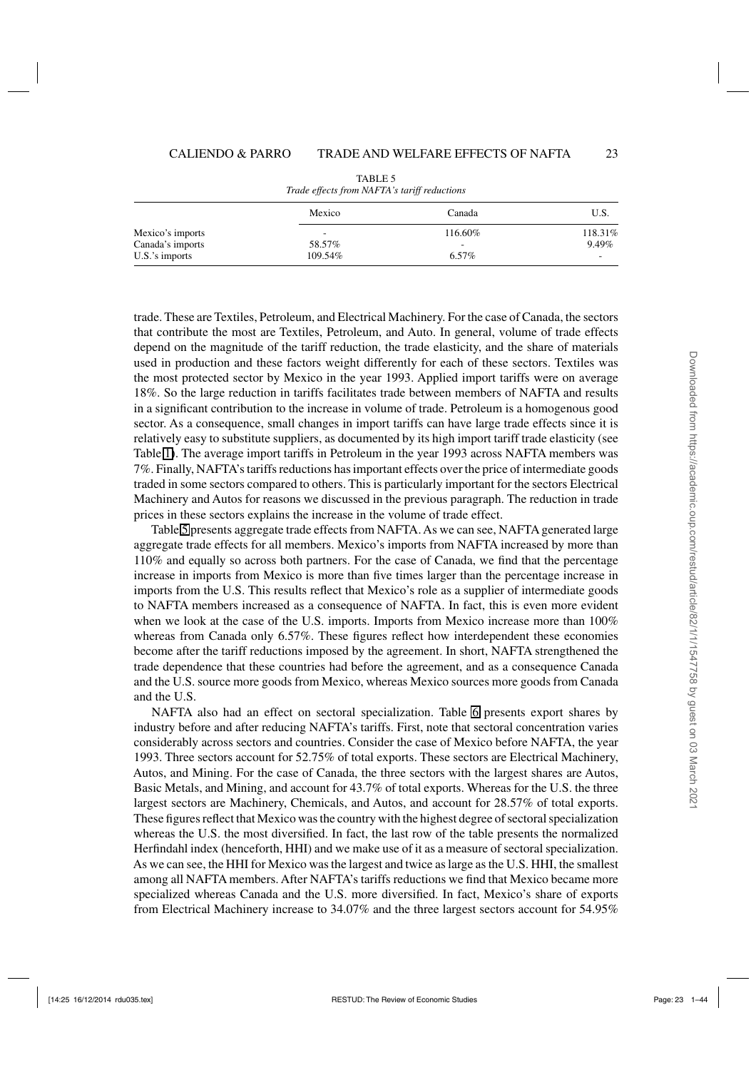| Trance effects from twill the startfl retailed is |                          |         |         |  |  |
|---------------------------------------------------|--------------------------|---------|---------|--|--|
|                                                   | Mexico                   | Canada  | U.S.    |  |  |
| Mexico's imports                                  | $\overline{\phantom{a}}$ | 116.60% | 118.31% |  |  |
| Canada's imports                                  | 58.57%                   | -       | 9.49%   |  |  |
| $U.S.'s$ imports                                  | 109.54%                  | 6.57%   | -       |  |  |

TABLE 5 *Trade effects from NAFTA's tariff reductions*

trade. These are Textiles, Petroleum, and Electrical Machinery. For the case of Canada, the sectors that contribute the most are Textiles, Petroleum, and Auto. In general, volume of trade effects depend on the magnitude of the tariff reduction, the trade elasticity, and the share of materials used in production and these factors weight differently for each of these sectors. Textiles was the most protected sector by Mexico in the year 1993. Applied import tariffs were on average 18%. So the large reduction in tariffs facilitates trade between members of NAFTA and results in a significant contribution to the increase in volume of trade. Petroleum is a homogenous good sector. As a consequence, small changes in import tariffs can have large trade effects since it is relatively easy to substitute suppliers, as documented by its high import tariff trade elasticity (see Table [1\)](#page-17-0). The average import tariffs in Petroleum in the year 1993 across NAFTA members was 7%. Finally, NAFTA's tariffs reductions has important effects over the price of intermediate goods traded in some sectors compared to others. This is particularly important for the sectors Electrical Machinery and Autos for reasons we discussed in the previous paragraph. The reduction in trade prices in these sectors explains the increase in the volume of trade effect.

Table 5 presents aggregate trade effects from NAFTA. As we can see, NAFTA generated large aggregate trade effects for all members. Mexico's imports from NAFTA increased by more than 110% and equally so across both partners. For the case of Canada, we find that the percentage increase in imports from Mexico is more than five times larger than the percentage increase in imports from the U.S. This results reflect that Mexico's role as a supplier of intermediate goods to NAFTA members increased as a consequence of NAFTA. In fact, this is even more evident when we look at the case of the U.S. imports. Imports from Mexico increase more than  $100\%$ whereas from Canada only 6.57%. These figures reflect how interdependent these economies become after the tariff reductions imposed by the agreement. In short, NAFTA strengthened the trade dependence that these countries had before the agreement, and as a consequence Canada and the U.S. source more goods from Mexico, whereas Mexico sources more goods from Canada and the U.S.

NAFTA also had an effect on sectoral specialization. Table [6](#page-23-0) presents export shares by industry before and after reducing NAFTA's tariffs. First, note that sectoral concentration varies considerably across sectors and countries. Consider the case of Mexico before NAFTA, the year 1993. Three sectors account for 52.75% of total exports. These sectors are Electrical Machinery, Autos, and Mining. For the case of Canada, the three sectors with the largest shares are Autos, Basic Metals, and Mining, and account for 43.7% of total exports. Whereas for the U.S. the three largest sectors are Machinery, Chemicals, and Autos, and account for 28.57% of total exports. These figures reflect that Mexico was the country with the highest degree of sectoral specialization whereas the U.S. the most diversified. In fact, the last row of the table presents the normalized Herfindahl index (henceforth, HHI) and we make use of it as a measure of sectoral specialization. As we can see, the HHI for Mexico was the largest and twice as large as the U.S. HHI, the smallest among all NAFTA members. After NAFTA's tariffs reductions we find that Mexico became more specialized whereas Canada and the U.S. more diversified. In fact, Mexico's share of exports from Electrical Machinery increase to 34.07% and the three largest sectors account for 54.95%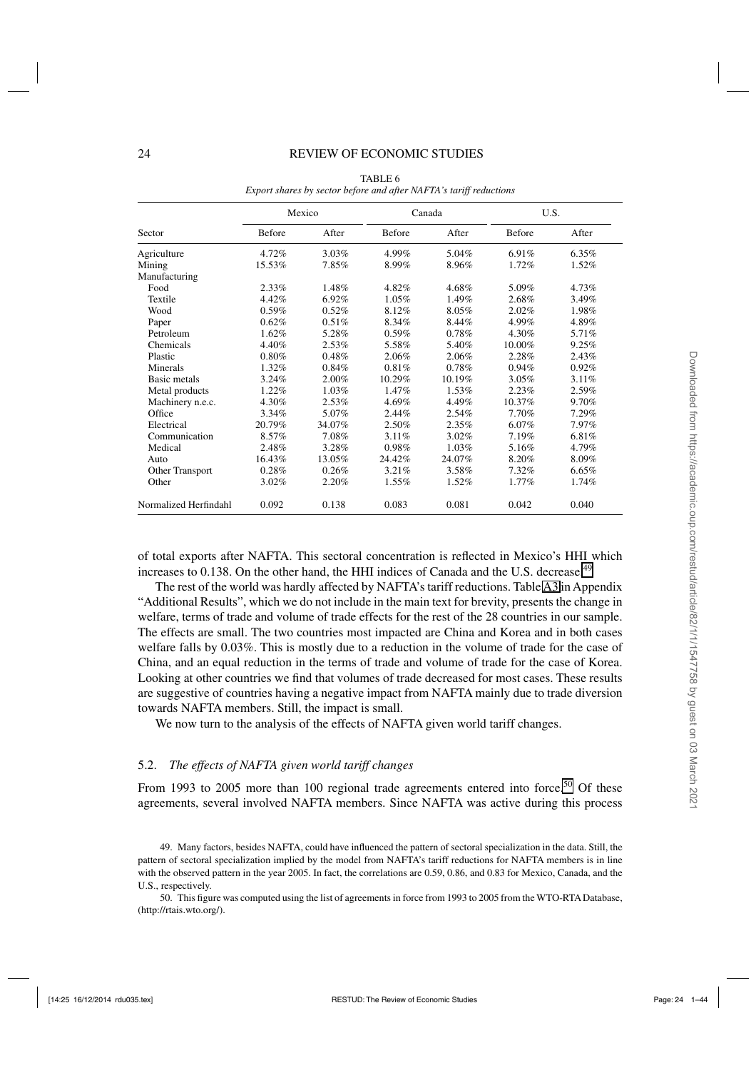#### <span id="page-23-0"></span>24 REVIEW OF ECONOMIC STUDIES

|                       |               | Mexico |               | Canada   | U.S.          |       |
|-----------------------|---------------|--------|---------------|----------|---------------|-------|
| Sector                | <b>Before</b> | After  | <b>Before</b> | After    | <b>Before</b> | After |
| Agriculture           | 4.72%         | 3.03%  | 4.99%         | 5.04%    | 6.91%         | 6.35% |
| Mining                | 15.53%        | 7.85%  | 8.99%         | 8.96%    | 1.72%         | 1.52% |
| Manufacturing         |               |        |               |          |               |       |
| Food                  | $2.33\%$      | 1.48%  | 4.82%         | 4.68%    | 5.09%         | 4.73% |
| Textile               | 4.42%         | 6.92%  | 1.05%         | 1.49%    | 2.68%         | 3.49% |
| Wood                  | 0.59%         | 0.52%  | 8.12%         | 8.05%    | 2.02%         | 1.98% |
| Paper                 | 0.62%         | 0.51%  | 8.34%         | 8.44%    | 4.99%         | 4.89% |
| Petroleum             | 1.62%         | 5.28%  | 0.59%         | 0.78%    | 4.30%         | 5.71% |
| Chemicals             | 4.40%         | 2.53%  | 5.58%         | 5.40%    | 10.00%        | 9.25% |
| Plastic               | 0.80%         | 0.48%  | 2.06%         | 2.06%    | 2.28%         | 2.43% |
| Minerals              | 1.32%         | 0.84%  | 0.81%         | 0.78%    | 0.94%         | 0.92% |
| Basic metals          | 3.24%         | 2.00%  | 10.29%        | 10.19%   | 3.05%         | 3.11% |
| Metal products        | 1.22%         | 1.03%  | 1.47%         | 1.53%    | 2.23%         | 2.59% |
| Machinery n.e.c.      | 4.30%         | 2.53%  | 4.69%         | 4.49%    | 10.37%        | 9.70% |
| Office                | 3.34%         | 5.07%  | 2.44%         | 2.54%    | 7.70%         | 7.29% |
| Electrical            | 20.79%        | 34.07% | 2.50%         | 2.35%    | 6.07%         | 7.97% |
| Communication         | 8.57%         | 7.08%  | 3.11%         | $3.02\%$ | 7.19%         | 6.81% |
| Medical               | 2.48%         | 3.28%  | 0.98%         | 1.03%    | 5.16%         | 4.79% |
| Auto                  | 16.43%        | 13.05% | 24.42%        | 24.07%   | 8.20%         | 8.09% |
| Other Transport       | 0.28%         | 0.26%  | 3.21%         | 3.58%    | 7.32%         | 6.65% |
| Other                 | 3.02%         | 2.20%  | 1.55%         | 1.52%    | 1.77%         | 1.74% |
| Normalized Herfindahl | 0.092         | 0.138  | 0.083         | 0.081    | 0.042         | 0.040 |

TABLE 6 *Export shares by sector before and after NAFTA's tariff reductions*

of total exports after NAFTA. This sectoral concentration is reflected in Mexico's HHI which increases to  $0.138$ . On the other hand, the HHI indices of Canada and the U.S. decrease.<sup>49</sup>

The rest of the world was hardly affected by NAFTA's tariff reductions. Table [A3](#page-20-0) in Appendix "Additional Results", which we do not include in the main text for brevity, presents the change in welfare, terms of trade and volume of trade effects for the rest of the 28 countries in our sample. The effects are small. The two countries most impacted are China and Korea and in both cases welfare falls by 0.03%. This is mostly due to a reduction in the volume of trade for the case of China, and an equal reduction in the terms of trade and volume of trade for the case of Korea. Looking at other countries we find that volumes of trade decreased for most cases. These results are suggestive of countries having a negative impact from NAFTA mainly due to trade diversion towards NAFTA members. Still, the impact is small.

We now turn to the analysis of the effects of NAFTA given world tariff changes.

#### 5.2. *The effects of NAFTA given world tariff changes*

From 1993 to 2005 more than 100 regional trade agreements entered into force.<sup>50</sup> Of these agreements, several involved NAFTA members. Since NAFTA was active during this process

49. Many factors, besides NAFTA, could have influenced the pattern of sectoral specialization in the data. Still, the pattern of sectoral specialization implied by the model from NAFTA's tariff reductions for NAFTA members is in line with the observed pattern in the year 2005. In fact, the correlations are 0.59, 0.86, and 0.83 for Mexico, Canada, and the U.S., respectively.

50. This figure was computed using the list of agreements in force from 1993 to 2005 from the WTO-RTA Database, (http://rtais.wto.org/).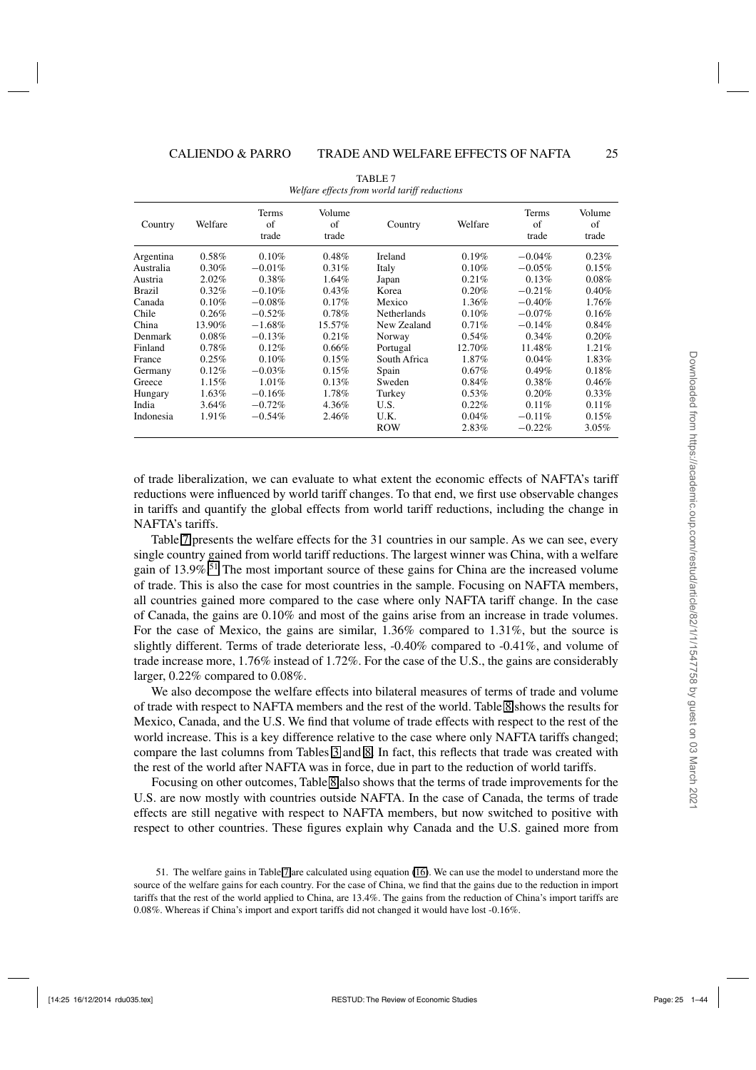<span id="page-24-0"></span>

| Country       | Welfare | Terms<br>of<br>trade | Volume<br>of<br>trade | Country            | Welfare | Terms<br>of<br>trade | Volume<br>of<br>trade |
|---------------|---------|----------------------|-----------------------|--------------------|---------|----------------------|-----------------------|
| Argentina     | 0.58%   | 0.10%                | 0.48%                 | Ireland            | 0.19%   | $-0.04\%$            | 0.23%                 |
| Australia     | 0.30%   | $-0.01\%$            | 0.31%                 | Italy              | 0.10%   | $-0.05\%$            | 0.15%                 |
| Austria       | 2.02%   | 0.38%                | 1.64%                 | Japan              | 0.21%   | 0.13%                | 0.08%                 |
| <b>Brazil</b> | 0.32%   | $-0.10%$             | 0.43%                 | Korea              | 0.20%   | $-0.21%$             | 0.40%                 |
| Canada        | 0.10%   | $-0.08\%$            | $0.17\%$              | Mexico             | 1.36%   | $-0.40%$             | 1.76%                 |
| Chile         | 0.26%   | $-0.52%$             | 0.78%                 | <b>Netherlands</b> | 0.10%   | $-0.07\%$            | 0.16%                 |
| China         | 13.90%  | $-1.68%$             | 15.57%                | New Zealand        | 0.71%   | $-0.14%$             | 0.84%                 |
| Denmark       | 0.08%   | $-0.13%$             | 0.21%                 | Norway             | 0.54%   | 0.34%                | 0.20%                 |
| Finland       | 0.78%   | 0.12%                | 0.66%                 | Portugal           | 12.70%  | 11.48%               | 1.21%                 |
| France        | 0.25%   | 0.10%                | 0.15%                 | South Africa       | 1.87%   | 0.04%                | 1.83%                 |
| Germany       | 0.12%   | $-0.03%$             | 0.15%                 | Spain              | 0.67%   | 0.49%                | 0.18%                 |
| Greece        | 1.15%   | 1.01%                | 0.13%                 | Sweden             | 0.84%   | 0.38%                | 0.46%                 |
| Hungary       | 1.63%   | $-0.16%$             | 1.78%                 | Turkey             | 0.53%   | 0.20%                | $0.33\%$              |
| India         | 3.64%   | $-0.72%$             | 4.36%                 | U.S.               | 0.22%   | 0.11%                | 0.11%                 |
| Indonesia     | 1.91%   | $-0.54%$             | 2.46%                 | U.K.               | 0.04%   | $-0.11%$             | 0.15%                 |
|               |         |                      |                       | <b>ROW</b>         | 2.83%   | $-0.22%$             | 3.05%                 |

TABLE 7 *Welfare effects from world tariff reductions*

of trade liberalization, we can evaluate to what extent the economic effects of NAFTA's tariff reductions were influenced by world tariff changes. To that end, we first use observable changes in tariffs and quantify the global effects from world tariff reductions, including the change in NAFTA's tariffs.

Table 7 presents the welfare effects for the 31 countries in our sample. As we can see, every single country gained from world tariff reductions. The largest winner was China, with a welfare gain of 13.9%.<sup>51</sup> The most important source of these gains for China are the increased volume of trade. This is also the case for most countries in the sample. Focusing on NAFTA members, all countries gained more compared to the case where only NAFTA tariff change. In the case of Canada, the gains are 0.10% and most of the gains arise from an increase in trade volumes. For the case of Mexico, the gains are similar, 1.36% compared to 1.31%, but the source is slightly different. Terms of trade deteriorate less, -0.40% compared to -0.41%, and volume of trade increase more, 1.76% instead of 1.72%. For the case of the U.S., the gains are considerably larger, 0.22% compared to 0.08%.

We also decompose the welfare effects into bilateral measures of terms of trade and volume of trade with respect to NAFTA members and the rest of the world. Table [8](#page-25-0) shows the results for Mexico, Canada, and the U.S. We find that volume of trade effects with respect to the rest of the world increase. This is a key difference relative to the case where only NAFTA tariffs changed; compare the last columns from Tables [3](#page-20-0) and [8.](#page-25-0) In fact, this reflects that trade was created with the rest of the world after NAFTA was in force, due in part to the reduction of world tariffs.

Focusing on other outcomes, Table [8](#page-25-0) also shows that the terms of trade improvements for the U.S. are now mostly with countries outside NAFTA. In the case of Canada, the terms of trade effects are still negative with respect to NAFTA members, but now switched to positive with respect to other countries. These figures explain why Canada and the U.S. gained more from

<sup>51.</sup> The welfare gains in Table 7 are calculated using equation [\(16\)](#page-12-0). We can use the model to understand more the source of the welfare gains for each country. For the case of China, we find that the gains due to the reduction in import tariffs that the rest of the world applied to China, are 13.4%. The gains from the reduction of China's import tariffs are 0.08%. Whereas if China's import and export tariffs did not changed it would have lost -0.16%.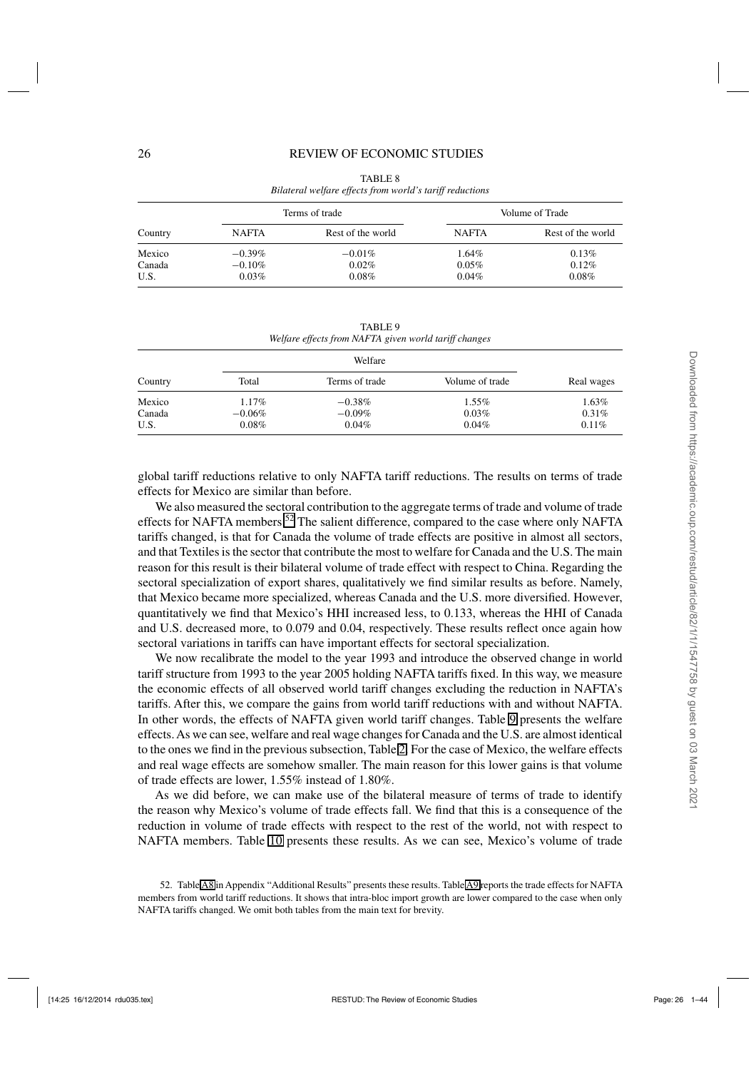<span id="page-25-0"></span>

|         |              | Terms of trade    |              | Volume of Trade   |
|---------|--------------|-------------------|--------------|-------------------|
| Country | <b>NAFTA</b> | Rest of the world | <b>NAFTA</b> | Rest of the world |
| Mexico  | $-0.39\%$    | $-0.01\%$         | 1.64%        | 0.13%             |
| Canada  | $-0.10\%$    | $0.02\%$          | 0.05%        | 0.12%             |
| U.S.    | 0.03%        | $0.08\%$          | $0.04\%$     | 0.08%             |

TABLE 8 *Bilateral welfare effects from world's tariff reductions*

TABLE 9 *Welfare effects from NAFTA given world tariff changes*

|         |           | Welfare        |                 |            |
|---------|-----------|----------------|-----------------|------------|
| Country | Total     | Terms of trade | Volume of trade | Real wages |
| Mexico  | 1.17%     | $-0.38\%$      | 1.55%           | 1.63%      |
| Canada  | $-0.06\%$ | $-0.09\%$      | 0.03%           | 0.31%      |
| U.S.    | 0.08%     | 0.04%          | 0.04%           | 0.11%      |

global tariff reductions relative to only NAFTA tariff reductions. The results on terms of trade effects for Mexico are similar than before.

We also measured the sectoral contribution to the aggregate terms of trade and volume of trade effects for NAFTA members.<sup>52</sup> The salient difference, compared to the case where only NAFTA tariffs changed, is that for Canada the volume of trade effects are positive in almost all sectors, and that Textiles is the sector that contribute the most to welfare for Canada and the U.S. The main reason for this result is their bilateral volume of trade effect with respect to China. Regarding the sectoral specialization of export shares, qualitatively we find similar results as before. Namely, that Mexico became more specialized, whereas Canada and the U.S. more diversified. However, quantitatively we find that Mexico's HHI increased less, to 0.133, whereas the HHI of Canada and U.S. decreased more, to 0.079 and 0.04, respectively. These results reflect once again how sectoral variations in tariffs can have important effects for sectoral specialization.

We now recalibrate the model to the year 1993 and introduce the observed change in world tariff structure from 1993 to the year 2005 holding NAFTA tariffs fixed. In this way, we measure the economic effects of all observed world tariff changes excluding the reduction in NAFTA's tariffs. After this, we compare the gains from world tariff reductions with and without NAFTA. In other words, the effects of NAFTA given world tariff changes. Table 9 presents the welfare effects.As we can see, welfare and real wage changes for Canada and the U.S. are almost identical to the ones we find in the previous subsection, Table [2.](#page-19-0) For the case of Mexico, the welfare effects and real wage effects are somehow smaller. The main reason for this lower gains is that volume of trade effects are lower, 1.55% instead of 1.80%.

As we did before, we can make use of the bilateral measure of terms of trade to identify the reason why Mexico's volume of trade effects fall. We find that this is a consequence of the reduction in volume of trade effects with respect to the rest of the world, not with respect to NAFTA members. Table [10](#page-26-0) presents these results. As we can see, Mexico's volume of trade

<sup>52.</sup> Table A8 in Appendix "Additional Results" presents these results. Table A9 reports the trade effects for NAFTA members from world tariff reductions. It shows that intra-bloc import growth are lower compared to the case when only NAFTA tariffs changed. We omit both tables from the main text for brevity.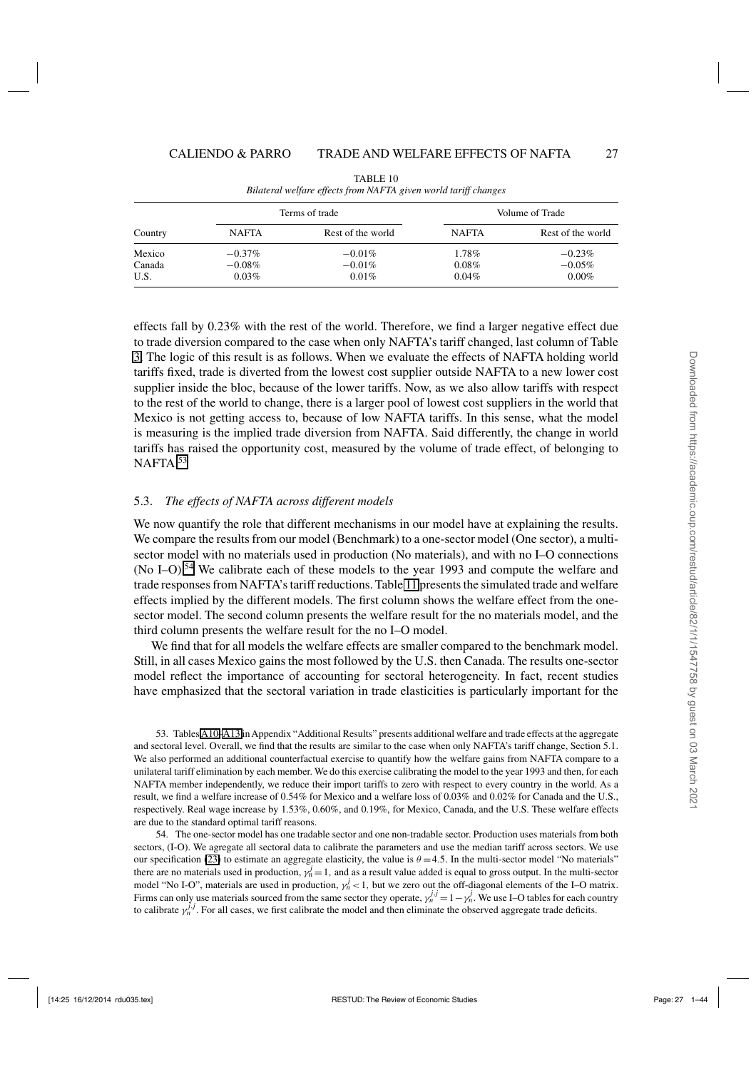<span id="page-26-0"></span>

|         |              | Terms of trade    | Volume of Trade |                   |  |
|---------|--------------|-------------------|-----------------|-------------------|--|
| Country | <b>NAFTA</b> | Rest of the world | <b>NAFTA</b>    | Rest of the world |  |
| Mexico  | $-0.37\%$    | $-0.01\%$         | 1.78%           | $-0.23\%$         |  |
| Canada  | $-0.08\%$    | $-0.01\%$         | 0.08%           | $-0.05\%$         |  |
| U.S.    | 0.03%        | 0.01%             | 0.04%           | $0.00\%$          |  |

TABLE 10 *Bilateral welfare effects from NAFTA given world tariff changes*

effects fall by 0.23% with the rest of the world. Therefore, we find a larger negative effect due to trade diversion compared to the case when only NAFTA's tariff changed, last column of Table [3.](#page-20-0) The logic of this result is as follows. When we evaluate the effects of NAFTA holding world tariffs fixed, trade is diverted from the lowest cost supplier outside NAFTA to a new lower cost supplier inside the bloc, because of the lower tariffs. Now, as we also allow tariffs with respect to the rest of the world to change, there is a larger pool of lowest cost suppliers in the world that Mexico is not getting access to, because of low NAFTA tariffs. In this sense, what the model is measuring is the implied trade diversion from NAFTA. Said differently, the change in world tariffs has raised the opportunity cost, measured by the volume of trade effect, of belonging to NAFTA.<sup>53</sup>

#### 5.3. *The effects of NAFTA across different models*

We now quantify the role that different mechanisms in our model have at explaining the results. We compare the results from our model (Benchmark) to a one-sector model (One sector), a multisector model with no materials used in production (No materials), and with no I–O connections (No I–O).<sup>54</sup> We calibrate each of these models to the year 1993 and compute the welfare and trade responses from NAFTA's tariff reductions. Table [11](#page-27-0) presents the simulated trade and welfare effects implied by the different models. The first column shows the welfare effect from the onesector model. The second column presents the welfare result for the no materials model, and the third column presents the welfare result for the no I–O model.

We find that for all models the welfare effects are smaller compared to the benchmark model. Still, in all cases Mexico gains the most followed by the U.S. then Canada. The results one-sector model reflect the importance of accounting for sectoral heterogeneity. In fact, recent studies have emphasized that the sectoral variation in trade elasticities is particularly important for the

53. Tables A10[–A13](#page-40-0) in Appendix "Additional Results" presents additional welfare and trade effects at the aggregate and sectoral level. Overall, we find that the results are similar to the case when only NAFTA's tariff change, Section 5.1. We also performed an additional counterfactual exercise to quantify how the welfare gains from NAFTA compare to a unilateral tariff elimination by each member. We do this exercise calibrating the model to the year 1993 and then, for each NAFTA member independently, we reduce their import tariffs to zero with respect to every country in the world. As a result, we find a welfare increase of 0.54% for Mexico and a welfare loss of 0.03% and 0.02% for Canada and the U.S., respectively. Real wage increase by 1.53%, 0.60%, and 0.19%, for Mexico, Canada, and the U.S. These welfare effects are due to the standard optimal tariff reasons.

54. The one-sector model has one tradable sector and one non-tradable sector. Production uses materials from both sectors, (I-O). We agregate all sectoral data to calibrate the parameters and use the median tariff across sectors. We use our specification [\(23\)](#page-16-0) to estimate an aggregate elasticity, the value is  $\theta = 4.5$ . In the multi-sector model "No materials" there are no materials used in production,  $y_n^j = 1$ , and as a result value added is equal to gross output. In the multi-sector model "No I-O", materials are used in production,  $y_n^j < 1$ , but we zero out the off-diagonal elements of the I–O matrix. Firms can only use materials sourced from the same sector they operate,  $\gamma_n^{j,j} = 1 - \gamma_n^j$ . We use I–O tables for each country to calibrate  $y_n^{j,j}$ . For all cases, we first calibrate the model and then eliminate the observed aggregate trade deficits.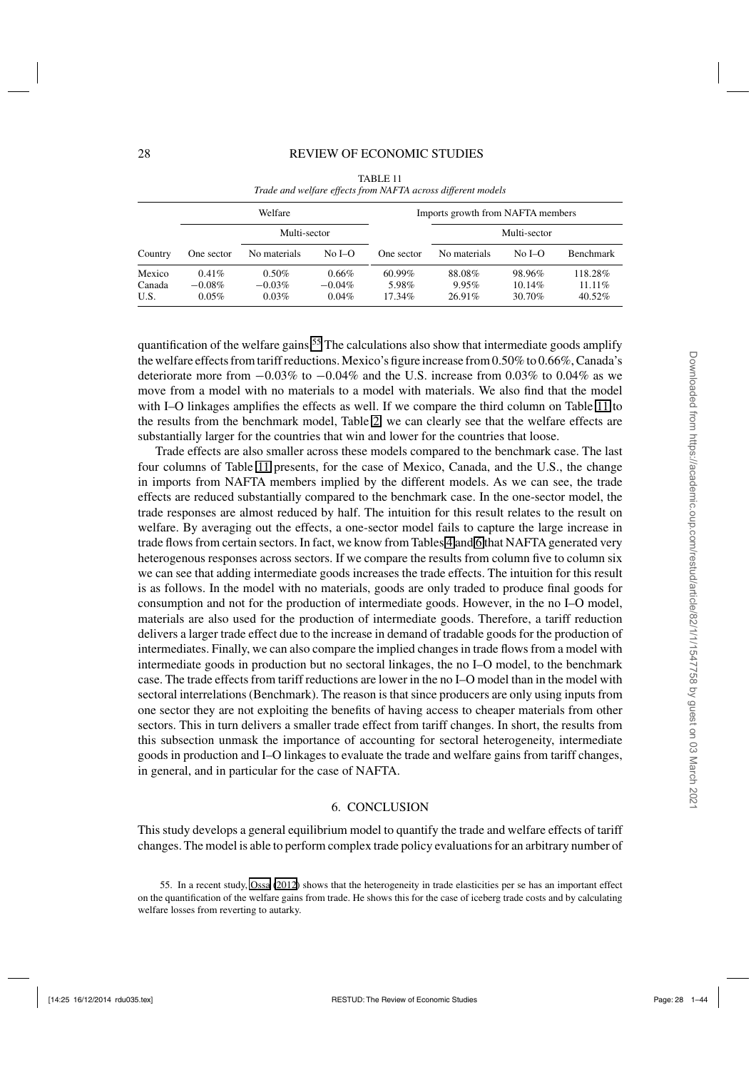<span id="page-27-0"></span>

| Welfare                  |                                   |                            |                             |                              | Imports growth from NAFTA members |                            |                                |
|--------------------------|-----------------------------------|----------------------------|-----------------------------|------------------------------|-----------------------------------|----------------------------|--------------------------------|
| Multi-sector             |                                   |                            |                             | Multi-sector                 |                                   |                            |                                |
| Country                  | One sector                        | No materials               | No I–O                      | One sector                   | No materials                      | No $I-O$                   | <b>Benchmark</b>               |
| Mexico<br>Canada<br>U.S. | $0.41\%$<br>$-0.08\%$<br>$0.05\%$ | 0.50%<br>$-0.03%$<br>0.03% | 0.66%<br>$-0.04\%$<br>0.04% | $60.99\%$<br>5.98%<br>17.34% | 88.08%<br>9.95%<br>26.91%         | 98.96%<br>10.14%<br>30.70% | 118.28%<br>$11.11\%$<br>40.52% |

TABLE 11 *Trade and welfare effects from NAFTA across different models*

quantification of the welfare gains.<sup>55</sup> The calculations also show that intermediate goods amplify the welfare effects from tariff reductions. Mexico's figure increase from 0.50% to 0.66%, Canada's deteriorate more from  $-0.03\%$  to  $-0.04\%$  and the U.S. increase from 0.03% to 0.04% as we move from a model with no materials to a model with materials. We also find that the model with I–O linkages amplifies the effects as well. If we compare the third column on Table 11 to the results from the benchmark model, Table [2,](#page-19-0) we can clearly see that the welfare effects are substantially larger for the countries that win and lower for the countries that loose.

Trade effects are also smaller across these models compared to the benchmark case. The last four columns of Table 11 presents, for the case of Mexico, Canada, and the U.S., the change in imports from NAFTA members implied by the different models. As we can see, the trade effects are reduced substantially compared to the benchmark case. In the one-sector model, the trade responses are almost reduced by half. The intuition for this result relates to the result on welfare. By averaging out the effects, a one-sector model fails to capture the large increase in trade flows from certain sectors. In fact, we know from Tables [4](#page-21-0) and [6](#page-23-0) that NAFTA generated very heterogenous responses across sectors. If we compare the results from column five to column six we can see that adding intermediate goods increases the trade effects. The intuition for this result is as follows. In the model with no materials, goods are only traded to produce final goods for consumption and not for the production of intermediate goods. However, in the no I–O model, materials are also used for the production of intermediate goods. Therefore, a tariff reduction delivers a larger trade effect due to the increase in demand of tradable goods for the production of intermediates. Finally, we can also compare the implied changes in trade flows from a model with intermediate goods in production but no sectoral linkages, the no I–O model, to the benchmark case. The trade effects from tariff reductions are lower in the no I–O model than in the model with sectoral interrelations (Benchmark). The reason is that since producers are only using inputs from one sector they are not exploiting the benefits of having access to cheaper materials from other sectors. This in turn delivers a smaller trade effect from tariff changes. In short, the results from this subsection unmask the importance of accounting for sectoral heterogeneity, intermediate goods in production and I–O linkages to evaluate the trade and welfare gains from tariff changes, in general, and in particular for the case of NAFTA.

#### 6. CONCLUSION

This study develops a general equilibrium model to quantify the trade and welfare effects of tariff changes. The model is able to perform complex trade policy evaluations for an arbitrary number of

<sup>55.</sup> In a recent study, [Ossa](#page-42-0) [\(2012\)](#page-42-0) shows that the heterogeneity in trade elasticities per se has an important effect on the quantification of the welfare gains from trade. He shows this for the case of iceberg trade costs and by calculating welfare losses from reverting to autarky.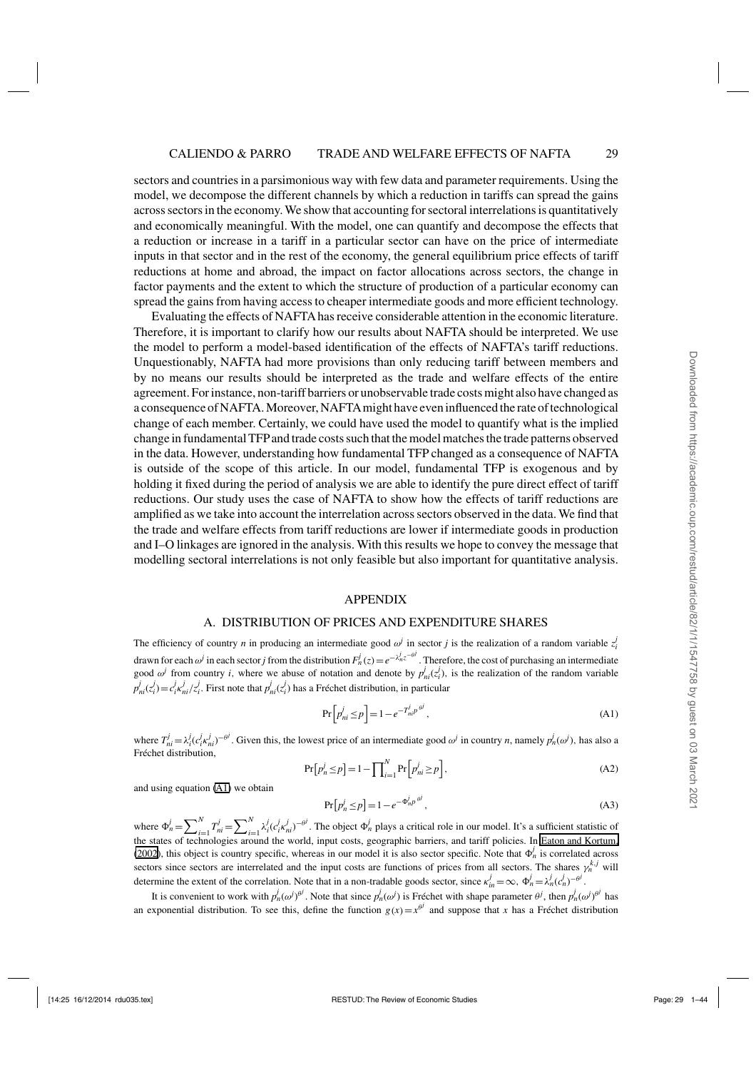<span id="page-28-0"></span>sectors and countries in a parsimonious way with few data and parameter requirements. Using the model, we decompose the different channels by which a reduction in tariffs can spread the gains across sectors in the economy. We show that accounting for sectoral interrelations is quantitatively and economically meaningful. With the model, one can quantify and decompose the effects that a reduction or increase in a tariff in a particular sector can have on the price of intermediate inputs in that sector and in the rest of the economy, the general equilibrium price effects of tariff reductions at home and abroad, the impact on factor allocations across sectors, the change in factor payments and the extent to which the structure of production of a particular economy can spread the gains from having access to cheaper intermediate goods and more efficient technology.

Evaluating the effects of NAFTAhas receive considerable attention in the economic literature. Therefore, it is important to clarify how our results about NAFTA should be interpreted. We use the model to perform a model-based identification of the effects of NAFTA's tariff reductions. Unquestionably, NAFTA had more provisions than only reducing tariff between members and by no means our results should be interpreted as the trade and welfare effects of the entire agreement. For instance, non-tariff barriers or unobservable trade costs might also have changed as a consequence of NAFTA. Moreover, NAFTAmight have even influenced the rate of technological change of each member. Certainly, we could have used the model to quantify what is the implied change in fundamental TFPand trade costs such that the model matches the trade patterns observed in the data. However, understanding how fundamental TFP changed as a consequence of NAFTA is outside of the scope of this article. In our model, fundamental TFP is exogenous and by holding it fixed during the period of analysis we are able to identify the pure direct effect of tariff reductions. Our study uses the case of NAFTA to show how the effects of tariff reductions are amplified as we take into account the interrelation across sectors observed in the data. We find that the trade and welfare effects from tariff reductions are lower if intermediate goods in production and I–O linkages are ignored in the analysis. With this results we hope to convey the message that modelling sectoral interrelations is not only feasible but also important for quantitative analysis.

#### APPENDIX

#### A. DISTRIBUTION OF PRICES AND EXPENDITURE SHARES

The efficiency of country *n* in producing an intermediate good  $\omega^j$  in sector *j* is the realization of a random variable  $z^j$ drawn for each  $\omega^j$  in each sector *j* from the distribution  $F_n^j(z) = e^{-\lambda_n^j z^{-\theta^j}}$ . Therefore, the cost of purchasing an intermediate good  $\omega^j$  from country *i*, where we abuse of notation and denote by  $p^j_{ni}(z^j_i)$ , is the realization of the random variable  $p_{ni}^j(z_i^j) = c_i^j \kappa_{ni}^j / z_i^j$ . First note that  $p_{ni}^j(z_i^j)$  has a Fréchet distribution, in particular

$$
\Pr\left[p_{ni}^j \le p\right] = 1 - e^{-T_{ni}^j p^{\theta^j}},\tag{A1}
$$

where  $T_{ni}^j = \lambda_i^j (c_i^j \kappa_{ni}^j)^{-\theta^j}$ . Given this, the lowest price of an intermediate good  $\omega^j$  in country *n*, namely  $p_n^j(\omega^j)$ , has also a Fréchet distribution,

$$
\Pr[p_n^j \le p] = 1 - \prod_{i=1}^N \Pr[p_n^j \ge p],\tag{A2}
$$

and using equation (A1) we obtain

$$
\Pr[p_n^j \le p] = 1 - e^{-\Phi_n^j p^{\theta^j}},\tag{A3}
$$

where  $\Phi_n^j = \sum_{i=1}^N T_{ni}^j = \sum_{i=1}^N \lambda_i^j (c_i^j \kappa_{ni}^j)^{-\theta^j}$ . The object  $\Phi_n^j$  plays a critical role in our model. It's a sufficient statistic of the states of technologies around the world, input costs, geographic barriers, and tariff policies. In [Eaton and Kortum,](#page-42-0) [\(2002](#page-42-0)), this object is country specific, whereas in our model it is also sector specific. Note that  $\Phi_n^j$  is correlated across sectors since sectors are interrelated and the input costs are functions of prices from all sectors. The shares  $\gamma_n^{k,j}$  will determine the extent of the correlation. Note that in a non-tradable goods sector, since  $\kappa_m^j = \infty$ ,  $\Phi_n^j = \lambda_n^j (c_n^j)^{-\theta^j}$ .

It is convenient to work with  $p_n^j(\omega)^{\theta^j}$ . Note that since  $p_n^j(\omega^j)$  is Fréchet with shape parameter  $\theta^j$ , then  $p_n^j(\omega^j)^{\theta^j}$  has an exponential distribution. To see this, define the function  $g(x) = x^{\theta^j}$  and suppose that *x* has a Fréchet distribution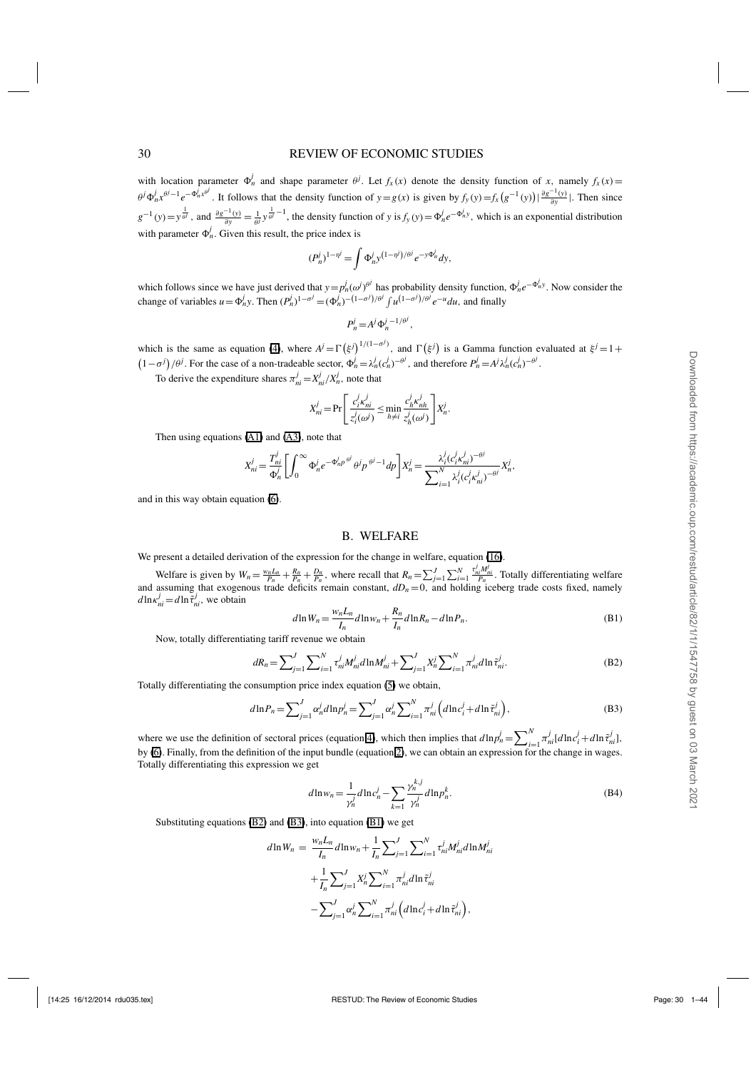#### <span id="page-29-0"></span>30 REVIEW OF ECONOMIC STUDIES

with location parameter  $\Phi_n^j$  and shape parameter  $\theta^j$ . Let  $f_x(x)$  denote the density function of *x*, namely  $f_x(x) =$  $\theta^j \Phi_n^j x^{\theta^j - 1} e^{-\Phi_n^j x^{\theta^j}}$ . It follows that the density function of  $y = g(x)$  is given by  $f_y(y) = f_x(g^{-1}(y)) \left| \frac{\partial g^{-1}(y)}{\partial y} \right|$ . Then since  $g^{-1}(y) = y^{\frac{1}{\theta l}}$ , and  $\frac{\partial g^{-1}(y)}{\partial y} = \frac{1}{\theta l} y^{\frac{1}{\theta l} - 1}$ , the density function of y is  $f_y(y) = \Phi_n^j e^{-\Phi_n^j y}$ , which is an exponential distribution with parameter  $\Phi_n^j$ . Given this result, the price index is

$$
(P_n^j)^{1-\eta^j} = \int \Phi_n^j y^{(1-\eta^j)/\theta^j} e^{-y\Phi_n^j} dy,
$$

which follows since we have just derived that  $y = p'_n(\omega^j)^{\theta^j}$  has probability density function,  $\Phi^j_n e^{-\Phi^j_n y}$ . Now consider the change of variables  $u = \Phi_n^j y$ . Then  $(P_n^j)^{1-\sigma^j} = (\Phi_n^j)^{-(1-\sigma^j)/\theta^j} \int u^{(1-\sigma^j)/\theta^j} e^{-u} du$ , and finally

$$
P_n^j = A^j \Phi_n^{j-1/\theta^j},
$$

which is the same as equation [\(4\)](#page-8-0), where  $A^j = \Gamma(\xi^j)^{1/(1-\sigma^j)}$ , and  $\Gamma(\xi^j)$  is a Gamma function evaluated at  $\xi^j = 1 + \frac{1}{2}$  $(1-\sigma^j)/\theta^j$ . For the case of a non-tradeable sector,  $\Phi_n^j = \lambda_n^j (c_n^j)^{-\theta^j}$ , and therefore  $P_n^j = A^j \lambda_n^j (c_n^j)^{-\theta^j}$ .

To derive the expenditure shares  $\pi_{ni}^{j} = X_{ni}^{j}/X_{n}^{j}$ , note that

$$
X_{ni}^j = \Pr\left[\frac{c_i^j \kappa_{ni}^j}{z_i^j(\omega^j)} \le \min_{h \neq i} \frac{c_h^j \kappa_{nh}^j}{z_h^j(\omega^j)}\right] X_n^j.
$$

Then using equations [\(A1\)](#page-28-0) and [\(A3\)](#page-28-0), note that

$$
X_{ni}^j = \frac{T_{ni}^j}{\Phi_n^j} \left[ \int_0^\infty \Phi_n^j e^{-\Phi_n^j p \theta^j} \theta^j p^{\theta^j - 1} dp \right] X_n^j = \frac{\lambda_i^j (c_i^j \kappa_{ni}^j)^{-\theta^j}}{\sum_{i=1}^N \lambda_i^j (c_i^j \kappa_{ni}^j)^{-\theta^j}} X_n^j,
$$

and in this way obtain equation [\(6\)](#page-9-0).

#### B. WELFARE

We present a detailed derivation of the expression for the change in welfare, equation [\(16\)](#page-12-0).

Welfare is given by  $W_n = \frac{w_n L_n}{P_n} + \frac{R_n}{P_n} + \frac{D_n}{P_n}$ , where recall that  $R_n = \sum_{j=1}^J \sum_{i=1}^N$  $\frac{\tau_{ni}^j M_{ni}^j}{P_n}$ . Totally differentiating welfare and assuming that exogenous trade deficits remain constant,  $dD_n = 0$ , and holding iceberg trade costs fixed, namely  $d\ln \kappa_{ni}^j = d\ln \tilde{\tau}_{ni}^j$ , we obtain

$$
d\ln W_n = \frac{w_n L_n}{I_n} d\ln w_n + \frac{R_n}{I_n} d\ln R_n - d\ln P_n.
$$
\n(B1)

Now, totally differentiating tariff revenue we obtain

$$
dR_n = \sum_{j=1}^{J} \sum_{i=1}^{N} \tau_{ni}^j M_{ni}^j d\ln M_{ni}^j + \sum_{j=1}^{J} X_n^j \sum_{i=1}^{N} \pi_{ni}^j d\ln \tilde{\tau}_{ni}^j.
$$
 (B2)

Totally differentiating the consumption price index equation [\(5\)](#page-8-0) we obtain,

$$
d\ln P_n = \sum_{j=1}^{J} \alpha_n^j d\ln p_n^j = \sum_{j=1}^{J} \alpha_n^j \sum_{i=1}^{N} \pi_{ni}^j \left( d\ln c_i^j + d\ln \tilde{\tau}_{ni}^j \right),
$$
 (B3)

where we use the definition of sectoral prices (equation [4\)](#page-8-0), which then implies that  $d\ln p_n^j = \sum_{i=1}^N \pi_{ni}^j [d\ln c_i^j + d\ln \tilde{\tau}_{ni}^j]$ , by [\(6\)](#page-9-0). Finally, from the definition of the input bundle (equation [2\)](#page-6-0), we can obtain an expression for the change in wages. Totally differentiating this expression we get

$$
d\ln w_n = \frac{1}{\gamma_n^j} d\ln c_n^j - \sum_{k=1}^{\infty} \frac{\gamma_n^{k,j}}{\gamma_n^j} d\ln p_n^k.
$$
 (B4)

Substituting equations (B2) and (B3), into equation (B1) we get

$$
d\ln W_n = \frac{w_n L_n}{I_n} d\ln w_n + \frac{1}{I_n} \sum_{j=1}^J \sum_{i=1}^N \tau_{ni}^j M_{ni}^j d\ln M_{ni}^j
$$
  
+ 
$$
\frac{1}{I_n} \sum_{j=1}^J X_n^j \sum_{i=1}^N \pi_{ni}^j d\ln \tilde{\tau}_{ni}^j
$$
  
- 
$$
\sum_{j=1}^J \alpha_n^j \sum_{i=1}^N \pi_{ni}^j \left( d\ln c_i^j + d\ln \tilde{\tau}_{ni}^j \right),
$$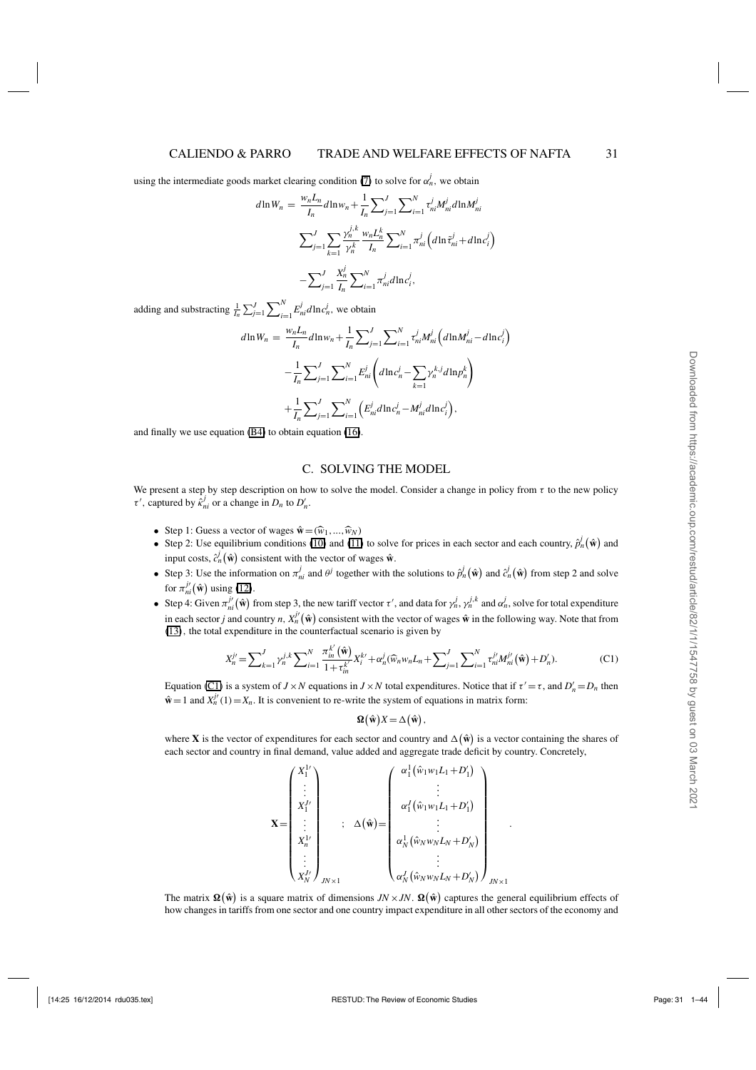using the intermediate goods market clearing condition ([7](#page-9-0)) to solve for  $\alpha_n^j$ , we obtain

$$
d\ln W_n = \frac{w_n L_n}{I_n} d\ln w_n + \frac{1}{I_n} \sum_{j=1}^J \sum_{i=1}^N \tau_{ni}^i M_{ni}^j d\ln M_{ni}^j
$$
  

$$
\sum_{j=1}^J \sum_{k=1}^J \frac{\gamma_n^{j,k}}{\gamma_n^k} \frac{w_n L_n^k}{I_n} \sum_{i=1}^N \pi_{ni}^j \left( d\ln \tilde{\tau}_{ni}^j + d\ln c_i^j \right)
$$
  

$$
- \sum_{j=1}^J \frac{X_n^j}{I_n} \sum_{i=1}^N \pi_{ni}^j d\ln c_i^j,
$$

adding and substracting  $\frac{1}{I_n} \sum_{j=1}^{J} \sum_{i=1}^{N} E_{ni}^j d \ln c_n^j$ , we obtain

$$
d\ln W_n = \frac{w_n L_n}{I_n} d\ln w_n + \frac{1}{I_n} \sum_{j=1}^J \sum_{i=1}^N \tau_{ni}^j M_{ni}^j \left( d\ln M_{ni}^j - d\ln c_i^j \right)
$$

$$
- \frac{1}{I_n} \sum_{j=1}^J \sum_{i=1}^N E_{ni}^j \left( d\ln c_n^j - \sum_{k=1} \gamma_n^{k,j} d\ln p_n^k \right)
$$

$$
+ \frac{1}{I_n} \sum_{j=1}^J \sum_{i=1}^N \left( E_{ni}^j d\ln c_n^j - M_{ni}^j d\ln c_i^j \right),
$$

and finally we use equation [\(B4\)](#page-29-0) to obtain equation [\(16\)](#page-12-0).

#### C. SOLVING THE MODEL

We present a step by step description on how to solve the model. Consider a change in policy from  $\tau$  to the new policy  $\tau'$ , captured by  $\hat{k}_{ni}^j$  or a change in  $D_n$  to  $D'_n$ .

- Step 1: Guess a vector of wages  $\hat{\mathbf{w}} = (\widehat{w}_1, ..., \widehat{w}_N)$
- Step 2: Use equilibrium conditions ([10](#page-10-0)) and ([11](#page-10-0)) to solve for prices in each sector and each country,  $\hat{p}_n^j(\hat{\mathbf{w}})$  and input costs,  $\hat{c}_n^j(\hat{\mathbf{w}})$  consistent with the vector of wages  $\hat{\mathbf{w}}$ .
- Step 3: Use the information on  $\pi_{ni}^j$  and  $\theta^j$  together with the solutions to  $\hat{p}_n^j(\hat{\mathbf{w}})$  and  $\hat{c}_n^j(\hat{\mathbf{w}})$  from step 2 and solve for  $\pi_{ni}^{j'}(\hat{\mathbf{w}})$  using ([12](#page-10-0)).
- Step 4: Given  $\pi_{ni}^{j'}(\hat{\mathbf{w}})$  from step 3, the new tariff vector  $\tau'$ , and data for  $\gamma_n^j$ ,  $\gamma_n^{j,k}$  and  $\alpha_n^j$ , solve for total expenditure in each sector *j* and country *n*,  $X_n^{j'}(\hat{\mathbf{w}})$  consistent with the vector of wages  $\hat{\mathbf{w}}$  in the following way. Note that from ([13](#page-10-0)), the total expenditure in the counterfactual scenario is given by

$$
X_n^{j} = \sum_{k=1}^J \gamma_n^{j,k} \sum_{i=1}^N \frac{\pi_{in}^{k'}(\hat{\mathbf{w}})}{1 + \tau_{in}^{k'}} X_i^{k'} + \alpha_n^j (\widehat{w}_n w_n L_n + \sum_{j=1}^J \sum_{i=1}^N \tau_{ni}^{j'} M_{ni}^{j'}(\hat{\mathbf{w}}) + D_n').
$$
 (C1)

.

Equation (C1) is a system of  $J \times N$  equations in  $J \times N$  total expenditures. Notice that if  $\tau' = \tau$ , and  $D'_n = D_n$  then  $\hat{\mathbf{w}} = 1$  and  $X_n^{j'}(1) = X_n$ . It is convenient to re-write the system of equations in matrix form:

$$
\mathbf{\Omega}\left( \hat{\mathbf{w}}\right) X=\Delta\left( \hat{\mathbf{w}}\right) ,
$$

where **X** is the vector of expenditures for each sector and country and  $\Delta(\hat{\mathbf{w}})$  is a vector containing the shares of each sector and country in final demand, value added and aggregate trade deficit by country. Concretely,

$$
\mathbf{X} = \begin{pmatrix} X_1^{1'} \\ \vdots \\ X_1^{j'} \\ \vdots \\ X_n^{j'} \\ \vdots \\ X_N^{j'} \end{pmatrix}_{JN \times 1} ; \quad \Delta(\hat{\mathbf{w}}) = \begin{pmatrix} \alpha_1^1(\hat{w}_1 w_1 L_1 + D_1') \\ \vdots \\ \alpha_1^j(\hat{w}_1 w_1 L_1 + D_1') \\ \vdots \\ \alpha_N^j(\hat{w}_N w_N L_N + D_N') \\ \vdots \\ \alpha_N^j(\hat{w}_N w_N L_N + D_N') \end{pmatrix}_{JN \times 1}
$$

The matrix  $\Omega(\hat{w})$  is a square matrix of dimensions *JN* × *JN*.  $\Omega(\hat{w})$  captures the general equilibrium effects of how changes in tariffs from one sector and one country impact expenditure in all other sectors of the economy and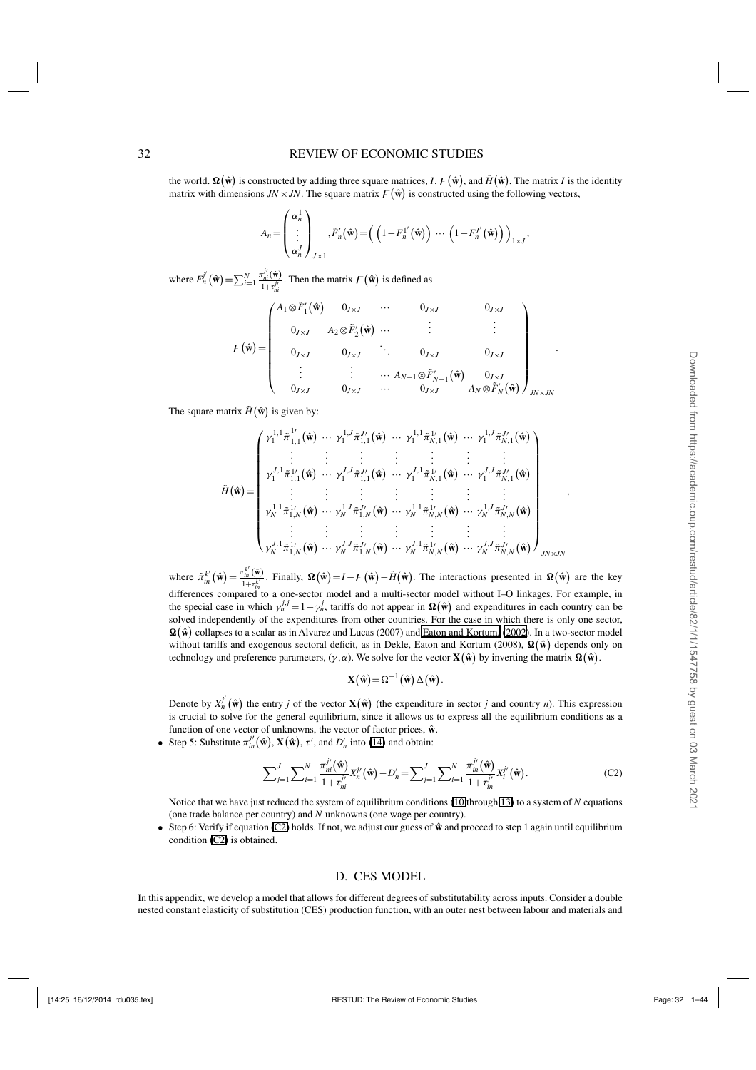#### 32 REVIEW OF ECONOMIC STUDIES

the world.  $\Omega(\hat{\mathbf{w}})$  is constructed by adding three square matrices, *I*,  $F(\hat{\mathbf{w}})$ , and  $H(\hat{\mathbf{w}})$ . The matrix *I* is the identity matrix with dimensions  $JN \times JN$ . The square matrix  $F(\hat{\mathbf{w}})$  is constructed using the following vectors,

$$
A_n = \begin{pmatrix} \alpha_n^1 \\ \vdots \\ \alpha_n^J \end{pmatrix}_{J \times 1}, \tilde{F}_n'(\hat{\mathbf{w}}) = \left( \left( 1 - F_n^{1'}(\hat{\mathbf{w}}) \right) \cdots \left( 1 - F_n^{J'}(\hat{\mathbf{w}}) \right) \right)_{1 \times J},
$$

where  $F_n^j(\hat{\mathbf{w}}) = \sum_{i=1}^N$  $\pi_{ni}^{j\prime}(\hat{\mathbf{w}})$  $\frac{V_{ni}(\mathbf{w})}{1+\tau_{ni}^{j'}}$ . Then the matrix  $F(\hat{\mathbf{w}})$  is defined as

$$
F(\hat{\mathbf{w}}) = \begin{pmatrix} A_1 \otimes F'_1(\hat{\mathbf{w}}) & 0_{J \times J} & \cdots & 0_{J \times J} & 0_{J \times J} \\ 0_{J \times J} & A_2 \otimes \tilde{F}'_2(\hat{\mathbf{w}}) & \cdots & \vdots & \vdots \\ 0_{J \times J} & 0_{J \times J} & \ddots & 0_{J \times J} & 0_{J \times J} \\ \vdots & \vdots & \cdots & A_{N-1} \otimes \tilde{F}'_{N-1}(\hat{\mathbf{w}}) & 0_{J \times J} \\ 0_{J \times J} & 0_{J \times J} & \cdots & 0_{J \times J} & A_N \otimes \tilde{F}'_N(\hat{\mathbf{w}}) \end{pmatrix}_{JN \times JN}
$$

The square matrix  $H(\hat{\mathbf{w}})$  is given by:

*H*˜ **w**ˆ = ⎛ ⎜ ⎜ ⎜ ⎜ ⎜ ⎜ ⎜ ⎜ ⎜ ⎜ ⎜ ⎜ ⎜ ⎜ ⎝ γ <sup>1</sup>,<sup>1</sup> <sup>1</sup> π˜ 1 1,1 **w**ˆ ··· <sup>γ</sup> <sup>1</sup>,*<sup>J</sup>* <sup>1</sup> <sup>π</sup>˜ *<sup>J</sup>* 1,1 **w**ˆ ··· <sup>γ</sup> <sup>1</sup>,<sup>1</sup> <sup>1</sup> <sup>π</sup>˜ <sup>1</sup> *N*,1 **w**ˆ ··· <sup>γ</sup> <sup>1</sup>,*<sup>J</sup>* <sup>1</sup> <sup>π</sup>˜ *<sup>J</sup> N*,1 **w**ˆ . . . . . . . . . . . . . . . . . . . . . γ *<sup>J</sup>*,<sup>1</sup> <sup>1</sup> <sup>π</sup>˜ <sup>1</sup> 1,1 **w**ˆ ··· <sup>γ</sup> *<sup>J</sup>*,*<sup>J</sup>* <sup>1</sup> <sup>π</sup>˜ *<sup>J</sup>* 1,1 **w**ˆ ··· <sup>γ</sup> *<sup>J</sup>*,<sup>1</sup> <sup>1</sup> <sup>π</sup>˜ <sup>1</sup> *N*,1 **w**ˆ ··· <sup>γ</sup> *<sup>J</sup>*,*<sup>J</sup>* <sup>1</sup> <sup>π</sup>˜ *<sup>J</sup> N*,1 **w**ˆ . . . . . . . . . . . . . . . . . . . . . γ <sup>1</sup>,<sup>1</sup> *<sup>N</sup>* <sup>π</sup>˜ <sup>1</sup> 1,*N* **w**ˆ ··· <sup>γ</sup> <sup>1</sup>,*<sup>J</sup> <sup>N</sup>* <sup>π</sup>˜ *<sup>J</sup>* 1,*N* **w**ˆ ··· <sup>γ</sup> <sup>1</sup>,<sup>1</sup> *<sup>N</sup>* <sup>π</sup>˜ <sup>1</sup> *N*,*N* **w**ˆ ··· <sup>γ</sup> <sup>1</sup>,*<sup>J</sup> <sup>N</sup>* <sup>π</sup>˜ *<sup>J</sup> N*,*N* **w**ˆ . . . . . . . . . . . . . . . . . . . . . γ *<sup>J</sup>*,<sup>1</sup> *<sup>N</sup>* <sup>π</sup>˜ <sup>1</sup> 1,*N* **w**ˆ ··· <sup>γ</sup> *<sup>J</sup>*,*<sup>J</sup> <sup>N</sup>* <sup>π</sup>˜ *<sup>J</sup>* 1,*N* **w**ˆ ··· <sup>γ</sup> *<sup>J</sup>*,<sup>1</sup> *<sup>N</sup>* <sup>π</sup>˜ <sup>1</sup> *N*,*N* **w**ˆ ··· <sup>γ</sup> *<sup>J</sup>*,*<sup>J</sup> <sup>N</sup>* <sup>π</sup>˜ *<sup>J</sup> N*,*N* **w**ˆ ⎞ ⎟ ⎟ ⎟ ⎟ ⎟ ⎟ ⎟ ⎟ ⎟ ⎟ ⎟ ⎟ ⎟ ⎟ ⎠ *JN*×*JN*

where  $\tilde{\pi}_{in}^{k'}(\hat{\mathbf{w}}) = \frac{\pi_{in}^{k'}(\hat{\mathbf{w}})}{1 + \tau^{k'}}$  $\frac{d_{in}(\mathbf{w})}{1+t_{in}^{k}}$ . Finally,  $\Omega(\hat{\mathbf{w}}) = I - F(\hat{\mathbf{w}}) - \tilde{H}(\hat{\mathbf{w}})$ . The interactions presented in  $\Omega(\hat{\mathbf{w}})$  are the key differences compared to a one-sector model and a multi-sector model without I–O linkages. For example, in the special case in which  $\gamma_n^{j,j} = 1 - \gamma_n^j$ , tariffs do not appear in  $\Omega(\hat{\mathbf{w}})$  and expenditures in each country can be solved independently of the expenditures from other countries. For the case in which there is only one sector,  $\Omega(\hat{w})$  collapses to a scalar as in Alvarez and Lucas (2007) and [Eaton and Kortum,](#page-42-0) [\(2002](#page-42-0)). In a two-sector model without tariffs and exogenous sectoral deficit, as in Dekle, Eaton and Kortum (2008),  $\Omega(\hat{w})$  depends only on technology and preference parameters,  $(\gamma, \alpha)$ . We solve for the vector  $\mathbf{X}(\hat{\mathbf{w}})$  by inverting the matrix  $\mathbf{\Omega}(\hat{\mathbf{w}})$ .

$$
\mathbf{X}(\hat{\mathbf{w}}) = \Omega^{-1}(\hat{\mathbf{w}}) \Delta(\hat{\mathbf{w}}).
$$

Denote by  $X_n^{j'}(\hat{\mathbf{w}})$  the entry *j* of the vector  $\mathbf{X}(\hat{\mathbf{w}})$  (the expenditure in sector *j* and country *n*). This expression is crucial to solve for the general equilibrium, since it allows us to express all the equilibrium conditions as a function of one vector of unknowns, the vector of factor prices,  $\hat{\mathbf{w}}$ .

• Step 5: Substitute  $\pi_{in}^{j'}(\hat{\mathbf{w}}), \mathbf{X}(\hat{\mathbf{w}}), \tau'$ , and  $D'_n$  into ([14](#page-10-0)) and obtain:

$$
\sum_{j=1}^{J} \sum_{i=1}^{N} \frac{\pi_{ni}^{j'}(\hat{\mathbf{w}})}{1 + \tau_{ni}^{j'}} X_{n}^{j'}(\hat{\mathbf{w}}) - D_{n}' = \sum_{j=1}^{J} \sum_{i=1}^{N} \frac{\pi_{in}^{j'}(\hat{\mathbf{w}})}{1 + \tau_{in}^{j'}} X_{i}^{j'}(\hat{\mathbf{w}}).
$$
 (C2)

Notice that we have just reduced the system of equilibrium conditions ([10](#page-10-0) through [13](#page-10-0)) to a system of *N* equations (one trade balance per country) and *N* unknowns (one wage per country).

• Step 6: Verify if equation (C2) holds. If not, we adjust our guess of  $\hat{w}$  and proceed to step 1 again until equilibrium condition (C2) is obtained.

#### D. CES MODEL

In this appendix, we develop a model that allows for different degrees of substitutability across inputs. Consider a double nested constant elasticity of substitution (CES) production function, with an outer nest between labour and materials and

,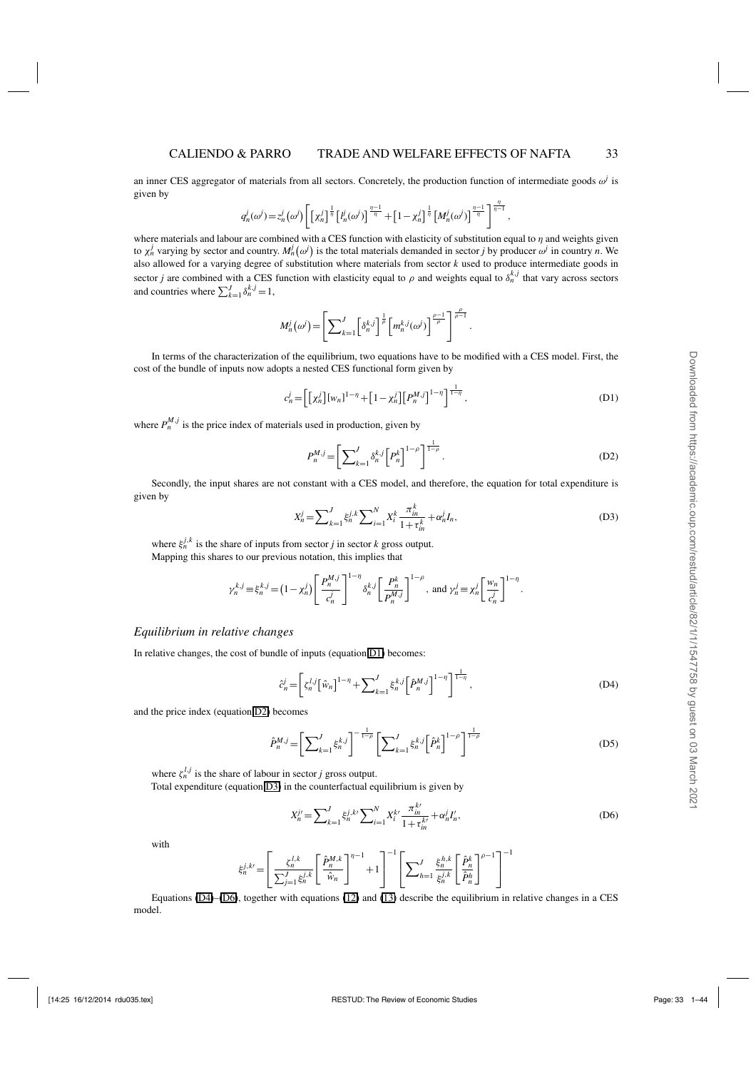an inner CES aggregator of materials from all sectors. Concretely, the production function of intermediate goods  $\omega^j$  is given by

$$
q_n^j(\omega^j) = z_n^j(\omega^j) \left[ \left[ \chi_n^j \right]^{\frac{1}{\eta}} \left[ l_n^j(\omega^j) \right]^{\frac{\eta-1}{\eta}} + \left[ 1 - \chi_n^j \right]^{\frac{1}{\eta}} \left[ M_n^j(\omega^j) \right]^{\frac{\eta-1}{\eta}} \right]^{\frac{\eta}{\eta-1}},
$$

where materials and labour are combined with a CES function with elasticity of substitution equal to  $\eta$  and weights given to  $\chi^j_n$  varying by sector and country.  $M^j_n(\omega^j)$  is the total materials demanded in sector *j* by producer  $\omega^j$  in country *n*. We also allowed for a varying degree of substitution where materials from sector *k* used to produce intermediate goods in sector *j* are combined with a CES function with elasticity equal to  $\rho$  and weights equal to  $\delta_n^{k,j}$  that vary across sectors and countries where  $\sum_{k=1}^{J} \delta_n^{k,j} = 1$ ,

$$
M_n^j(\omega^j) = \left[ \sum\nolimits_{k=1}^J \left[ \delta_n^{k,j} \right]^{\frac{1}{\rho}} \left[ m_n^{k,j}(\omega^j) \right]^{\frac{\rho-1}{\rho}} \right]^{\frac{\rho}{\rho-1}}.
$$

In terms of the characterization of the equilibrium, two equations have to be modified with a CES model. First, the cost of the bundle of inputs now adopts a nested CES functional form given by

$$
c_n^j = \left[ \left[ \chi_n^j \right] \left[ w_n \right]^{1-\eta} + \left[ 1 - \chi_n^j \right] \left[ P_n^{M,j} \right]^{1-\eta} \right]^{1-\eta}, \tag{D1}
$$

where  $P_n^{M,j}$  is the price index of materials used in production, given by

$$
P_n^{M,j} = \left[ \sum_{k=1}^J \delta_n^{k,j} \left[ P_n^k \right]^{1-\rho} \right]^{\frac{1}{1-\rho}}.
$$
 (D2)

Secondly, the input shares are not constant with a CES model, and therefore, the equation for total expenditure is given by

$$
X_n^j = \sum_{k=1}^J \xi_n^{j,k} \sum_{i=1}^N X_i^k \frac{\pi_m^k}{1 + \tau_m^k} + \alpha_n^j I_n,
$$
 (D3)

where  $\xi_n^{j,k}$  is the share of inputs from sector *j* in sector *k* gross output. Mapping this shares to our previous notation, this implies that

$$
\gamma_n^{k,j} \equiv \xi_n^{k,j} = (1 - \chi_n^j) \left[ \frac{P_n^{M,j}}{c_n^j} \right]^{1 - \eta} \delta_n^{k,j} \left[ \frac{P_n^k}{P_n^{M,j}} \right]^{1 - \rho}, \text{ and } \gamma_n^j \equiv \chi_n^j \left[ \frac{w_n}{c_n^j} \right]^{1 - \eta}.
$$

#### *Equilibrium in relative changes*

In relative changes, the cost of bundle of inputs (equation D1) becomes:

$$
\hat{c}_n^j = \left[ \zeta_n^{l,j} \left[ \hat{w}_n \right]^{1-\eta} + \sum_{k=1}^J \xi_n^{k,j} \left[ \hat{P}_n^{M,j} \right]^{1-\eta} \right]^{1-\eta},\tag{D4}
$$

and the price index (equation D2) becomes

$$
\hat{P}_n^{M,j} = \left[ \sum_{k=1}^J \xi_n^{k,j} \right]^{-\frac{1}{1-\rho}} \left[ \sum_{k=1}^J \xi_n^{k,j} \left[ \hat{P}_n^k \right]^{1-\rho} \right]^{\frac{1}{1-\rho}}
$$
(D5)

where  $\zeta_n^{l,j}$  is the share of labour in sector *j* gross output. Total expenditure (equation D3) in the counterfactual equilibrium is given by

$$
X_n^{j'} = \sum_{k=1}^J \xi_n^{j,k'} \sum_{i=1}^N X_i^{k'} \frac{\pi_{in}^{k'}}{1 + \tau_{in}^{k'}} + \alpha_n^j I_n',
$$
 (D6)

with

$$
\xi_n^{j,k\prime} = \left[ \frac{\xi_n^{l,k}}{\sum_{j=1}^J \xi_n^{j,k}} \left[ \frac{\hat{P}_n^{M,k}}{\hat{w}_n} \right]^{n-1} + 1 \right]^{-1} \left[ \sum_{h=1}^J \frac{\xi_n^{h,k}}{\xi_n^{j,k}} \left[ \frac{\hat{P}_n^k}{\hat{P}_n^h} \right]^{n-1} \right]^{-1}
$$

Equations (D4)–(D6), together with equations [\(12\)](#page-10-0) and [\(13\)](#page-10-0) describe the equilibrium in relative changes in a CES model.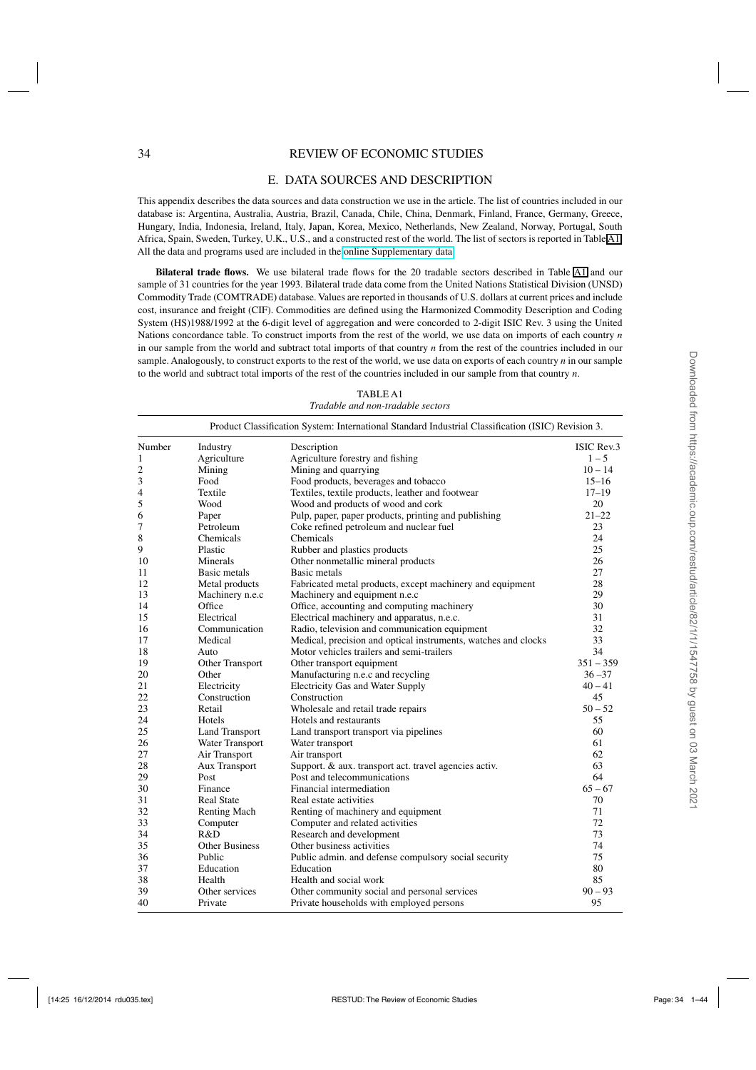#### 34 REVIEW OF ECONOMIC STUDIES

#### E. DATA SOURCES AND DESCRIPTION

This appendix describes the data sources and data construction we use in the article. The list of countries included in our database is: Argentina, Australia, Austria, Brazil, Canada, Chile, China, Denmark, Finland, France, Germany, Greece, Hungary, India, Indonesia, Ireland, Italy, Japan, Korea, Mexico, Netherlands, New Zealand, Norway, Portugal, South Africa, Spain, Sweden, Turkey, U.K., U.S., and a constructed rest of the world. The list of sectors is reported in Table [A1.](#page-17-0) All the data and programs used are included in the [online Supplementary data.](http://restud.oxfordjournals.org/lookup/suppl/doi:10.1093/restud/rdu035/-/DC1)

**Bilateral trade flows.** We use bilateral trade flows for the 20 tradable sectors described in Table [A1](#page-17-0) and our sample of 31 countries for the year 1993. Bilateral trade data come from the United Nations Statistical Division (UNSD) Commodity Trade (COMTRADE) database. Values are reported in thousands of U.S. dollars at current prices and include cost, insurance and freight (CIF). Commodities are defined using the Harmonized Commodity Description and Coding System (HS)1988/1992 at the 6-digit level of aggregation and were concorded to 2-digit ISIC Rev. 3 using the United Nations concordance table. To construct imports from the rest of the world, we use data on imports of each country *n* in our sample from the world and subtract total imports of that country *n* from the rest of the countries included in our sample. Analogously, to construct exports to the rest of the world, we use data on exports of each country *n* in our sample to the world and subtract total imports of the rest of the countries included in our sample from that country *n*.

|                |                       | Product Classification System: International Standard Industrial Classification (ISIC) Revision 3. |             |
|----------------|-----------------------|----------------------------------------------------------------------------------------------------|-------------|
| Number         | Industry              | Description                                                                                        | ISIC Rev.3  |
| $\mathbf{1}$   | Agriculture           | Agriculture forestry and fishing                                                                   | $1 - 5$     |
| $\overline{c}$ | Mining                | Mining and quarrying                                                                               | $10 - 14$   |
| 3              | Food                  | Food products, beverages and tobacco                                                               | $15 - 16$   |
| $\overline{4}$ | Textile               | Textiles, textile products, leather and footwear                                                   | $17 - 19$   |
| 5              | Wood                  | Wood and products of wood and cork                                                                 | 20          |
| 6              | Paper                 | Pulp, paper, paper products, printing and publishing                                               | $21 - 22$   |
| 7              | Petroleum             | Coke refined petroleum and nuclear fuel                                                            | 23          |
| 8              | Chemicals             | Chemicals                                                                                          | 24          |
| 9              | Plastic               | Rubber and plastics products                                                                       | 25          |
| 10             | Minerals              | Other nonmetallic mineral products                                                                 | 26          |
| 11             | Basic metals          | Basic metals                                                                                       | 27          |
| 12             | Metal products        | Fabricated metal products, except machinery and equipment                                          | 28          |
| 13             | Machinery n.e.c       | Machinery and equipment n.e.c                                                                      | 29          |
| 14             | Office                | Office, accounting and computing machinery                                                         | 30          |
| 15             | Electrical            | Electrical machinery and apparatus, n.e.c.                                                         | 31          |
| 16             | Communication         | Radio, television and communication equipment                                                      | 32          |
| 17             | Medical               | Medical, precision and optical instruments, watches and clocks                                     | 33          |
| 18             | Auto                  | Motor vehicles trailers and semi-trailers                                                          | 34          |
| 19             | Other Transport       | Other transport equipment                                                                          | $351 - 359$ |
| 20             | Other                 | Manufacturing n.e.c and recycling                                                                  | $36 - 37$   |
| 21             | Electricity           | <b>Electricity Gas and Water Supply</b>                                                            | $40 - 41$   |
| 22             | Construction          | Construction                                                                                       | 45          |
| 23             | Retail                | Wholesale and retail trade repairs                                                                 | $50 - 52$   |
| 24             | Hotels                | Hotels and restaurants                                                                             | 55          |
| 25             | <b>Land Transport</b> | Land transport transport via pipelines                                                             | 60          |
| 26             | Water Transport       | Water transport                                                                                    | 61          |
| 27             | Air Transport         | Air transport                                                                                      | 62          |
| 28             | <b>Aux Transport</b>  | Support. & aux. transport act. travel agencies activ.                                              | 63          |
| 29             | Post                  | Post and telecommunications                                                                        | 64          |
| 30             | Finance               | Financial intermediation                                                                           | $65 - 67$   |
| 31             | <b>Real State</b>     | Real estate activities                                                                             | 70          |
| 32             | <b>Renting Mach</b>   | Renting of machinery and equipment                                                                 | 71          |
| 33             | Computer              | Computer and related activities                                                                    | 72          |
| 34             | R&D                   | Research and development                                                                           | 73          |
| 35             | <b>Other Business</b> | Other business activities                                                                          | 74          |
| 36             | Public                | Public admin. and defense compulsory social security                                               | 75          |
| 37             | Education             | Education                                                                                          | 80          |
| 38             | Health                | Health and social work                                                                             | 85          |
| 39             | Other services        | Other community social and personal services                                                       | $90 - 93$   |
| 40             | Private               | Private households with employed persons                                                           | 95          |

TABLE A1 *Tradable and non-tradable sectors*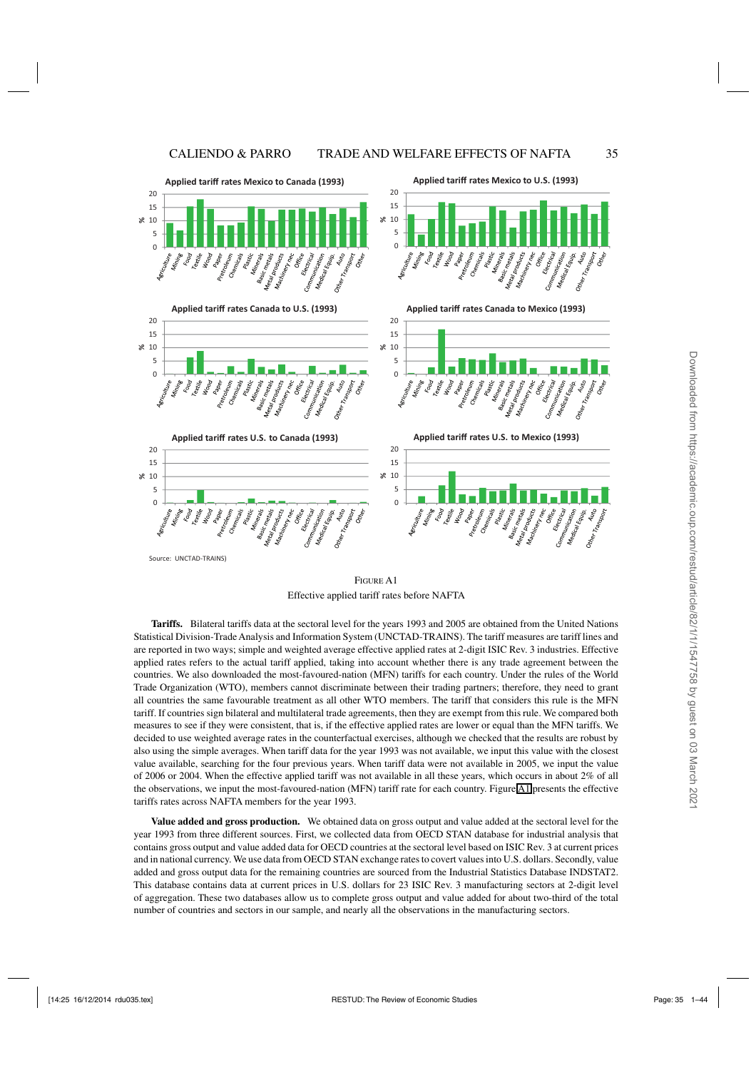<span id="page-34-0"></span>

**FIGURE A1** Effective applied tariff rates before NAFTA

**Tariffs.** Bilateral tariffs data at the sectoral level for the years 1993 and 2005 are obtained from the United Nations Statistical Division-Trade Analysis and Information System (UNCTAD-TRAINS). The tariff measures are tariff lines and are reported in two ways; simple and weighted average effective applied rates at 2-digit ISIC Rev. 3 industries. Effective applied rates refers to the actual tariff applied, taking into account whether there is any trade agreement between the countries. We also downloaded the most-favoured-nation (MFN) tariffs for each country. Under the rules of the World Trade Organization (WTO), members cannot discriminate between their trading partners; therefore, they need to grant all countries the same favourable treatment as all other WTO members. The tariff that considers this rule is the MFN tariff. If countries sign bilateral and multilateral trade agreements, then they are exempt from this rule. We compared both measures to see if they were consistent, that is, if the effective applied rates are lower or equal than the MFN tariffs. We decided to use weighted average rates in the counterfactual exercises, although we checked that the results are robust by also using the simple averages. When tariff data for the year 1993 was not available, we input this value with the closest value available, searching for the four previous years. When tariff data were not available in 2005, we input the value of 2006 or 2004. When the effective applied tariff was not available in all these years, which occurs in about 2% of all the observations, we input the most-favoured-nation (MFN) tariff rate for each country. Figure A1 presents the effective tariffs rates across NAFTA members for the year 1993.

**Value added and gross production.** We obtained data on gross output and value added at the sectoral level for the year 1993 from three different sources. First, we collected data from OECD STAN database for industrial analysis that contains gross output and value added data for OECD countries at the sectoral level based on ISIC Rev. 3 at current prices and in national currency. We use data from OECD STAN exchange rates to covert values into U.S. dollars. Secondly, value added and gross output data for the remaining countries are sourced from the Industrial Statistics Database INDSTAT2. This database contains data at current prices in U.S. dollars for 23 ISIC Rev. 3 manufacturing sectors at 2-digit level of aggregation. These two databases allow us to complete gross output and value added for about two-third of the total number of countries and sectors in our sample, and nearly all the observations in the manufacturing sectors.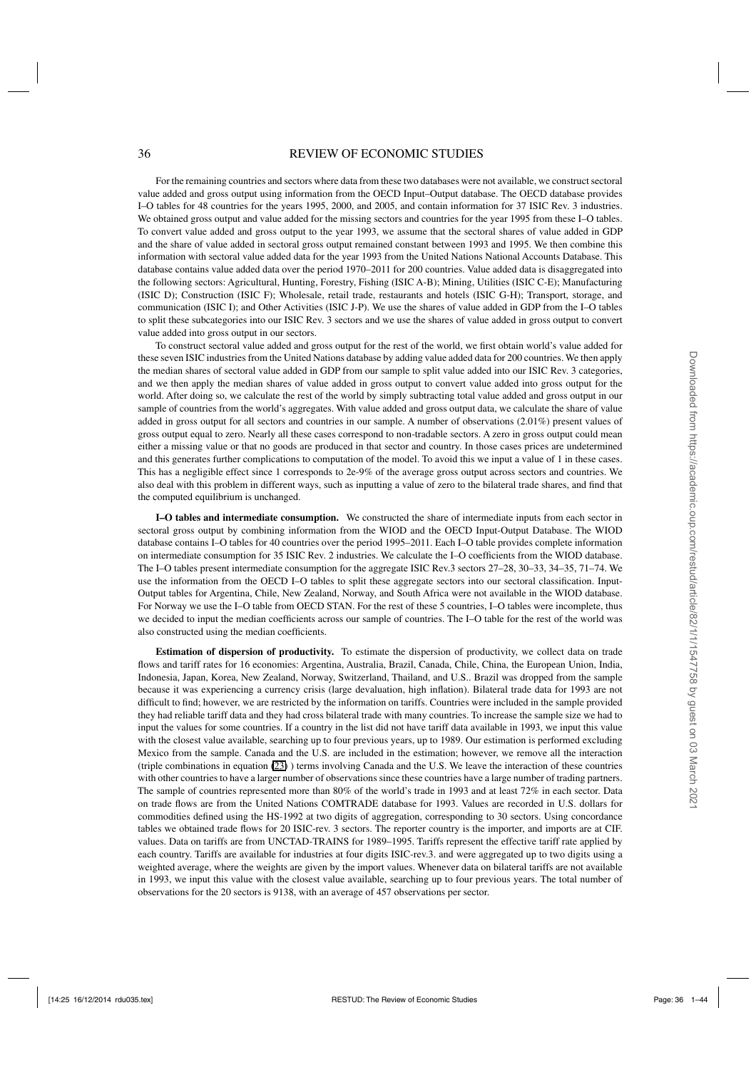#### 36 REVIEW OF ECONOMIC STUDIES

For the remaining countries and sectors where data from these two databases were not available, we construct sectoral value added and gross output using information from the OECD Input–Output database. The OECD database provides I–O tables for 48 countries for the years 1995, 2000, and 2005, and contain information for 37 ISIC Rev. 3 industries. We obtained gross output and value added for the missing sectors and countries for the year 1995 from these I–O tables. To convert value added and gross output to the year 1993, we assume that the sectoral shares of value added in GDP and the share of value added in sectoral gross output remained constant between 1993 and 1995. We then combine this information with sectoral value added data for the year 1993 from the United Nations National Accounts Database. This database contains value added data over the period 1970–2011 for 200 countries. Value added data is disaggregated into the following sectors: Agricultural, Hunting, Forestry, Fishing (ISIC A-B); Mining, Utilities (ISIC C-E); Manufacturing (ISIC D); Construction (ISIC F); Wholesale, retail trade, restaurants and hotels (ISIC G-H); Transport, storage, and communication (ISIC I); and Other Activities (ISIC J-P). We use the shares of value added in GDP from the I–O tables to split these subcategories into our ISIC Rev. 3 sectors and we use the shares of value added in gross output to convert value added into gross output in our sectors.

To construct sectoral value added and gross output for the rest of the world, we first obtain world's value added for these seven ISIC industries from the United Nations database by adding value added data for 200 countries. We then apply the median shares of sectoral value added in GDP from our sample to split value added into our ISIC Rev. 3 categories, and we then apply the median shares of value added in gross output to convert value added into gross output for the world. After doing so, we calculate the rest of the world by simply subtracting total value added and gross output in our sample of countries from the world's aggregates. With value added and gross output data, we calculate the share of value added in gross output for all sectors and countries in our sample. A number of observations (2.01%) present values of gross output equal to zero. Nearly all these cases correspond to non-tradable sectors. A zero in gross output could mean either a missing value or that no goods are produced in that sector and country. In those cases prices are undetermined and this generates further complications to computation of the model. To avoid this we input a value of 1 in these cases. This has a negligible effect since 1 corresponds to 2e-9% of the average gross output across sectors and countries. We also deal with this problem in different ways, such as inputting a value of zero to the bilateral trade shares, and find that the computed equilibrium is unchanged.

**I–O tables and intermediate consumption.** We constructed the share of intermediate inputs from each sector in sectoral gross output by combining information from the WIOD and the OECD Input-Output Database. The WIOD database contains I–O tables for 40 countries over the period 1995–2011. Each I–O table provides complete information on intermediate consumption for 35 ISIC Rev. 2 industries. We calculate the I–O coefficients from the WIOD database. The I–O tables present intermediate consumption for the aggregate ISIC Rev.3 sectors 27–28, 30–33, 34–35, 71–74. We use the information from the OECD I–O tables to split these aggregate sectors into our sectoral classification. Input-Output tables for Argentina, Chile, New Zealand, Norway, and South Africa were not available in the WIOD database. For Norway we use the I–O table from OECD STAN. For the rest of these 5 countries, I–O tables were incomplete, thus we decided to input the median coefficients across our sample of countries. The I–O table for the rest of the world was also constructed using the median coefficients.

**Estimation of dispersion of productivity.** To estimate the dispersion of productivity, we collect data on trade flows and tariff rates for 16 economies: Argentina, Australia, Brazil, Canada, Chile, China, the European Union, India, Indonesia, Japan, Korea, New Zealand, Norway, Switzerland, Thailand, and U.S.. Brazil was dropped from the sample because it was experiencing a currency crisis (large devaluation, high inflation). Bilateral trade data for 1993 are not difficult to find; however, we are restricted by the information on tariffs. Countries were included in the sample provided they had reliable tariff data and they had cross bilateral trade with many countries. To increase the sample size we had to input the values for some countries. If a country in the list did not have tariff data available in 1993, we input this value with the closest value available, searching up to four previous years, up to 1989. Our estimation is performed excluding Mexico from the sample. Canada and the U.S. are included in the estimation; however, we remove all the interaction (triple combinations in equation [\(23\)](#page-16-0) ) terms involving Canada and the U.S. We leave the interaction of these countries with other countries to have a larger number of observations since these countries have a large number of trading partners. The sample of countries represented more than 80% of the world's trade in 1993 and at least 72% in each sector. Data on trade flows are from the United Nations COMTRADE database for 1993. Values are recorded in U.S. dollars for commodities defined using the HS-1992 at two digits of aggregation, corresponding to 30 sectors. Using concordance tables we obtained trade flows for 20 ISIC-rev. 3 sectors. The reporter country is the importer, and imports are at CIF. values. Data on tariffs are from UNCTAD-TRAINS for 1989–1995. Tariffs represent the effective tariff rate applied by each country. Tariffs are available for industries at four digits ISIC-rev.3. and were aggregated up to two digits using a weighted average, where the weights are given by the import values. Whenever data on bilateral tariffs are not available in 1993, we input this value with the closest value available, searching up to four previous years. The total number of observations for the 20 sectors is 9138, with an average of 457 observations per sector.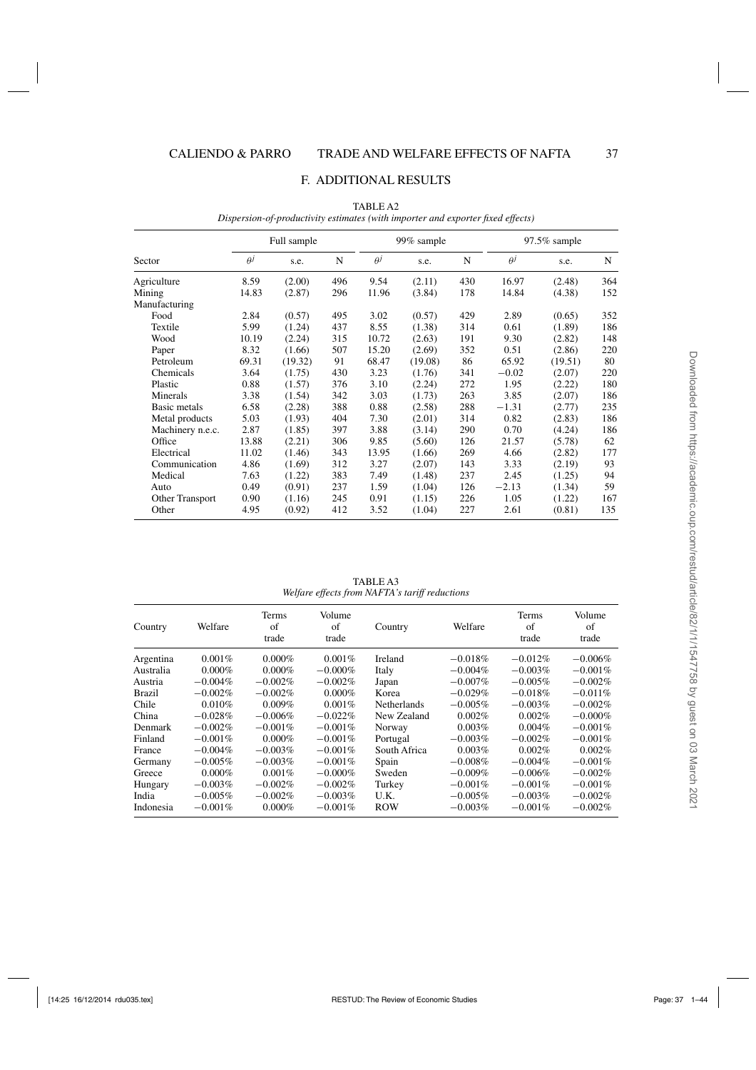#### F. ADDITIONAL RESULTS

|                  |            | Full sample |     |            | 99% sample |     |          | $97.5\%$ sample |     |  |
|------------------|------------|-------------|-----|------------|------------|-----|----------|-----------------|-----|--|
| Sector           | $\theta^j$ | s.e.        | N   | $\theta^j$ | s.e.       | N   | $\theta$ | s.e.            | N   |  |
| Agriculture      | 8.59       | (2.00)      | 496 | 9.54       | (2.11)     | 430 | 16.97    | (2.48)          | 364 |  |
| Mining           | 14.83      | (2.87)      | 296 | 11.96      | (3.84)     | 178 | 14.84    | (4.38)          | 152 |  |
| Manufacturing    |            |             |     |            |            |     |          |                 |     |  |
| Food             | 2.84       | (0.57)      | 495 | 3.02       | (0.57)     | 429 | 2.89     | (0.65)          | 352 |  |
| Textile          | 5.99       | (1.24)      | 437 | 8.55       | (1.38)     | 314 | 0.61     | (1.89)          | 186 |  |
| Wood             | 10.19      | (2.24)      | 315 | 10.72      | (2.63)     | 191 | 9.30     | (2.82)          | 148 |  |
| Paper            | 8.32       | (1.66)      | 507 | 15.20      | (2.69)     | 352 | 0.51     | (2.86)          | 220 |  |
| Petroleum        | 69.31      | (19.32)     | 91  | 68.47      | (19.08)    | 86  | 65.92    | (19.51)         | 80  |  |
| Chemicals        | 3.64       | (1.75)      | 430 | 3.23       | (1.76)     | 341 | $-0.02$  | (2.07)          | 220 |  |
| Plastic          | 0.88       | (1.57)      | 376 | 3.10       | (2.24)     | 272 | 1.95     | (2.22)          | 180 |  |
| Minerals         | 3.38       | (1.54)      | 342 | 3.03       | (1.73)     | 263 | 3.85     | (2.07)          | 186 |  |
| Basic metals     | 6.58       | (2.28)      | 388 | 0.88       | (2.58)     | 288 | $-1.31$  | (2.77)          | 235 |  |
| Metal products   | 5.03       | (1.93)      | 404 | 7.30       | (2.01)     | 314 | 0.82     | (2.83)          | 186 |  |
| Machinery n.e.c. | 2.87       | (1.85)      | 397 | 3.88       | (3.14)     | 290 | 0.70     | (4.24)          | 186 |  |
| Office           | 13.88      | (2.21)      | 306 | 9.85       | (5.60)     | 126 | 21.57    | (5.78)          | 62  |  |
| Electrical       | 11.02      | (1.46)      | 343 | 13.95      | (1.66)     | 269 | 4.66     | (2.82)          | 177 |  |
| Communication    | 4.86       | (1.69)      | 312 | 3.27       | (2.07)     | 143 | 3.33     | (2.19)          | 93  |  |
| Medical          | 7.63       | (1.22)      | 383 | 7.49       | (1.48)     | 237 | 2.45     | (1.25)          | 94  |  |
| Auto             | 0.49       | (0.91)      | 237 | 1.59       | (1.04)     | 126 | $-2.13$  | (1.34)          | 59  |  |
| Other Transport  | 0.90       | (1.16)      | 245 | 0.91       | (1.15)     | 226 | 1.05     | (1.22)          | 167 |  |
| Other            | 4.95       | (0.92)      | 412 | 3.52       | (1.04)     | 227 | 2.61     | (0.81)          | 135 |  |

TABLE A2 *Dispersion-of-productivity estimates (with importer and exporter fixed effects)*

TABLE A3 *Welfare effects from NAFTA's tariff reductions*

| Country       | Welfare    | <b>Terms</b><br>of<br>trade | Volume<br>of<br>trade | Country            | Welfare    | <b>Terms</b><br>of<br>trade | Volume<br>of<br>trade |
|---------------|------------|-----------------------------|-----------------------|--------------------|------------|-----------------------------|-----------------------|
| Argentina     | $0.001\%$  | $0.000\%$                   | $0.001\%$             | <b>Ireland</b>     | $-0.018\%$ | $-0.012\%$                  | $-0.006\%$            |
| Australia     | $0.000\%$  | $0.000\%$                   | $-0.000\%$            | Italy              | $-0.004\%$ | $-0.003\%$                  | $-0.001%$             |
| Austria       | $-0.004\%$ | $-0.002\%$                  | $-0.002\%$            | Japan              | $-0.007\%$ | $-0.005\%$                  | $-0.002%$             |
| <b>Brazil</b> | $-0.002\%$ | $-0.002\%$                  | $0.000\%$             | Korea              | $-0.029%$  | $-0.018%$                   | $-0.011%$             |
| Chile         | 0.010%     | $0.009\%$                   | $0.001\%$             | <b>Netherlands</b> | $-0.005\%$ | $-0.003\%$                  | $-0.002\%$            |
| China         | $-0.028%$  | $-0.006\%$                  | $-0.022\%$            | New Zealand        | 0.002%     | 0.002%                      | $-0.000\%$            |
| Denmark       | $-0.002\%$ | $-0.001\%$                  | $-0.001\%$            | Norway             | 0.003%     | $0.004\%$                   | $-0.001%$             |
| Finland       | $-0.001%$  | $0.000\%$                   | $-0.001\%$            | Portugal           | $-0.003%$  | $-0.002\%$                  | $-0.001%$             |
| France        | $-0.004\%$ | $-0.003%$                   | $-0.001\%$            | South Africa       | 0.003%     | 0.002%                      | 0.002%                |
| Germany       | $-0.005\%$ | $-0.003%$                   | $-0.001\%$            | Spain              | $-0.008\%$ | $-0.004\%$                  | $-0.001%$             |
| Greece        | $0.000\%$  | 0.001%                      | $-0.000\%$            | Sweden             | $-0.009%$  | $-0.006\%$                  | $-0.002%$             |
| Hungary       | $-0.003%$  | $-0.002%$                   | $-0.002\%$            | Turkey             | $-0.001%$  | $-0.001\%$                  | $-0.001\%$            |
| India         | $-0.005%$  | $-0.002%$                   | $-0.003%$             | U.K.               | $-0.005%$  | $-0.003%$                   | $-0.002\%$            |
| Indonesia     | $-0.001%$  | $0.000\%$                   | $-0.001\%$            | <b>ROW</b>         | $-0.003%$  | $-0.001\%$                  | $-0.002\%$            |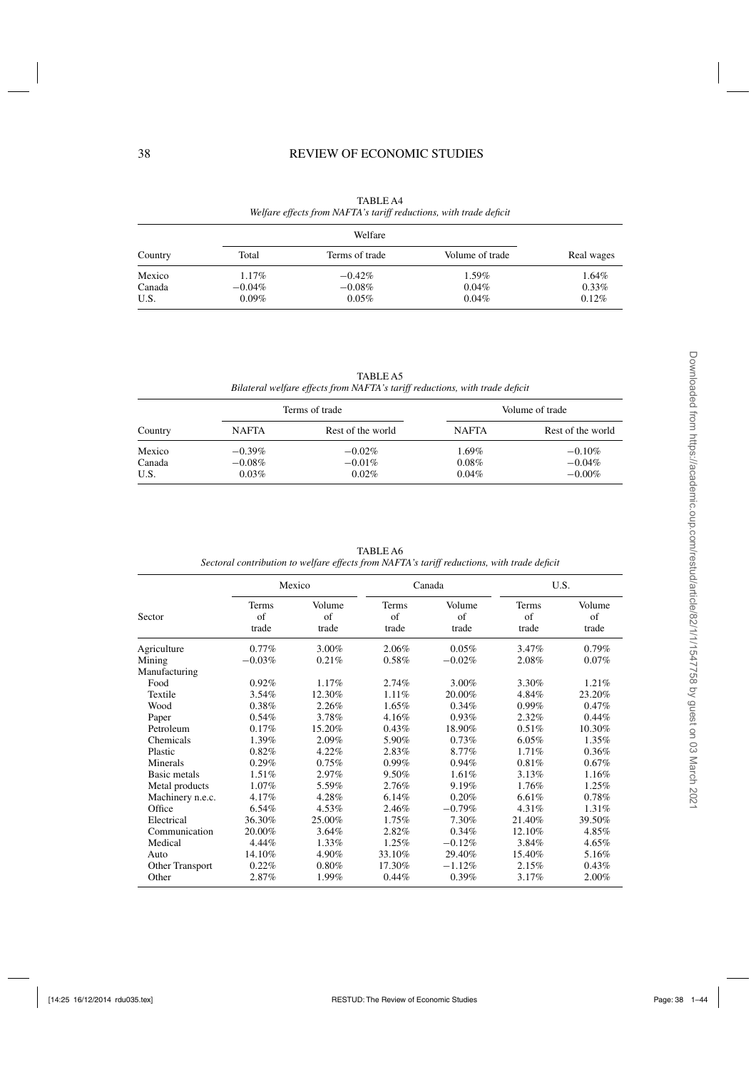# 38 REVIEW OF ECONOMIC STUDIES

|         |           | Welfare        |                 |            |
|---------|-----------|----------------|-----------------|------------|
| Country | Total     | Terms of trade | Volume of trade | Real wages |
| Mexico  | 1.17%     | $-0.42\%$      | 1.59%           | 1.64%      |
| Canada  | $-0.04\%$ | $-0.08\%$      | 0.04%           | $0.33\%$   |
| U.S.    | $0.09\%$  | 0.05%          | 0.04%           | 0.12%      |

TABLE A4 *Welfare effects from NAFTA's tariff reductions, with trade deficit*

TABLE A5 *Bilateral welfare effects from NAFTA's tariff reductions, with trade deficit*

| Terms of trade           |                                 |                                    | Volume of trade               |                                    |  |  |
|--------------------------|---------------------------------|------------------------------------|-------------------------------|------------------------------------|--|--|
| Country                  | <b>NAFTA</b>                    | Rest of the world                  | <b>NAFTA</b>                  | Rest of the world                  |  |  |
| Mexico<br>Canada<br>U.S. | $-0.39\%$<br>$-0.08\%$<br>0.03% | $-0.02\%$<br>$-0.01\%$<br>$0.02\%$ | $1.69\%$<br>0.08%<br>$0.04\%$ | $-0.10%$<br>$-0.04\%$<br>$-0.00\%$ |  |  |

| TABLE A6                                                                                    |
|---------------------------------------------------------------------------------------------|
| Sectoral contribution to welfare effects from NAFTA's tariff reductions, with trade deficit |

|                  |                      | Mexico                |                             | Canada                | U.S.                        |                       |  |
|------------------|----------------------|-----------------------|-----------------------------|-----------------------|-----------------------------|-----------------------|--|
| Sector           | Terms<br>of<br>trade | Volume<br>of<br>trade | <b>Terms</b><br>of<br>trade | Volume<br>of<br>trade | <b>Terms</b><br>of<br>trade | Volume<br>of<br>trade |  |
| Agriculture      | $0.77\%$             | 3.00%                 | 2.06%                       | 0.05%                 | 3.47%                       | 0.79%                 |  |
| Mining           | $-0.03%$             | 0.21%                 | 0.58%                       | $-0.02%$              | 2.08%                       | $0.07\%$              |  |
| Manufacturing    |                      |                       |                             |                       |                             |                       |  |
| Food             | 0.92%                | 1.17%                 | 2.74%                       | 3.00%                 | 3.30%                       | 1.21%                 |  |
| Textile          | 3.54%                | 12.30%                | 1.11%                       | 20.00%                | 4.84%                       | 23.20%                |  |
| Wood             | 0.38%                | 2.26%                 | 1.65%                       | 0.34%                 | $0.99\%$                    | 0.47%                 |  |
| Paper            | 0.54%                | 3.78%                 | 4.16%                       | 0.93%                 | 2.32%                       | 0.44%                 |  |
| Petroleum        | 0.17%                | 15.20%                | 0.43%                       | 18.90%                | 0.51%                       | 10.30%                |  |
| Chemicals        | 1.39%                | 2.09%                 | 5.90%                       | 0.73%                 | 6.05%                       | 1.35%                 |  |
| Plastic          | 0.82%                | 4.22%                 | 2.83%                       | 8.77%                 | 1.71%                       | 0.36%                 |  |
| Minerals         | 0.29%                | 0.75%                 | $0.99\%$                    | 0.94%                 | 0.81%                       | 0.67%                 |  |
| Basic metals     | 1.51%                | 2.97%                 | 9.50%                       | 1.61%                 | 3.13%                       | 1.16%                 |  |
| Metal products   | 1.07%                | 5.59%                 | 2.76%                       | 9.19%                 | 1.76%                       | 1.25%                 |  |
| Machinery n.e.c. | 4.17%                | 4.28%                 | 6.14%                       | 0.20%                 | 6.61%                       | 0.78%                 |  |
| Office           | 6.54%                | 4.53%                 | 2.46%                       | $-0.79%$              | 4.31%                       | 1.31%                 |  |
| Electrical       | 36.30%               | 25.00%                | 1.75%                       | 7.30%                 | 21.40%                      | 39.50%                |  |
| Communication    | 20.00%               | 3.64%                 | 2.82%                       | 0.34%                 | 12.10%                      | 4.85%                 |  |
| Medical          | 4.44%                | 1.33%                 | 1.25%                       | $-0.12%$              | 3.84%                       | 4.65%                 |  |
| Auto             | 14.10%               | 4.90%                 | 33.10%                      | 29.40%                | 15.40%                      | 5.16%                 |  |
| Other Transport  | 0.22%                | 0.80%                 | 17.30%                      | $-1.12%$              | 2.15%                       | 0.43%                 |  |
| Other            | 2.87%                | 1.99%                 | 0.44%                       | 0.39%                 | 3.17%                       | 2.00%                 |  |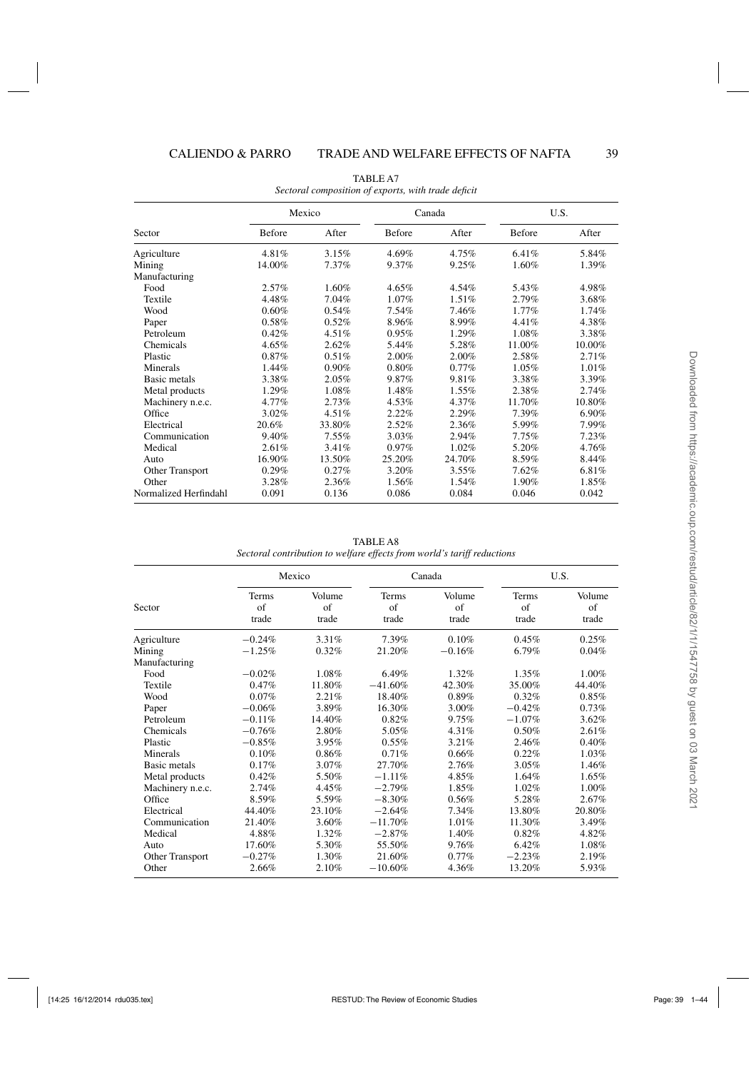|                       |               | Mexico |               | Canada   |               | U.S.     |  |
|-----------------------|---------------|--------|---------------|----------|---------------|----------|--|
| Sector                | <b>Before</b> | After  | <b>Before</b> | After    | <b>Before</b> | After    |  |
| Agriculture           | 4.81%         | 3.15%  | 4.69%         | $4.75\%$ | 6.41%         | 5.84%    |  |
| Mining                | 14.00%        | 7.37%  | 9.37%         | 9.25%    | 1.60%         | 1.39%    |  |
| Manufacturing         |               |        |               |          |               |          |  |
| Food                  | $2.57\%$      | 1.60%  | 4.65%         | 4.54%    | 5.43%         | 4.98%    |  |
| Textile               | 4.48%         | 7.04%  | 1.07%         | 1.51%    | 2.79%         | 3.68%    |  |
| Wood                  | 0.60%         | 0.54%  | 7.54%         | 7.46%    | 1.77%         | 1.74%    |  |
| Paper                 | 0.58%         | 0.52%  | 8.96%         | 8.99%    | 4.41%         | 4.38%    |  |
| Petroleum             | 0.42%         | 4.51%  | 0.95%         | 1.29%    | 1.08%         | 3.38%    |  |
| Chemicals             | 4.65%         | 2.62%  | 5.44%         | 5.28%    | 11.00%        | 10.00%   |  |
| Plastic               | 0.87%         | 0.51%  | 2.00%         | 2.00%    | 2.58%         | 2.71%    |  |
| Minerals              | 1.44%         | 0.90%  | 0.80%         | $0.77\%$ | 1.05%         | 1.01%    |  |
| Basic metals          | 3.38%         | 2.05%  | 9.87%         | 9.81%    | 3.38%         | 3.39%    |  |
| Metal products        | 1.29%         | 1.08%  | 1.48%         | 1.55%    | 2.38%         | 2.74%    |  |
| Machinery n.e.c.      | 4.77%         | 2.73%  | 4.53%         | $4.37\%$ | 11.70%        | 10.80%   |  |
| Office                | $3.02\%$      | 4.51%  | 2.22%         | 2.29%    | 7.39%         | $6.90\%$ |  |
| Electrical            | 20.6%         | 33.80% | 2.52%         | 2.36%    | 5.99%         | 7.99%    |  |
| Communication         | 9.40%         | 7.55%  | 3.03%         | 2.94%    | 7.75%         | 7.23%    |  |
| Medical               | 2.61%         | 3.41%  | $0.97\%$      | 1.02%    | 5.20%         | 4.76%    |  |
| Auto                  | 16.90%        | 13.50% | 25.20%        | 24.70%   | 8.59%         | 8.44%    |  |
| Other Transport       | 0.29%         | 0.27%  | 3.20%         | $3.55\%$ | 7.62%         | 6.81%    |  |
| Other                 | 3.28%         | 2.36%  | 1.56%         | $1.54\%$ | 1.90%         | 1.85%    |  |
| Normalized Herfindahl | 0.091         | 0.136  | 0.086         | 0.084    | 0.046         | 0.042    |  |

TABLE A7 *Sectoral composition of exports, with trade deficit*

TABLE A8 *Sectoral contribution to welfare effects from world's tariff reductions*

|                  |                             | Mexico                |                      | Canada                | U.S.                 |                       |  |
|------------------|-----------------------------|-----------------------|----------------------|-----------------------|----------------------|-----------------------|--|
| Sector           | <b>Terms</b><br>of<br>trade | Volume<br>of<br>trade | Terms<br>of<br>trade | Volume<br>of<br>trade | Terms<br>of<br>trade | Volume<br>of<br>trade |  |
| Agriculture      | $-0.24%$                    | 3.31%                 | 7.39%                | 0.10%                 | 0.45%                | 0.25%                 |  |
| Mining           | $-1.25%$                    | 0.32%                 | 21.20%               | $-0.16%$              | 6.79%                | 0.04%                 |  |
| Manufacturing    |                             |                       |                      |                       |                      |                       |  |
| Food             | $-0.02%$                    | 1.08%                 | $6.49\%$             | 1.32%                 | $1.35\%$             | 1.00%                 |  |
| Textile          | 0.47%                       | 11.80%                | $-41.60\%$           | 42.30%                | 35.00%               | 44.40%                |  |
| Wood             | 0.07%                       | 2.21%                 | 18.40%               | 0.89%                 | 0.32%                | $0.85\%$              |  |
| Paper            | $-0.06%$                    | 3.89%                 | 16.30%               | 3.00%                 | $-0.42%$             | 0.73%                 |  |
| Petroleum        | $-0.11%$                    | 14.40%                | 0.82%                | 9.75%                 | $-1.07\%$            | 3.62%                 |  |
| Chemicals        | $-0.76%$                    | 2.80%                 | 5.05%                | 4.31%                 | 0.50%                | 2.61%                 |  |
| Plastic          | $-0.85%$                    | 3.95%                 | $0.55\%$             | 3.21%                 | 2.46%                | 0.40%                 |  |
| Minerals         | 0.10%                       | 0.86%                 | $0.71\%$             | 0.66%                 | 0.22%                | 1.03%                 |  |
| Basic metals     | 0.17%                       | 3.07%                 | 27.70%               | 2.76%                 | 3.05%                | 1.46%                 |  |
| Metal products   | 0.42%                       | 5.50%                 | $-1.11%$             | 4.85%                 | 1.64%                | 1.65%                 |  |
| Machinery n.e.c. | 2.74%                       | 4.45%                 | $-2.79%$             | 1.85%                 | 1.02%                | 1.00%                 |  |
| Office           | 8.59%                       | 5.59%                 | $-8.30\%$            | 0.56%                 | 5.28%                | 2.67%                 |  |
| Electrical       | 44.40%                      | 23.10%                | $-2.64%$             | 7.34%                 | 13.80%               | 20.80%                |  |
| Communication    | 21.40%                      | 3.60%                 | $-11.70%$            | 1.01%                 | 11.30%               | 3.49%                 |  |
| Medical          | 4.88%                       | 1.32%                 | $-2.87%$             | 1.40%                 | 0.82%                | 4.82%                 |  |
| Auto             | 17.60%                      | 5.30%                 | 55.50%               | 9.76%                 | 6.42%                | 1.08%                 |  |
| Other Transport  | $-0.27%$                    | 1.30%                 | 21.60%               | $0.77\%$              | $-2.23%$             | 2.19%                 |  |
| Other            | 2.66%                       | 2.10%                 | $-10.60\%$           | 4.36%                 | 13.20%               | 5.93%                 |  |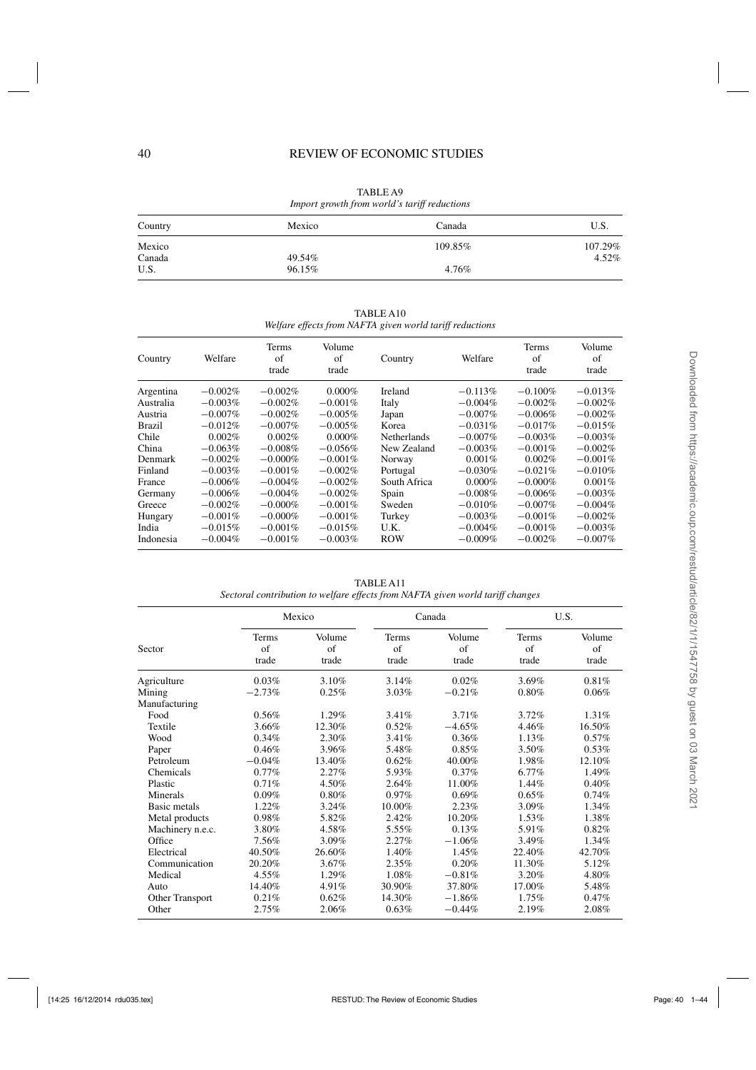| Import growth from world's tariff reductions |        |         |         |  |  |  |
|----------------------------------------------|--------|---------|---------|--|--|--|
| Country                                      | Mexico | Canada  | U.S.    |  |  |  |
| Mexico                                       |        | 109.85% | 107.29% |  |  |  |
| Canada                                       | 49.54% |         | 4.52%   |  |  |  |
| U.S.                                         | 96.15% | 4.76%   |         |  |  |  |

TABLE A9 *Import growth from world's tariff reductions*

|           | weifare effects from NAF IA given world tariff reductions |                      |                       |                    |            |                      |                       |  |  |  |
|-----------|-----------------------------------------------------------|----------------------|-----------------------|--------------------|------------|----------------------|-----------------------|--|--|--|
| Country   | Welfare                                                   | Terms<br>of<br>trade | Volume<br>of<br>trade | Country            | Welfare    | Terms<br>of<br>trade | Volume<br>of<br>trade |  |  |  |
| Argentina | $-0.002%$                                                 | $-0.002%$            | $0.000\%$             | Ireland            | $-0.113%$  | $-0.100\%$           | $-0.013%$             |  |  |  |
| Australia | $-0.003\%$                                                | $-0.002\%$           | $-0.001%$             | Italy              | $-0.004\%$ | $-0.002%$            | $-0.002%$             |  |  |  |
| Austria   | $-0.007\%$                                                | $-0.002%$            | $-0.005%$             | Japan              | $-0.007\%$ | $-0.006%$            | $-0.002%$             |  |  |  |
| Brazil    | $-0.012%$                                                 | $-0.007\%$           | $-0.005%$             | Korea              | $-0.031%$  | $-0.017%$            | $-0.015%$             |  |  |  |
| Chile     | 0.002%                                                    | 0.002%               | $0.000\%$             | <b>Netherlands</b> | $-0.007\%$ | $-0.003%$            | $-0.003%$             |  |  |  |
| China     | $-0.063\%$                                                | $-0.008%$            | $-0.056\%$            | New Zealand        | $-0.003%$  | $-0.001\%$           | $-0.002%$             |  |  |  |
| Denmark   | $-0.002\%$                                                | $-0.000\%$           | $-0.001%$             | Norway             | 0.001%     | 0.002%               | $-0.001%$             |  |  |  |
| Finland   | $-0.003\%$                                                | $-0.001%$            | $-0.002\%$            | Portugal           | $-0.030%$  | $-0.021%$            | $-0.010%$             |  |  |  |
| France    | $-0.006\%$                                                | $-0.004\%$           | $-0.002\%$            | South Africa       | $0.000\%$  | $-0.000\%$           | $0.001\%$             |  |  |  |
| Germany   | $-0.006\%$                                                | $-0.004\%$           | $-0.002%$             | Spain              | $-0.008%$  | $-0.006%$            | $-0.003%$             |  |  |  |
| Greece    | $-0.002\%$                                                | $-0.000\%$           | $-0.001\%$            | Sweden             | $-0.010\%$ | $-0.007\%$           | $-0.004\%$            |  |  |  |
| Hungary   | $-0.001\%$                                                | $-0.000\%$           | $-0.001%$             | Turkey             | $-0.003%$  | $-0.001%$            | $-0.002%$             |  |  |  |
| India     | $-0.015%$                                                 | $-0.001%$            | $-0.015%$             | U.K.               | $-0.004%$  | $-0.001%$            | $-0.003%$             |  |  |  |
| Indonesia | $-0.004\%$                                                | $-0.001%$            | $-0.003%$             | <b>ROW</b>         | $-0.009%$  | $-0.002%$            | $-0.007\%$            |  |  |  |

TABLE A10 *Welfare effects from NAFTA given world tariff reductions*

TABLE A11

| Sectoral contribution to welfare effects from NAFTA given world tariff changes |  |  |  |
|--------------------------------------------------------------------------------|--|--|--|

|                  |                             | Mexico                        |                      | Canada                        |                      | U.S.                  |  |
|------------------|-----------------------------|-------------------------------|----------------------|-------------------------------|----------------------|-----------------------|--|
| Sector           | <b>Terms</b><br>of<br>trade | Volume<br>$\sigma$ f<br>trade | Terms<br>of<br>trade | Volume<br>$\sigma$ f<br>trade | Terms<br>of<br>trade | Volume<br>of<br>trade |  |
| Agriculture      | 0.03%                       | 3.10%                         | 3.14%                | 0.02%                         | 3.69%                | 0.81%                 |  |
| Mining           | $-2.73%$                    | 0.25%                         | 3.03%                | $-0.21%$                      | 0.80%                | 0.06%                 |  |
| Manufacturing    |                             |                               |                      |                               |                      |                       |  |
| Food             | 0.56%                       | 1.29%                         | 3.41%                | 3.71%                         | 3.72%                | 1.31%                 |  |
| Textile          | 3.66%                       | 12.30%                        | 0.52%                | $-4.65%$                      | 4.46%                | 16.50%                |  |
| Wood             | 0.34%                       | 2.30%                         | 3.41%                | 0.36%                         | 1.13%                | $0.57\%$              |  |
| Paper            | 0.46%                       | 3.96%                         | 5.48%                | 0.85%                         | 3.50%                | 0.53%                 |  |
| Petroleum        | $-0.04%$                    | 13.40%                        | 0.62%                | 40.00%                        | 1.98%                | 12.10%                |  |
| Chemicals        | $0.77\%$                    | 2.27%                         | 5.93%                | $0.37\%$                      | 6.77%                | 1.49%                 |  |
| Plastic          | 0.71%                       | 4.50%                         | 2.64%                | 11.00%                        | 1.44%                | 0.40%                 |  |
| Minerals         | $0.09\%$                    | 0.80%                         | $0.97\%$             | 0.69%                         | 0.65%                | 0.74%                 |  |
| Basic metals     | 1.22%                       | $3.24\%$                      | 10.00%               | 2.23%                         | 3.09%                | $1.34\%$              |  |
| Metal products   | 0.98%                       | 5.82%                         | 2.42%                | 10.20%                        | 1.53%                | 1.38%                 |  |
| Machinery n.e.c. | 3.80%                       | 4.58%                         | 5.55%                | 0.13%                         | 5.91%                | 0.82%                 |  |
| Office           | 7.56%                       | $3.09\%$                      | 2.27%                | $-1.06%$                      | 3.49%                | $1.34\%$              |  |
| Electrical       | 40.50%                      | 26.60%                        | 1.40%                | 1.45%                         | 22.40%               | 42.70%                |  |
| Communication    | 20.20%                      | 3.67%                         | 2.35%                | 0.20%                         | 11.30%               | 5.12%                 |  |
| Medical          | 4.55%                       | 1.29%                         | 1.08%                | $-0.81%$                      | 3.20%                | 4.80%                 |  |
| Auto             | 14.40%                      | $4.91\%$                      | 30.90%               | 37.80%                        | 17.00%               | 5.48%                 |  |
| Other Transport  | 0.21%                       | 0.62%                         | 14.30%               | $-1.86%$                      | 1.75%                | 0.47%                 |  |
| Other            | 2.75%                       | 2.06%                         | 0.63%                | $-0.44%$                      | 2.19%                | 2.08%                 |  |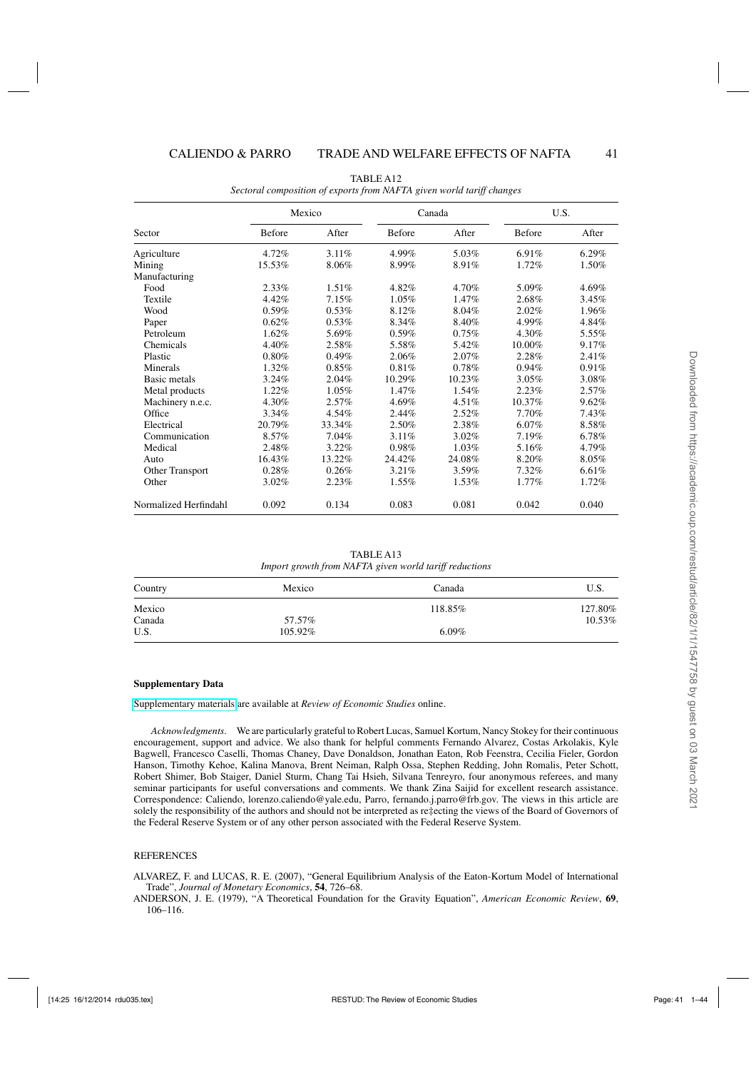<span id="page-40-0"></span>

| Sector                | Mexico        |          | Canada |        | U.S.   |          |
|-----------------------|---------------|----------|--------|--------|--------|----------|
|                       | <b>Before</b> | After    | Before | After  | Before | After    |
| Agriculture           | 4.72%         | $3.11\%$ | 4.99%  | 5.03%  | 6.91%  | $6.29\%$ |
| Mining                | 15.53%        | 8.06%    | 8.99%  | 8.91%  | 1.72%  | 1.50%    |
| Manufacturing         |               |          |        |        |        |          |
| Food                  | 2.33%         | $1.51\%$ | 4.82%  | 4.70%  | 5.09%  | 4.69%    |
| Textile               | 4.42%         | 7.15%    | 1.05%  | 1.47%  | 2.68%  | 3.45%    |
| Wood                  | 0.59%         | 0.53%    | 8.12%  | 8.04%  | 2.02%  | 1.96%    |
| Paper                 | 0.62%         | 0.53%    | 8.34%  | 8.40%  | 4.99%  | 4.84%    |
| Petroleum             | 1.62%         | 5.69%    | 0.59%  | 0.75%  | 4.30%  | 5.55%    |
| Chemicals             | 4.40%         | 2.58%    | 5.58%  | 5.42%  | 10.00% | 9.17%    |
| Plastic               | 0.80%         | 0.49%    | 2.06%  | 2.07%  | 2.28%  | 2.41%    |
| Minerals              | 1.32%         | 0.85%    | 0.81%  | 0.78%  | 0.94%  | 0.91%    |
| Basic metals          | 3.24%         | 2.04%    | 10.29% | 10.23% | 3.05%  | 3.08%    |
| Metal products        | 1.22%         | 1.05%    | 1.47%  | 1.54%  | 2.23%  | 2.57%    |
| Machinery n.e.c.      | 4.30%         | 2.57%    | 4.69%  | 4.51%  | 10.37% | 9.62%    |
| Office                | 3.34%         | 4.54%    | 2.44%  | 2.52%  | 7.70%  | 7.43%    |
| Electrical            | 20.79%        | 33.34%   | 2.50%  | 2.38%  | 6.07%  | 8.58%    |
| Communication         | 8.57%         | $7.04\%$ | 3.11%  | 3.02%  | 7.19%  | 6.78%    |
| Medical               | 2.48%         | 3.22%    | 0.98%  | 1.03%  | 5.16%  | 4.79%    |
| Auto                  | 16.43%        | 13.22%   | 24.42% | 24.08% | 8.20%  | 8.05%    |
| Other Transport       | 0.28%         | 0.26%    | 3.21%  | 3.59%  | 7.32%  | 6.61%    |
| Other                 | 3.02%         | 2.23%    | 1.55%  | 1.53%  | 1.77%  | 1.72%    |
| Normalized Herfindahl | 0.092         | 0.134    | 0.083  | 0.081  | 0.042  | 0.040    |

TABLE A12 *Sectoral composition of exports from NAFTA given world tariff changes*

TABLE A13 *Import growth from NAFTA given world tariff reductions*

| Country | Mexico  | Canada   | U.S.    |
|---------|---------|----------|---------|
| Mexico  |         | 118.85%  | 127.80% |
| Canada  | 57.57%  |          | 10.53%  |
| U.S.    | 105.92% | $6.09\%$ |         |

#### **Supplementary Data**

[Supplementary materials](http://restud.oxfordjournals.org/lookup/suppl/doi:10.1093/restud/rdu035/-/DC1) are available at *Review of Economic Studies* online.

*Acknowledgments*. We are particularly grateful to Robert Lucas, Samuel Kortum, Nancy Stokey for their continuous encouragement, support and advice. We also thank for helpful comments Fernando Alvarez, Costas Arkolakis, Kyle Bagwell, Francesco Caselli, Thomas Chaney, Dave Donaldson, Jonathan Eaton, Rob Feenstra, Cecilia Fieler, Gordon Hanson, Timothy Kehoe, Kalina Manova, Brent Neiman, Ralph Ossa, Stephen Redding, John Romalis, Peter Schott, Robert Shimer, Bob Staiger, Daniel Sturm, Chang Tai Hsieh, Silvana Tenreyro, four anonymous referees, and many seminar participants for useful conversations and comments. We thank Zina Saijid for excellent research assistance. Correspondence: Caliendo, lorenzo.caliendo@yale.edu, Parro, fernando.j.parro@frb.gov. The views in this article are solely the responsibility of the authors and should not be interpreted as re‡ecting the views of the Board of Governors of the Federal Reserve System or of any other person associated with the Federal Reserve System.

#### **REFERENCES**

ALVAREZ, F. and LUCAS, R. E. (2007), "General Equilibrium Analysis of the Eaton-Kortum Model of International Trade", *Journal of Monetary Economics*, **54**, 726–68.

ANDERSON, J. E. (1979), "A Theoretical Foundation for the Gravity Equation", *American Economic Review*, **69**, 106–116.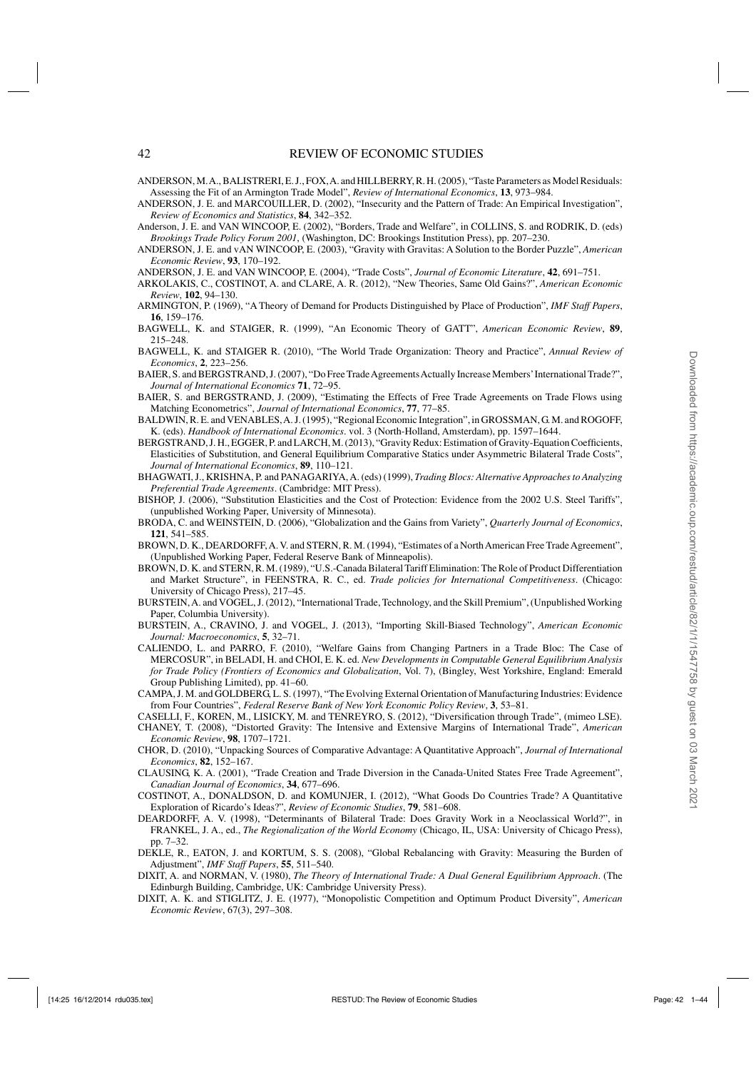- <span id="page-41-0"></span>ANDERSON, M.A., BALISTRERI, E. J., FOX,A. and HILLBERRY, R. H. (2005), "Taste Parameters as Model Residuals: Assessing the Fit of an Armington Trade Model", *Review of International Economics*, **13**, 973–984.
- ANDERSON, J. E. and MARCOUILLER, D. (2002), "Insecurity and the Pattern of Trade: An Empirical Investigation", *Review of Economics and Statistics*, **84**, 342–352.
- Anderson, J. E. and VAN WINCOOP, E. (2002), "Borders, Trade and Welfare", in COLLINS, S. and RODRIK, D. (eds) *Brookings Trade Policy Forum 2001*, (Washington, DC: Brookings Institution Press), pp. 207–230.
- ANDERSON, J. E. and vAN WINCOOP, E. (2003), "Gravity with Gravitas: A Solution to the Border Puzzle", *American Economic Review*, **93**, 170–192.
- ANDERSON, J. E. and VAN WINCOOP, E. (2004), "Trade Costs", *Journal of Economic Literature*, **42**, 691–751.
- ARKOLAKIS, C., COSTINOT, A. and CLARE, A. R. (2012), "New Theories, Same Old Gains?", *American Economic Review*, **102**, 94–130.
- ARMINGTON, P. (1969), "A Theory of Demand for Products Distinguished by Place of Production", *IMF Staff Papers*, **16**, 159–176.
- BAGWELL, K. and STAIGER, R. (1999), "An Economic Theory of GATT", *American Economic Review*, **89**, 215–248.
- BAGWELL, K. and STAIGER R. (2010), "The World Trade Organization: Theory and Practice", *Annual Review of Economics*, **2**, 223–256.
- BAIER, S. and BERGSTRAND, J. (2007), "Do Free Trade Agreements Actually Increase Members' International Trade?", *Journal of International Economics* **71**, 72–95.
- BAIER, S. and BERGSTRAND, J. (2009), "Estimating the Effects of Free Trade Agreements on Trade Flows using Matching Econometrics", *Journal of International Economics*, **77**, 77–85.
- BALDWIN, R. E. and VENABLES,A. J. (1995), "Regional Economic Integration", in GROSSMAN, G. M. and ROGOFF, K. (eds). *Handbook of International Economics*. vol. 3 (North-Holland, Amsterdam), pp. 1597–1644.
- BERGSTRAND, J. H., EGGER, P. and LARCH, M. (2013), "Gravity Redux: Estimation of Gravity-Equation Coefficients, Elasticities of Substitution, and General Equilibrium Comparative Statics under Asymmetric Bilateral Trade Costs", *Journal of International Economics*, **89**, 110–121.
- BHAGWATI, J., KRISHNA, P. and PANAGARIYA, A. (eds) (1999), *Trading Blocs: Alternative Approaches to Analyzing Preferential Trade Agreements*. (Cambridge: MIT Press).
- BISHOP, J. (2006), "Substitution Elasticities and the Cost of Protection: Evidence from the 2002 U.S. Steel Tariffs", (unpublished Working Paper, University of Minnesota).
- BRODA, C. and WEINSTEIN, D. (2006), "Globalization and the Gains from Variety", *Quarterly Journal of Economics*, **121**, 541–585.
- BROWN, D. K., DEARDORFF, A. V. and STERN, R. M. (1994), "Estimates of a North American Free Trade Agreement", (Unpublished Working Paper, Federal Reserve Bank of Minneapolis).
- BROWN, D. K. and STERN, R. M. (1989), "U.S.-Canada Bilateral Tariff Elimination: The Role of Product Differentiation and Market Structure", in FEENSTRA, R. C., ed. *Trade policies for International Competitiveness*. (Chicago: University of Chicago Press), 217–45.
- BURSTEIN,A. and VOGEL, J. (2012), "International Trade, Technology, and the Skill Premium", (Unpublished Working Paper, Columbia University).
- BURSTEIN, A., CRAVINO, J. and VOGEL, J. (2013), "Importing Skill-Biased Technology", *American Economic Journal: Macroeconomics*, **5**, 32–71.
- CALIENDO, L. and PARRO, F. (2010), "Welfare Gains from Changing Partners in a Trade Bloc: The Case of MERCOSUR", in BELADI, H. and CHOI, E. K. ed. *New Developments in Computable General Equilibrium Analysis for Trade Policy (Frontiers of Economics and Globalization*, Vol. 7), (Bingley, West Yorkshire, England: Emerald Group Publishing Limited), pp. 41–60.
- CAMPA, J. M. and GOLDBERG, L. S. (1997), "The Evolving External Orientation of Manufacturing Industries: Evidence from Four Countries", *Federal Reserve Bank of New York Economic Policy Review*, **3**, 53–81.
- CASELLI, F., KOREN, M., LISICKY, M. and TENREYRO, S. (2012), "Diversification through Trade", (mimeo LSE).
- CHANEY, T. (2008), "Distorted Gravity: The Intensive and Extensive Margins of International Trade", *American Economic Review*, **98**, 1707–1721.
- CHOR, D. (2010), "Unpacking Sources of Comparative Advantage: A Quantitative Approach", *Journal of International Economics*, **82**, 152–167.
- CLAUSING, K. A. (2001), "Trade Creation and Trade Diversion in the Canada-United States Free Trade Agreement", *Canadian Journal of Economics*, **34**, 677–696.
- COSTINOT, A., DONALDSON, D. and KOMUNJER, I. (2012), "What Goods Do Countries Trade? A Quantitative Exploration of Ricardo's Ideas?", *Review of Economic Studies*, **79**, 581–608.
- DEARDORFF, A. V. (1998), "Determinants of Bilateral Trade: Does Gravity Work in a Neoclassical World?", in FRANKEL, J. A., ed., *The Regionalization of the World Economy* (Chicago, IL, USA: University of Chicago Press), pp. 7–32.
- DEKLE, R., EATON, J. and KORTUM, S. S. (2008), "Global Rebalancing with Gravity: Measuring the Burden of Adjustment", *IMF Staff Papers*, **55**, 511–540.
- DIXIT, A. and NORMAN, V. (1980), *The Theory of International Trade: A Dual General Equilibrium Approach*. (The Edinburgh Building, Cambridge, UK: Cambridge University Press).
- DIXIT, A. K. and STIGLITZ, J. E. (1977), "Monopolistic Competition and Optimum Product Diversity", *American Economic Review*, 67(3), 297–308.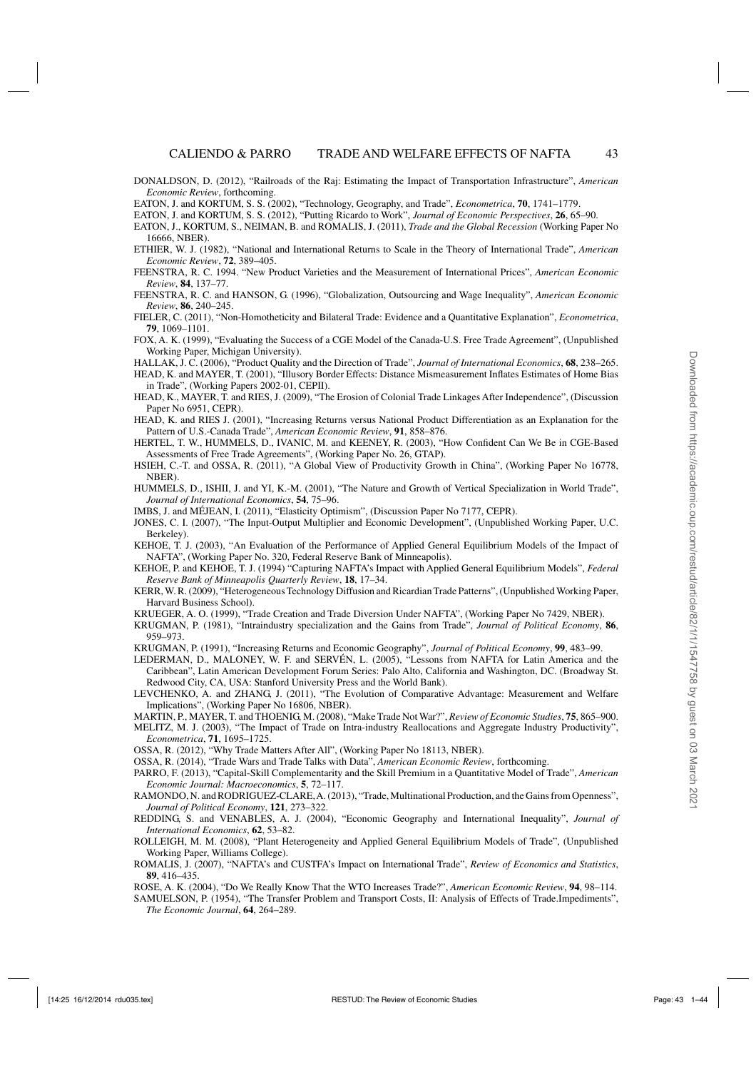<span id="page-42-0"></span>DONALDSON, D. (2012), "Railroads of the Raj: Estimating the Impact of Transportation Infrastructure", *American Economic Review*, forthcoming.

EATON, J. and KORTUM, S. S. (2012), "Putting Ricardo to Work", *Journal of Economic Perspectives*, **26**, 65–90.

- EATON, J., KORTUM, S., NEIMAN, B. and ROMALIS, J. (2011), *Trade and the Global Recession* (Working Paper No 16666, NBER).
- ETHIER, W. J. (1982), "National and International Returns to Scale in the Theory of International Trade", *American Economic Review*, **72**, 389–405.
- FEENSTRA, R. C. 1994. "New Product Varieties and the Measurement of International Prices", *American Economic Review*, **84**, 137–77.
- FEENSTRA, R. C. and HANSON, G. (1996), "Globalization, Outsourcing and Wage Inequality", *American Economic Review*, **86**, 240–245.
- FIELER, C. (2011), "Non-Homotheticity and Bilateral Trade: Evidence and a Quantitative Explanation", *Econometrica*, **79**, 1069–1101.
- FOX, A. K. (1999), "Evaluating the Success of a CGE Model of the Canada-U.S. Free Trade Agreement", (Unpublished Working Paper, Michigan University).
- HALLAK, J. C. (2006), "Product Quality and the Direction of Trade", *Journal of International Economics*, **68**, 238–265.
- HEAD, K. and MAYER, T. (2001), "Illusory Border Effects: Distance Mismeasurement Inflates Estimates of Home Bias in Trade", (Working Papers 2002-01, CEPII).
- HEAD, K., MAYER, T. and RIES, J. (2009), "The Erosion of Colonial Trade Linkages After Independence", (Discussion Paper No 6951, CEPR).
- HEAD, K. and RIES J. (2001), "Increasing Returns versus National Product Differentiation as an Explanation for the Pattern of U.S.-Canada Trade", *American Economic Review*, **91**, 858–876.
- HERTEL, T. W., HUMMELS, D., IVANIC, M. and KEENEY, R. (2003), "How Confident Can We Be in CGE-Based Assessments of Free Trade Agreements", (Working Paper No. 26, GTAP).
- HSIEH, C.-T. and OSSA, R. (2011), "A Global View of Productivity Growth in China", (Working Paper No 16778, NBER).
- HUMMELS, D., ISHII, J. and YI, K.-M. (2001), "The Nature and Growth of Vertical Specialization in World Trade", *Journal of International Economics*, **54**, 75–96.

IMBS, J. and MÉJEAN, I. (2011), "Elasticity Optimism", (Discussion Paper No 7177, CEPR).

- JONES, C. I. (2007), "The Input-Output Multiplier and Economic Development", (Unpublished Working Paper, U.C. Berkeley).
- KEHOE, T. J. (2003), "An Evaluation of the Performance of Applied General Equilibrium Models of the Impact of NAFTA", (Working Paper No. 320, Federal Reserve Bank of Minneapolis).
- KEHOE, P. and KEHOE, T. J. (1994) "Capturing NAFTA's Impact with Applied General Equilibrium Models", *Federal Reserve Bank of Minneapolis Quarterly Review*, **18**, 17–34.
- KERR, W. R. (2009), "Heterogeneous Technology Diffusion and Ricardian Trade Patterns", (Unpublished Working Paper, Harvard Business School).
- KRUEGER, A. O. (1999), "Trade Creation and Trade Diversion Under NAFTA", (Working Paper No 7429, NBER).
- KRUGMAN, P. (1981), "Intraindustry specialization and the Gains from Trade", *Journal of Political Economy*, **86**, 959–973.
- KRUGMAN, P. (1991), "Increasing Returns and Economic Geography", *Journal of Political Economy*, **99**, 483–99.
- LEDERMAN, D., MALONEY, W. F. and SERVÉN, L. (2005), "Lessons from NAFTA for Latin America and the Caribbean", Latin American Development Forum Series: Palo Alto, California and Washington, DC. (Broadway St. Redwood City, CA, USA: Stanford University Press and the World Bank).
- LEVCHENKO, A. and ZHANG, J. (2011), "The Evolution of Comparative Advantage: Measurement and Welfare Implications", (Working Paper No 16806, NBER).
- MARTIN, P., MAYER, T. and THOENIG, M. (2008), "Make Trade Not War?", *Review of Economic Studies*, **75**, 865–900.
- MELITZ, M. J. (2003), "The Impact of Trade on Intra-industry Reallocations and Aggregate Industry Productivity", *Econometrica*, **71**, 1695–1725.
- OSSA, R. (2012), "Why Trade Matters After All", (Working Paper No 18113, NBER).
- OSSA, R. (2014), "Trade Wars and Trade Talks with Data", *American Economic Review*, forthcoming.
- PARRO, F. (2013), "Capital-Skill Complementarity and the Skill Premium in a Quantitative Model of Trade", *American Economic Journal: Macroeconomics*, **5**, 72–117.
- RAMONDO, N. and RODRIGUEZ-CLARE,A. (2013), "Trade, Multinational Production, and the Gains from Openness", *Journal of Political Economy*, **121**, 273–322.
- REDDING, S. and VENABLES, A. J. (2004), "Economic Geography and International Inequality", *Journal of International Economics*, **62**, 53–82.
- ROLLEIGH, M. M. (2008), "Plant Heterogeneity and Applied General Equilibrium Models of Trade", (Unpublished Working Paper, Williams College).
- ROMALIS, J. (2007), "NAFTA's and CUSTFA's Impact on International Trade", *Review of Economics and Statistics*, **89**, 416–435.
- ROSE, A. K. (2004), "Do We Really Know That the WTO Increases Trade?", *American Economic Review*, **94**, 98–114.
- SAMUELSON, P. (1954), "The Transfer Problem and Transport Costs, II: Analysis of Effects of Trade.Impediments", *The Economic Journal*, **64**, 264–289.

EATON, J. and KORTUM, S. S. (2002), "Technology, Geography, and Trade", *Econometrica*, **70**, 1741–1779.